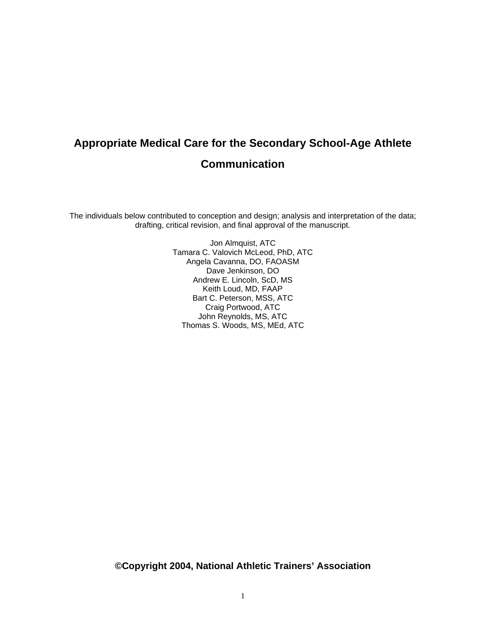# **Appropriate Medical Care for the Secondary School-Age Athlete Communication**

The individuals below contributed to conception and design; analysis and interpretation of the data; drafting, critical revision, and final approval of the manuscript.

> Jon Almquist, ATC Tamara C. Valovich McLeod, PhD, ATC Angela Cavanna, DO, FAOASM Dave Jenkinson, DO Andrew E. Lincoln, ScD, MS Keith Loud, MD, FAAP Bart C. Peterson, MSS, ATC Craig Portwood, ATC John Reynolds, MS, ATC Thomas S. Woods, MS, MEd, ATC

**©Copyright 2004, National Athletic Trainers' Association**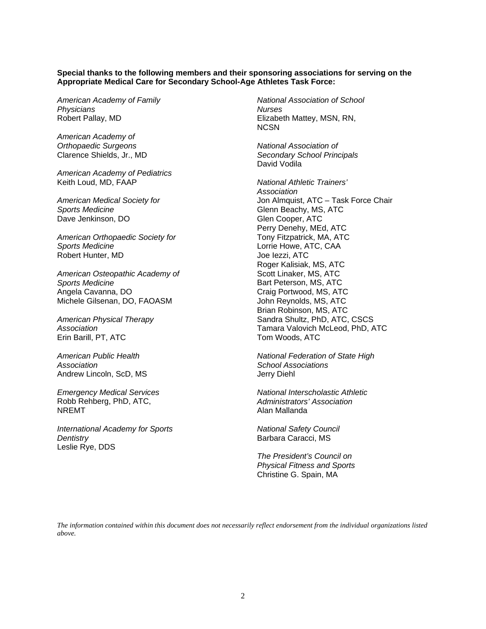#### **Special thanks to the following members and their sponsoring associations for serving on the Appropriate Medical Care for Secondary School-Age Athletes Task Force:**

*American Academy of Family Physicians*  Robert Pallay, MD

*American Academy of Orthopaedic Surgeons*  Clarence Shields, Jr., MD

*American Academy of Pediatrics*  Keith Loud, MD, FAAP

*American Medical Society for Sports Medicine*  Dave Jenkinson, DO

*American Orthopaedic Society for Sports Medicine*  Robert Hunter, MD

*American Osteopathic Academy of Sports Medicine*  Angela Cavanna, DO Michele Gilsenan, DO, FAOASM

*American Physical Therapy Association*  Erin Barill, PT, ATC

*American Public Health Association*  Andrew Lincoln, ScD, MS

*Emergency Medical Services*  Robb Rehberg, PhD, ATC, NREMT

*International Academy for Sports Dentistry*  Leslie Rye, DDS

*National Association of School Nurses*  Elizabeth Mattey, MSN, RN, NCSN

*National Association of Secondary School Principals*  David Vodila

*National Athletic Trainers' Association*  Jon Almquist, ATC – Task Force Chair Glenn Beachy, MS, ATC Glen Cooper, ATC Perry Denehy, MEd, ATC Tony Fitzpatrick, MA, ATC Lorrie Howe, ATC, CAA Joe Iezzi, ATC Roger Kalisiak, MS, ATC Scott Linaker, MS, ATC Bart Peterson, MS, ATC Craig Portwood, MS, ATC John Reynolds, MS, ATC Brian Robinson, MS, ATC Sandra Shultz, PhD, ATC, CSCS Tamara Valovich McLeod, PhD, ATC Tom Woods, ATC

*National Federation of State High School Associations*  Jerry Diehl

*National Interscholastic Athletic Administrators' Association*  Alan Mallanda

*National Safety Council*  Barbara Caracci, MS

*The President's Council on Physical Fitness and Sports*  Christine G. Spain, MA

*The information contained within this document does not necessarily reflect endorsement from the individual organizations listed above.*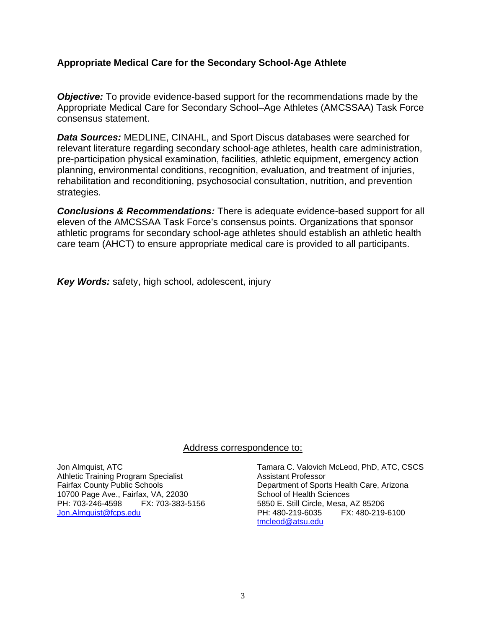#### **Appropriate Medical Care for the Secondary School-Age Athlete**

*Objective:* To provide evidence-based support for the recommendations made by the Appropriate Medical Care for Secondary School–Age Athletes (AMCSSAA) Task Force consensus statement.

*Data Sources:* MEDLINE, CINAHL, and Sport Discus databases were searched for relevant literature regarding secondary school-age athletes, health care administration, pre-participation physical examination, facilities, athletic equipment, emergency action planning, environmental conditions, recognition, evaluation, and treatment of injuries, rehabilitation and reconditioning, psychosocial consultation, nutrition, and prevention strategies.

*Conclusions & Recommendations:* There is adequate evidence-based support for all eleven of the AMCSSAA Task Force's consensus points. Organizations that sponsor athletic programs for secondary school-age athletes should establish an athletic health care team (AHCT) to ensure appropriate medical care is provided to all participants.

*Key Words:* safety, high school, adolescent, injury

#### Address correspondence to:

Jon Almquist, ATC Athletic Training Program Specialist Fairfax County Public Schools 10700 Page Ave., Fairfax, VA, 22030 PH: 703-246-4598 FX: 703-383-5156 Jon.Almquist@fcps.edu

Tamara C. Valovich McLeod, PhD, ATC, CSCS Assistant Professor Department of Sports Health Care, Arizona School of Health Sciences 5850 E. Still Circle, Mesa, AZ 85206 PH: 480-219-6035 FX: 480-219-6100 tmcleod@atsu.edu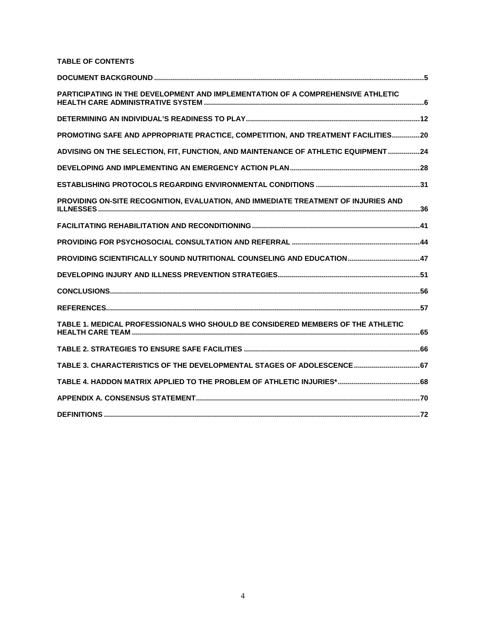#### **TABLE OF CONTENTS**

| PARTICIPATING IN THE DEVELOPMENT AND IMPLEMENTATION OF A COMPREHENSIVE ATHLETIC    |  |
|------------------------------------------------------------------------------------|--|
|                                                                                    |  |
| PROMOTING SAFE AND APPROPRIATE PRACTICE, COMPETITION, AND TREATMENT FACILITIES20   |  |
| ADVISING ON THE SELECTION, FIT, FUNCTION, AND MAINTENANCE OF ATHLETIC EQUIPMENT24  |  |
|                                                                                    |  |
|                                                                                    |  |
| PROVIDING ON-SITE RECOGNITION, EVALUATION, AND IMMEDIATE TREATMENT OF INJURIES AND |  |
|                                                                                    |  |
|                                                                                    |  |
|                                                                                    |  |
|                                                                                    |  |
|                                                                                    |  |
|                                                                                    |  |
| TABLE 1. MEDICAL PROFESSIONALS WHO SHOULD BE CONSIDERED MEMBERS OF THE ATHLETIC    |  |
|                                                                                    |  |
| TABLE 3. CHARACTERISTICS OF THE DEVELOPMENTAL STAGES OF ADOLESCENCE 67             |  |
|                                                                                    |  |
|                                                                                    |  |
|                                                                                    |  |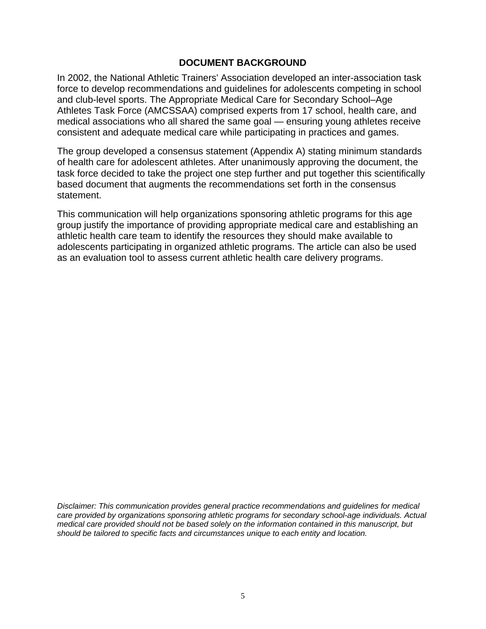#### **DOCUMENT BACKGROUND**

In 2002, the National Athletic Trainers' Association developed an inter-association task force to develop recommendations and guidelines for adolescents competing in school and club-level sports. The Appropriate Medical Care for Secondary School–Age Athletes Task Force (AMCSSAA) comprised experts from 17 school, health care, and medical associations who all shared the same goal — ensuring young athletes receive consistent and adequate medical care while participating in practices and games.

The group developed a consensus statement (Appendix A) stating minimum standards of health care for adolescent athletes. After unanimously approving the document, the task force decided to take the project one step further and put together this scientifically based document that augments the recommendations set forth in the consensus statement.

This communication will help organizations sponsoring athletic programs for this age group justify the importance of providing appropriate medical care and establishing an athletic health care team to identify the resources they should make available to adolescents participating in organized athletic programs. The article can also be used as an evaluation tool to assess current athletic health care delivery programs.

*Disclaimer: This communication provides general practice recommendations and guidelines for medical care provided by organizations sponsoring athletic programs for secondary school-age individuals. Actual medical care provided should not be based solely on the information contained in this manuscript, but should be tailored to specific facts and circumstances unique to each entity and location.*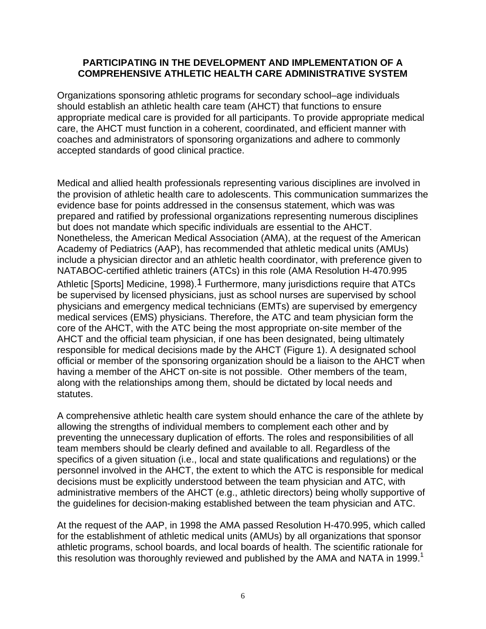#### **PARTICIPATING IN THE DEVELOPMENT AND IMPLEMENTATION OF A COMPREHENSIVE ATHLETIC HEALTH CARE ADMINISTRATIVE SYSTEM**

Organizations sponsoring athletic programs for secondary school–age individuals should establish an athletic health care team (AHCT) that functions to ensure appropriate medical care is provided for all participants. To provide appropriate medical care, the AHCT must function in a coherent, coordinated, and efficient manner with coaches and administrators of sponsoring organizations and adhere to commonly accepted standards of good clinical practice.

Medical and allied health professionals representing various disciplines are involved in the provision of athletic health care to adolescents. This communication summarizes the evidence base for points addressed in the consensus statement, which was was prepared and ratified by professional organizations representing numerous disciplines but does not mandate which specific individuals are essential to the AHCT. Nonetheless, the American Medical Association (AMA), at the request of the American Academy of Pediatrics (AAP), has recommended that athletic medical units (AMUs) include a physician director and an athletic health coordinator, with preference given to NATABOC-certified athletic trainers (ATCs) in this role (AMA Resolution H-470.995 Athletic [Sports] Medicine, 1998).<sup>1</sup> Furthermore, many jurisdictions require that ATCs be supervised by licensed physicians, just as school nurses are supervised by school physicians and emergency medical technicians (EMTs) are supervised by emergency medical services (EMS) physicians. Therefore, the ATC and team physician form the core of the AHCT, with the ATC being the most appropriate on-site member of the AHCT and the official team physician, if one has been designated, being ultimately responsible for medical decisions made by the AHCT (Figure 1). A designated school official or member of the sponsoring organization should be a liaison to the AHCT when having a member of the AHCT on-site is not possible. Other members of the team, along with the relationships among them, should be dictated by local needs and statutes.

A comprehensive athletic health care system should enhance the care of the athlete by allowing the strengths of individual members to complement each other and by preventing the unnecessary duplication of efforts. The roles and responsibilities of all team members should be clearly defined and available to all. Regardless of the specifics of a given situation (i.e., local and state qualifications and regulations) or the personnel involved in the AHCT, the extent to which the ATC is responsible for medical decisions must be explicitly understood between the team physician and ATC, with administrative members of the AHCT (e.g., athletic directors) being wholly supportive of the guidelines for decision-making established between the team physician and ATC.

At the request of the AAP, in 1998 the AMA passed Resolution H-470.995, which called for the establishment of athletic medical units (AMUs) by all organizations that sponsor athletic programs, school boards, and local boards of health. The scientific rationale for this resolution was thoroughly reviewed and published by the AMA and NATA in 1999.<sup>1</sup>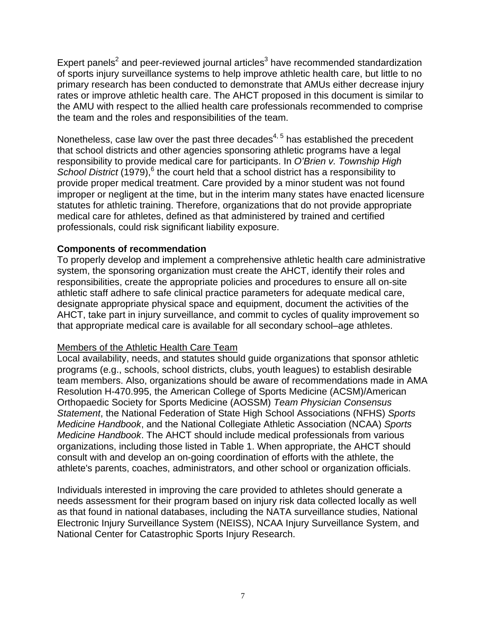Expert panels<sup>2</sup> and peer-reviewed journal articles<sup>3</sup> have recommended standardization of sports injury surveillance systems to help improve athletic health care, but little to no primary research has been conducted to demonstrate that AMUs either decrease injury rates or improve athletic health care. The AHCT proposed in this document is similar to the AMU with respect to the allied health care professionals recommended to comprise the team and the roles and responsibilities of the team.

Nonetheless, case law over the past three decades $4, 5$  has established the precedent that school districts and other agencies sponsoring athletic programs have a legal responsibility to provide medical care for participants. In *O'Brien v. Township High*  School District (1979),<sup>6</sup> the court held that a school district has a responsibility to provide proper medical treatment. Care provided by a minor student was not found improper or negligent at the time, but in the interim many states have enacted licensure statutes for athletic training. Therefore, organizations that do not provide appropriate medical care for athletes, defined as that administered by trained and certified professionals, could risk significant liability exposure.

#### **Components of recommendation**

To properly develop and implement a comprehensive athletic health care administrative system, the sponsoring organization must create the AHCT, identify their roles and responsibilities, create the appropriate policies and procedures to ensure all on-site athletic staff adhere to safe clinical practice parameters for adequate medical care, designate appropriate physical space and equipment, document the activities of the AHCT, take part in injury surveillance, and commit to cycles of quality improvement so that appropriate medical care is available for all secondary school–age athletes.

#### Members of the Athletic Health Care Team

Local availability, needs, and statutes should guide organizations that sponsor athletic programs (e.g., schools, school districts, clubs, youth leagues) to establish desirable team members. Also, organizations should be aware of recommendations made in AMA Resolution H-470.995, the American College of Sports Medicine (ACSM)/American Orthopaedic Society for Sports Medicine (AOSSM) *Team Physician Consensus Statement*, the National Federation of State High School Associations (NFHS) *Sports Medicine Handbook*, and the National Collegiate Athletic Association (NCAA) *Sports Medicine Handbook*. The AHCT should include medical professionals from various organizations, including those listed in Table 1. When appropriate, the AHCT should consult with and develop an on-going coordination of efforts with the athlete, the athlete's parents, coaches, administrators, and other school or organization officials.

Individuals interested in improving the care provided to athletes should generate a needs assessment for their program based on injury risk data collected locally as well as that found in national databases, including the NATA surveillance studies, National Electronic Injury Surveillance System (NEISS), NCAA Injury Surveillance System, and National Center for Catastrophic Sports Injury Research.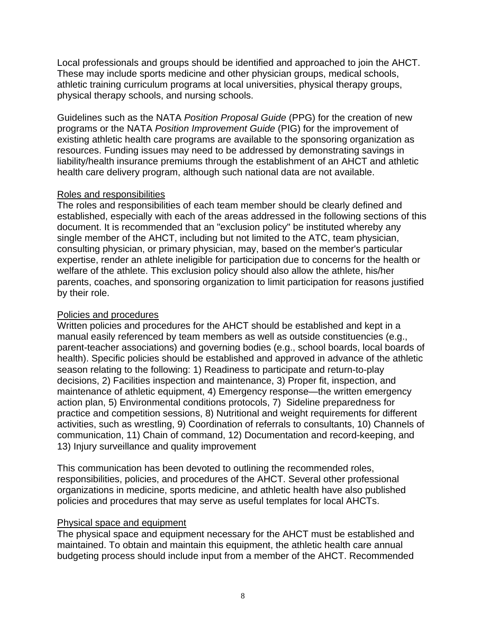Local professionals and groups should be identified and approached to join the AHCT. These may include sports medicine and other physician groups, medical schools, athletic training curriculum programs at local universities, physical therapy groups, physical therapy schools, and nursing schools.

Guidelines such as the NATA *Position Proposal Guide* (PPG) for the creation of new programs or the NATA *Position Improvement Guide* (PIG) for the improvement of existing athletic health care programs are available to the sponsoring organization as resources. Funding issues may need to be addressed by demonstrating savings in liability/health insurance premiums through the establishment of an AHCT and athletic health care delivery program, although such national data are not available.

# Roles and responsibilities

The roles and responsibilities of each team member should be clearly defined and established, especially with each of the areas addressed in the following sections of this document. It is recommended that an "exclusion policy" be instituted whereby any single member of the AHCT, including but not limited to the ATC, team physician, consulting physician, or primary physician, may, based on the member's particular expertise, render an athlete ineligible for participation due to concerns for the health or welfare of the athlete. This exclusion policy should also allow the athlete, his/her parents, coaches, and sponsoring organization to limit participation for reasons justified by their role.

#### Policies and procedures

Written policies and procedures for the AHCT should be established and kept in a manual easily referenced by team members as well as outside constituencies (e.g., parent-teacher associations) and governing bodies (e.g., school boards, local boards of health). Specific policies should be established and approved in advance of the athletic season relating to the following: 1) Readiness to participate and return-to-play decisions, 2) Facilities inspection and maintenance, 3) Proper fit, inspection, and maintenance of athletic equipment, 4) Emergency response—the written emergency action plan, 5) Environmental conditions protocols, 7) Sideline preparedness for practice and competition sessions, 8) Nutritional and weight requirements for different activities, such as wrestling, 9) Coordination of referrals to consultants, 10) Channels of communication, 11) Chain of command, 12) Documentation and record-keeping, and 13) Injury surveillance and quality improvement

This communication has been devoted to outlining the recommended roles, responsibilities, policies, and procedures of the AHCT. Several other professional organizations in medicine, sports medicine, and athletic health have also published policies and procedures that may serve as useful templates for local AHCTs.

# Physical space and equipment

The physical space and equipment necessary for the AHCT must be established and maintained. To obtain and maintain this equipment, the athletic health care annual budgeting process should include input from a member of the AHCT. Recommended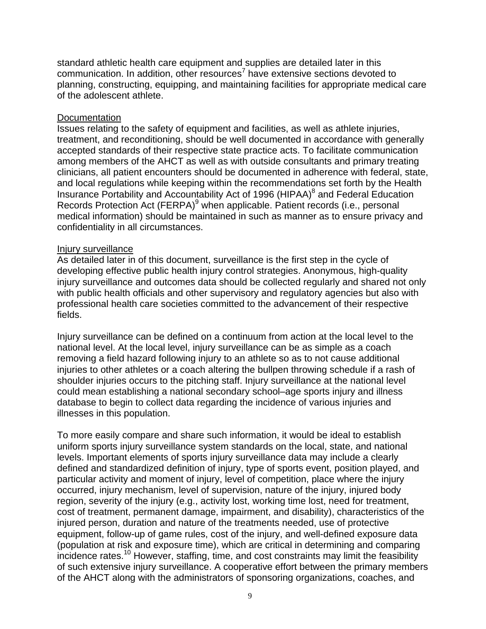standard athletic health care equipment and supplies are detailed later in this  $commonization$ . In addition, other resources<sup>7</sup> have extensive sections devoted to planning, constructing, equipping, and maintaining facilities for appropriate medical care of the adolescent athlete.

#### **Documentation**

Issues relating to the safety of equipment and facilities, as well as athlete injuries, treatment, and reconditioning, should be well documented in accordance with generally accepted standards of their respective state practice acts. To facilitate communication among members of the AHCT as well as with outside consultants and primary treating clinicians, all patient encounters should be documented in adherence with federal, state, and local regulations while keeping within the recommendations set forth by the Health Insurance Portability and Accountability Act of 1996 (HIPAA)<sup>8</sup> and Federal Education Records Protection Act (FERPA)<sup>9</sup> when applicable. Patient records (i.e., personal medical information) should be maintained in such as manner as to ensure privacy and confidentiality in all circumstances.

#### Injury surveillance

As detailed later in of this document, surveillance is the first step in the cycle of developing effective public health injury control strategies. Anonymous, high-quality injury surveillance and outcomes data should be collected regularly and shared not only with public health officials and other supervisory and regulatory agencies but also with professional health care societies committed to the advancement of their respective fields.

Injury surveillance can be defined on a continuum from action at the local level to the national level. At the local level, injury surveillance can be as simple as a coach removing a field hazard following injury to an athlete so as to not cause additional injuries to other athletes or a coach altering the bullpen throwing schedule if a rash of shoulder injuries occurs to the pitching staff. Injury surveillance at the national level could mean establishing a national secondary school–age sports injury and illness database to begin to collect data regarding the incidence of various injuries and illnesses in this population.

To more easily compare and share such information, it would be ideal to establish uniform sports injury surveillance system standards on the local, state, and national levels. Important elements of sports injury surveillance data may include a clearly defined and standardized definition of injury, type of sports event, position played, and particular activity and moment of injury, level of competition, place where the injury occurred, injury mechanism, level of supervision, nature of the injury, injured body region, severity of the injury (e.g., activity lost, working time lost, need for treatment, cost of treatment, permanent damage, impairment, and disability), characteristics of the injured person, duration and nature of the treatments needed, use of protective equipment, follow-up of game rules, cost of the injury, and well-defined exposure data (population at risk and exposure time), which are critical in determining and comparing incidence rates.10 However, staffing, time, and cost constraints may limit the feasibility of such extensive injury surveillance. A cooperative effort between the primary members of the AHCT along with the administrators of sponsoring organizations, coaches, and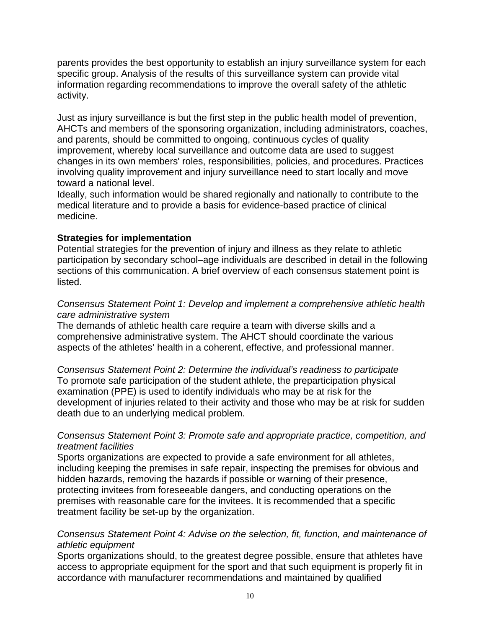parents provides the best opportunity to establish an injury surveillance system for each specific group. Analysis of the results of this surveillance system can provide vital information regarding recommendations to improve the overall safety of the athletic activity.

Just as injury surveillance is but the first step in the public health model of prevention, AHCTs and members of the sponsoring organization, including administrators, coaches, and parents, should be committed to ongoing, continuous cycles of quality improvement, whereby local surveillance and outcome data are used to suggest changes in its own members' roles, responsibilities, policies, and procedures. Practices involving quality improvement and injury surveillance need to start locally and move toward a national level.

Ideally, such information would be shared regionally and nationally to contribute to the medical literature and to provide a basis for evidence-based practice of clinical medicine.

# **Strategies for implementation**

Potential strategies for the prevention of injury and illness as they relate to athletic participation by secondary school–age individuals are described in detail in the following sections of this communication. A brief overview of each consensus statement point is listed.

#### *Consensus Statement Point 1: Develop and implement a comprehensive athletic health care administrative system*

The demands of athletic health care require a team with diverse skills and a comprehensive administrative system. The AHCT should coordinate the various aspects of the athletes' health in a coherent, effective, and professional manner.

*Consensus Statement Point 2: Determine the individual's readiness to participate*  To promote safe participation of the student athlete, the preparticipation physical examination (PPE) is used to identify individuals who may be at risk for the development of injuries related to their activity and those who may be at risk for sudden death due to an underlying medical problem.

# *Consensus Statement Point 3: Promote safe and appropriate practice, competition, and treatment facilities*

Sports organizations are expected to provide a safe environment for all athletes, including keeping the premises in safe repair, inspecting the premises for obvious and hidden hazards, removing the hazards if possible or warning of their presence, protecting invitees from foreseeable dangers, and conducting operations on the premises with reasonable care for the invitees. It is recommended that a specific treatment facility be set-up by the organization.

# *Consensus Statement Point 4: Advise on the selection, fit, function, and maintenance of athletic equipment*

Sports organizations should, to the greatest degree possible, ensure that athletes have access to appropriate equipment for the sport and that such equipment is properly fit in accordance with manufacturer recommendations and maintained by qualified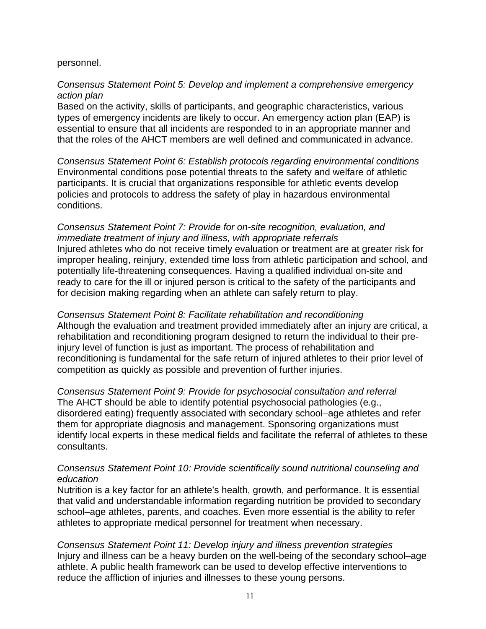#### personnel.

#### *Consensus Statement Point 5: Develop and implement a comprehensive emergency action plan*

Based on the activity, skills of participants, and geographic characteristics, various types of emergency incidents are likely to occur. An emergency action plan (EAP) is essential to ensure that all incidents are responded to in an appropriate manner and that the roles of the AHCT members are well defined and communicated in advance.

*Consensus Statement Point 6: Establish protocols regarding environmental conditions*  Environmental conditions pose potential threats to the safety and welfare of athletic participants. It is crucial that organizations responsible for athletic events develop policies and protocols to address the safety of play in hazardous environmental conditions.

*Consensus Statement Point 7: Provide for on-site recognition, evaluation, and immediate treatment of injury and illness, with appropriate referrals*  Injured athletes who do not receive timely evaluation or treatment are at greater risk for improper healing, reinjury, extended time loss from athletic participation and school, and potentially life-threatening consequences. Having a qualified individual on-site and ready to care for the ill or injured person is critical to the safety of the participants and for decision making regarding when an athlete can safely return to play.

*Consensus Statement Point 8: Facilitate rehabilitation and reconditioning*  Although the evaluation and treatment provided immediately after an injury are critical, a rehabilitation and reconditioning program designed to return the individual to their preinjury level of function is just as important. The process of rehabilitation and reconditioning is fundamental for the safe return of injured athletes to their prior level of competition as quickly as possible and prevention of further injuries.

*Consensus Statement Point 9: Provide for psychosocial consultation and referral*  The AHCT should be able to identify potential psychosocial pathologies (e.g., disordered eating) frequently associated with secondary school–age athletes and refer them for appropriate diagnosis and management. Sponsoring organizations must identify local experts in these medical fields and facilitate the referral of athletes to these consultants.

#### *Consensus Statement Point 10: Provide scientifically sound nutritional counseling and education*

Nutrition is a key factor for an athlete's health, growth, and performance. It is essential that valid and understandable information regarding nutrition be provided to secondary school–age athletes, parents, and coaches. Even more essential is the ability to refer athletes to appropriate medical personnel for treatment when necessary.

*Consensus Statement Point 11: Develop injury and illness prevention strategies*  Injury and illness can be a heavy burden on the well-being of the secondary school–age athlete. A public health framework can be used to develop effective interventions to reduce the affliction of injuries and illnesses to these young persons.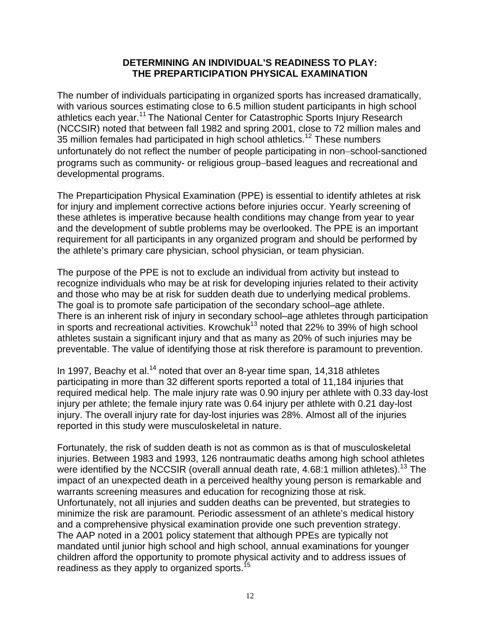#### **DETERMINING AN INDIVIDUAL'S READINESS TO PLAY: THE PREPARTICIPATION PHYSICAL EXAMINATION**

The number of individuals participating in organized sports has increased dramatically, with various sources estimating close to 6.5 million student participants in high school athletics each year.<sup>11</sup> The National Center for Catastrophic Sports Injury Research (NCCSIR) noted that between fall 1982 and spring 2001, close to 72 million males and 35 million females had participated in high school athletics.<sup>12</sup> These numbers unfortunately do not reflect the number of people participating in non−school-sanctioned programs such as community- or religious group−based leagues and recreational and developmental programs.

The Preparticipation Physical Examination (PPE) is essential to identify athletes at risk for injury and implement corrective actions before injuries occur. Yearly screening of these athletes is imperative because health conditions may change from year to year and the development of subtle problems may be overlooked. The PPE is an important requirement for all participants in any organized program and should be performed by the athlete's primary care physician, school physician, or team physician.

The purpose of the PPE is not to exclude an individual from activity but instead to recognize individuals who may be at risk for developing injuries related to their activity and those who may be at risk for sudden death due to underlying medical problems. The goal is to promote safe participation of the secondary school–age athlete. There is an inherent risk of injury in secondary school–age athletes through participation in sports and recreational activities. Krowchuk $^{13}$  noted that 22% to 39% of high school athletes sustain a significant injury and that as many as 20% of such injuries may be preventable. The value of identifying those at risk therefore is paramount to prevention.

In 1997, Beachy et al.<sup>14</sup> noted that over an 8-year time span, 14,318 athletes participating in more than 32 different sports reported a total of 11,184 injuries that required medical help. The male injury rate was 0.90 injury per athlete with 0.33 day-lost injury per athlete; the female injury rate was 0.64 injury per athlete with 0.21 day-lost injury. The overall injury rate for day-lost injuries was 28%. Almost all of the injuries reported in this study were musculoskeletal in nature.

Fortunately, the risk of sudden death is not as common as is that of musculoskeletal injuries. Between 1983 and 1993, 126 nontraumatic deaths among high school athletes were identified by the NCCSIR (overall annual death rate,  $4.68:1$  million athletes).<sup>13</sup> The impact of an unexpected death in a perceived healthy young person is remarkable and warrants screening measures and education for recognizing those at risk. Unfortunately, not all injuries and sudden deaths can be prevented, but strategies to minimize the risk are paramount. Periodic assessment of an athlete's medical history and a comprehensive physical examination provide one such prevention strategy. The AAP noted in a 2001 policy statement that although PPEs are typically not mandated until junior high school and high school, annual examinations for younger children afford the opportunity to promote physical activity and to address issues of readiness as they apply to organized sports.<sup>15</sup>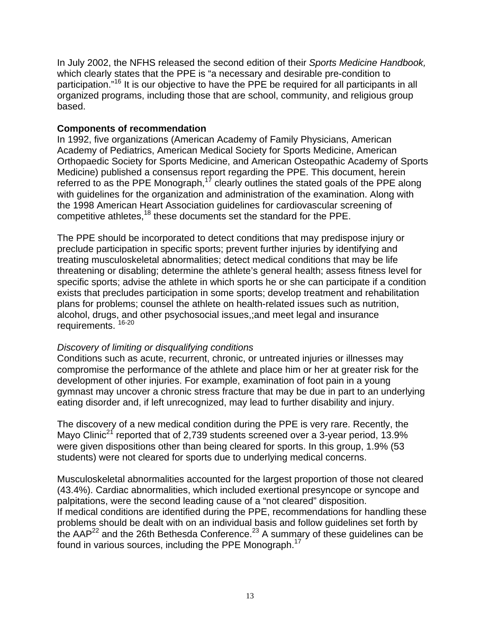In July 2002, the NFHS released the second edition of their *Sports Medicine Handbook,* which clearly states that the PPE is "a necessary and desirable pre-condition to participation."16 It is our objective to have the PPE be required for all participants in all organized programs, including those that are school, community, and religious group based.

#### **Components of recommendation**

In 1992, five organizations (American Academy of Family Physicians, American Academy of Pediatrics, American Medical Society for Sports Medicine, American Orthopaedic Society for Sports Medicine, and American Osteopathic Academy of Sports Medicine) published a consensus report regarding the PPE. This document, herein referred to as the PPE Monograph,<sup>17</sup> clearly outlines the stated goals of the PPE along with guidelines for the organization and administration of the examination. Along with the 1998 American Heart Association guidelines for cardiovascular screening of competitive athletes,<sup>18</sup> these documents set the standard for the PPE.

The PPE should be incorporated to detect conditions that may predispose injury or preclude participation in specific sports; prevent further injuries by identifying and treating musculoskeletal abnormalities; detect medical conditions that may be life threatening or disabling; determine the athlete's general health; assess fitness level for specific sports; advise the athlete in which sports he or she can participate if a condition exists that precludes participation in some sports; develop treatment and rehabilitation plans for problems; counsel the athlete on health-related issues such as nutrition, alcohol, drugs, and other psychosocial issues,;and meet legal and insurance requirements. 16-20

#### *Discovery of limiting or disqualifying conditions*

Conditions such as acute, recurrent, chronic, or untreated injuries or illnesses may compromise the performance of the athlete and place him or her at greater risk for the development of other injuries. For example, examination of foot pain in a young gymnast may uncover a chronic stress fracture that may be due in part to an underlying eating disorder and, if left unrecognized, may lead to further disability and injury.

The discovery of a new medical condition during the PPE is very rare. Recently, the Mayo Clinic<sup>21</sup> reported that of 2,739 students screened over a 3-year period, 13.9% were given dispositions other than being cleared for sports. In this group, 1.9% (53 students) were not cleared for sports due to underlying medical concerns.

Musculoskeletal abnormalities accounted for the largest proportion of those not cleared (43.4%). Cardiac abnormalities, which included exertional presyncope or syncope and palpitations, were the second leading cause of a "not cleared" disposition. If medical conditions are identified during the PPE, recommendations for handling these problems should be dealt with on an individual basis and follow guidelines set forth by the AAP<sup>22</sup> and the 26th Bethesda Conference.<sup>23</sup> A summary of these guidelines can be found in various sources, including the PPE Monograph.<sup>17</sup>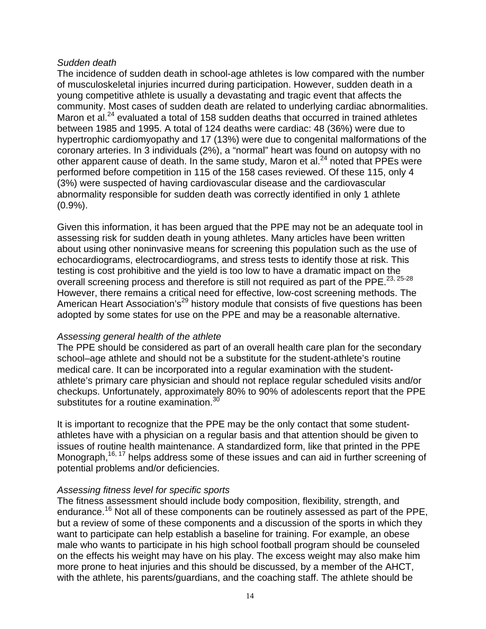#### *Sudden death*

The incidence of sudden death in school-age athletes is low compared with the number of musculoskeletal injuries incurred during participation. However, sudden death in a young competitive athlete is usually a devastating and tragic event that affects the community. Most cases of sudden death are related to underlying cardiac abnormalities. Maron et al. $^{24}$  evaluated a total of 158 sudden deaths that occurred in trained athletes between 1985 and 1995. A total of 124 deaths were cardiac: 48 (36%) were due to hypertrophic cardiomyopathy and 17 (13%) were due to congenital malformations of the coronary arteries. In 3 individuals (2%), a "normal" heart was found on autopsy with no other apparent cause of death. In the same study, Maron et al.<sup>24</sup> noted that PPEs were performed before competition in 115 of the 158 cases reviewed. Of these 115, only 4 (3%) were suspected of having cardiovascular disease and the cardiovascular abnormality responsible for sudden death was correctly identified in only 1 athlete (0.9%).

Given this information, it has been argued that the PPE may not be an adequate tool in assessing risk for sudden death in young athletes. Many articles have been written about using other noninvasive means for screening this population such as the use of echocardiograms, electrocardiograms, and stress tests to identify those at risk. This testing is cost prohibitive and the yield is too low to have a dramatic impact on the overall screening process and therefore is still not required as part of the PPE.23, 25-28 However, there remains a critical need for effective, low-cost screening methods. The American Heart Association's<sup>29</sup> history module that consists of five questions has been adopted by some states for use on the PPE and may be a reasonable alternative.

#### *Assessing general health of the athlete*

The PPE should be considered as part of an overall health care plan for the secondary school–age athlete and should not be a substitute for the student-athlete's routine medical care. It can be incorporated into a regular examination with the studentathlete's primary care physician and should not replace regular scheduled visits and/or checkups. Unfortunately, approximately 80% to 90% of adolescents report that the PPE substitutes for a routine examination.<sup>30</sup>

It is important to recognize that the PPE may be the only contact that some studentathletes have with a physician on a regular basis and that attention should be given to issues of routine health maintenance. A standardized form, like that printed in the PPE Monograph,<sup>16, 17</sup> helps address some of these issues and can aid in further screening of potential problems and/or deficiencies.

#### *Assessing fitness level for specific sports*

The fitness assessment should include body composition, flexibility, strength, and endurance.<sup>16</sup> Not all of these components can be routinely assessed as part of the PPE, but a review of some of these components and a discussion of the sports in which they want to participate can help establish a baseline for training. For example, an obese male who wants to participate in his high school football program should be counseled on the effects his weight may have on his play. The excess weight may also make him more prone to heat injuries and this should be discussed, by a member of the AHCT, with the athlete, his parents/guardians, and the coaching staff. The athlete should be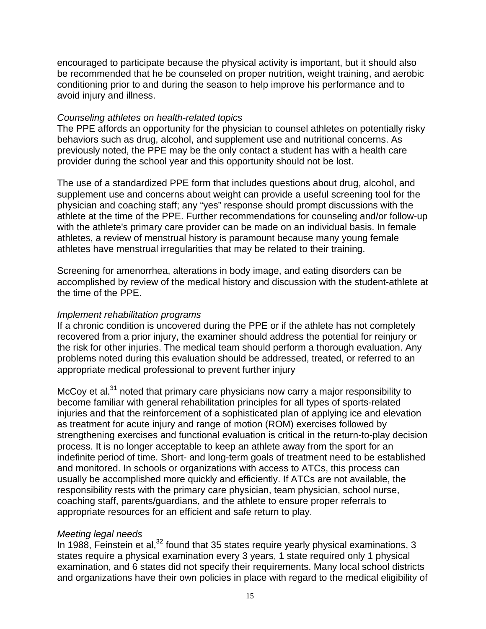encouraged to participate because the physical activity is important, but it should also be recommended that he be counseled on proper nutrition, weight training, and aerobic conditioning prior to and during the season to help improve his performance and to avoid injury and illness.

#### *Counseling athletes on health-related topics*

The PPE affords an opportunity for the physician to counsel athletes on potentially risky behaviors such as drug, alcohol, and supplement use and nutritional concerns. As previously noted, the PPE may be the only contact a student has with a health care provider during the school year and this opportunity should not be lost.

The use of a standardized PPE form that includes questions about drug, alcohol, and supplement use and concerns about weight can provide a useful screening tool for the physician and coaching staff; any "yes" response should prompt discussions with the athlete at the time of the PPE. Further recommendations for counseling and/or follow-up with the athlete's primary care provider can be made on an individual basis. In female athletes, a review of menstrual history is paramount because many young female athletes have menstrual irregularities that may be related to their training.

Screening for amenorrhea, alterations in body image, and eating disorders can be accomplished by review of the medical history and discussion with the student-athlete at the time of the PPE.

#### *Implement rehabilitation programs*

If a chronic condition is uncovered during the PPE or if the athlete has not completely recovered from a prior injury, the examiner should address the potential for reinjury or the risk for other injuries. The medical team should perform a thorough evaluation. Any problems noted during this evaluation should be addressed, treated, or referred to an appropriate medical professional to prevent further injury

McCoy et al.<sup>31</sup> noted that primary care physicians now carry a major responsibility to become familiar with general rehabilitation principles for all types of sports-related injuries and that the reinforcement of a sophisticated plan of applying ice and elevation as treatment for acute injury and range of motion (ROM) exercises followed by strengthening exercises and functional evaluation is critical in the return-to-play decision process. It is no longer acceptable to keep an athlete away from the sport for an indefinite period of time. Short- and long-term goals of treatment need to be established and monitored. In schools or organizations with access to ATCs, this process can usually be accomplished more quickly and efficiently. If ATCs are not available, the responsibility rests with the primary care physician, team physician, school nurse, coaching staff, parents/guardians, and the athlete to ensure proper referrals to appropriate resources for an efficient and safe return to play.

#### *Meeting legal needs*

In 1988, Feinstein et al,  $32$  found that 35 states require yearly physical examinations, 3 states require a physical examination every 3 years, 1 state required only 1 physical examination, and 6 states did not specify their requirements. Many local school districts and organizations have their own policies in place with regard to the medical eligibility of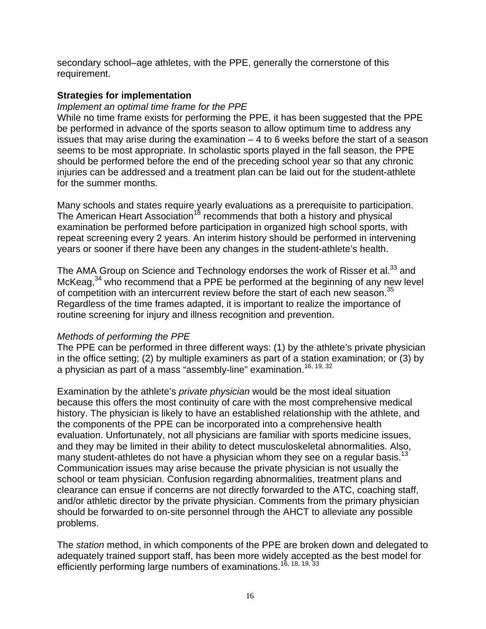secondary school–age athletes, with the PPE, generally the cornerstone of this requirement.

#### **Strategies for implementation**

#### *Implement an optimal time frame for the PPE*

While no time frame exists for performing the PPE, it has been suggested that the PPE be performed in advance of the sports season to allow optimum time to address any issues that may arise during the examination  $-4$  to 6 weeks before the start of a season seems to be most appropriate. In scholastic sports played in the fall season, the PPE should be performed before the end of the preceding school year so that any chronic injuries can be addressed and a treatment plan can be laid out for the student-athlete for the summer months.

Many schools and states require yearly evaluations as a prerequisite to participation. The American Heart Association<sup>18</sup> recommends that both a history and physical examination be performed before participation in organized high school sports, with repeat screening every 2 years. An interim history should be performed in intervening years or sooner if there have been any changes in the student-athlete's health.

The AMA Group on Science and Technology endorses the work of Risser et al.<sup>33</sup> and McKeag,  $34$  who recommend that a PPE be performed at the beginning of any new level of competition with an intercurrent review before the start of each new season.<sup>35</sup> Regardless of the time frames adapted, it is important to realize the importance of routine screening for injury and illness recognition and prevention.

#### *Methods of performing the PPE*

The PPE can be performed in three different ways: (1) by the athlete's private physician in the office setting; (2) by multiple examiners as part of a station examination; or (3) by a physician as part of a mass "assembly-line" examination.<sup>16, 19, 32</sup>

Examination by the athlete's *private physician* would be the most ideal situation because this offers the most continuity of care with the most comprehensive medical history. The physician is likely to have an established relationship with the athlete, and the components of the PPE can be incorporated into a comprehensive health evaluation. Unfortunately, not all physicians are familiar with sports medicine issues, and they may be limited in their ability to detect musculoskeletal abnormalities. Also, many student-athletes do not have a physician whom they see on a regular basis.<sup>13</sup> Communication issues may arise because the private physician is not usually the school or team physician. Confusion regarding abnormalities, treatment plans and clearance can ensue if concerns are not directly forwarded to the ATC, coaching staff, and/or athletic director by the private physician. Comments from the primary physician should be forwarded to on-site personnel through the AHCT to alleviate any possible problems.

The *station* method, in which components of the PPE are broken down and delegated to adequately trained support staff, has been more widely accepted as the best model for efficiently performing large numbers of examinations.<sup>16, 18, 19, 33</sup>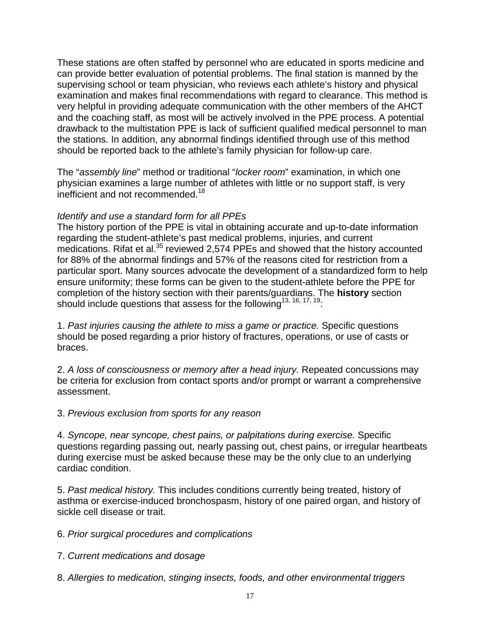These stations are often staffed by personnel who are educated in sports medicine and can provide better evaluation of potential problems. The final station is manned by the supervising school or team physician, who reviews each athlete's history and physical examination and makes final recommendations with regard to clearance. This method is very helpful in providing adequate communication with the other members of the AHCT and the coaching staff, as most will be actively involved in the PPE process. A potential drawback to the multistation PPE is lack of sufficient qualified medical personnel to man the stations. In addition, any abnormal findings identified through use of this method should be reported back to the athlete's family physician for follow-up care.

The "*assembly line*" method or traditional "*locker room*" examination, in which one physician examines a large number of athletes with little or no support staff, is very inefficient and not recommended.<sup>18</sup>

# *Identify and use a standard form for all PPEs*

The history portion of the PPE is vital in obtaining accurate and up-to-date information regarding the student-athlete's past medical problems, injuries, and current medications. Rifat et al.<sup>35</sup> reviewed 2,574 PPEs and showed that the history accounted for 88% of the abnormal findings and 57% of the reasons cited for restriction from a particular sport. Many sources advocate the development of a standardized form to help ensure uniformity; these forms can be given to the student-athlete before the PPE for completion of the history section with their parents/guardians. The **history** section should include questions that assess for the following<sup>13, 16, 17, 19</sup>:

1. *Past injuries causing the athlete to miss a game or practice.* Specific questions should be posed regarding a prior history of fractures, operations, or use of casts or braces.

2. *A loss of consciousness or memory after a head injury.* Repeated concussions may be criteria for exclusion from contact sports and/or prompt or warrant a comprehensive assessment.

#### 3. *Previous exclusion from sports for any reason*

4. *Syncope, near syncope, chest pains, or palpitations during exercise.* Specific questions regarding passing out, nearly passing out, chest pains, or irregular heartbeats during exercise must be asked because these may be the only clue to an underlying cardiac condition.

5. *Past medical history.* This includes conditions currently being treated, history of asthma or exercise-induced bronchospasm, history of one paired organ, and history of sickle cell disease or trait.

6. *Prior surgical procedures and complications* 

7. *Current medications and dosage* 

8. *Allergies to medication, stinging insects, foods, and other environmental triggers*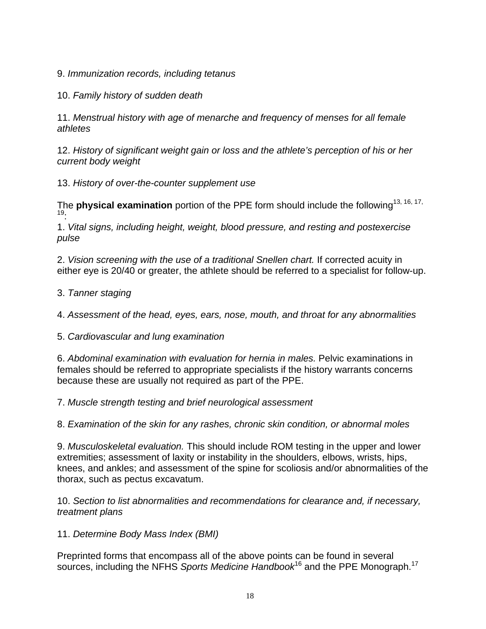9. *Immunization records, including tetanus* 

10. *Family history of sudden death* 

11. *Menstrual history with age of menarche and frequency of menses for all female athletes* 

12. *History of significant weight gain or loss and the athlete's perception of his or her current body weight* 

13. *History of over-the-counter supplement use* 

The **physical examination** portion of the PPE form should include the following<sup>13, 16, 17,</sup> 19:

1. *Vital signs, including height, weight, blood pressure, and resting and postexercise pulse* 

2. *Vision screening with the use of a traditional Snellen chart.* If corrected acuity in either eye is 20/40 or greater, the athlete should be referred to a specialist for follow-up.

3. *Tanner staging* 

4. *Assessment of the head, eyes, ears, nose, mouth, and throat for any abnormalities*

5. *Cardiovascular and lung examination* 

6. *Abdominal examination with evaluation for hernia in males.* Pelvic examinations in females should be referred to appropriate specialists if the history warrants concerns because these are usually not required as part of the PPE.

7. *Muscle strength testing and brief neurological assessment* 

8. *Examination of the skin for any rashes, chronic skin condition, or abnormal moles* 

9. *Musculoskeletal evaluation.* This should include ROM testing in the upper and lower extremities; assessment of laxity or instability in the shoulders, elbows, wrists, hips, knees, and ankles; and assessment of the spine for scoliosis and/or abnormalities of the thorax, such as pectus excavatum.

10. *Section to list abnormalities and recommendations for clearance and, if necessary, treatment plans*

11. *Determine Body Mass Index (BMI)*

Preprinted forms that encompass all of the above points can be found in several sources, including the NFHS *Sports Medicine Handbook*16 and the PPE Monograph.17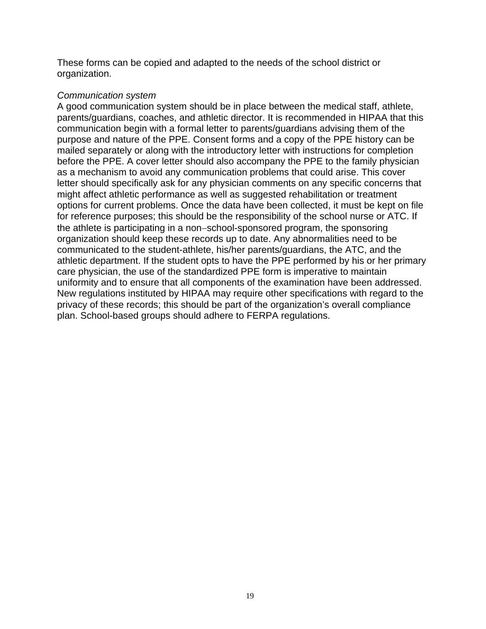These forms can be copied and adapted to the needs of the school district or organization.

#### *Communication system*

A good communication system should be in place between the medical staff, athlete, parents/guardians, coaches, and athletic director. It is recommended in HIPAA that this communication begin with a formal letter to parents/guardians advising them of the purpose and nature of the PPE. Consent forms and a copy of the PPE history can be mailed separately or along with the introductory letter with instructions for completion before the PPE. A cover letter should also accompany the PPE to the family physician as a mechanism to avoid any communication problems that could arise. This cover letter should specifically ask for any physician comments on any specific concerns that might affect athletic performance as well as suggested rehabilitation or treatment options for current problems. Once the data have been collected, it must be kept on file for reference purposes; this should be the responsibility of the school nurse or ATC. If the athlete is participating in a non−school-sponsored program, the sponsoring organization should keep these records up to date. Any abnormalities need to be communicated to the student-athlete, his/her parents/guardians, the ATC, and the athletic department. If the student opts to have the PPE performed by his or her primary care physician, the use of the standardized PPE form is imperative to maintain uniformity and to ensure that all components of the examination have been addressed. New regulations instituted by HIPAA may require other specifications with regard to the privacy of these records; this should be part of the organization's overall compliance plan. School-based groups should adhere to FERPA regulations.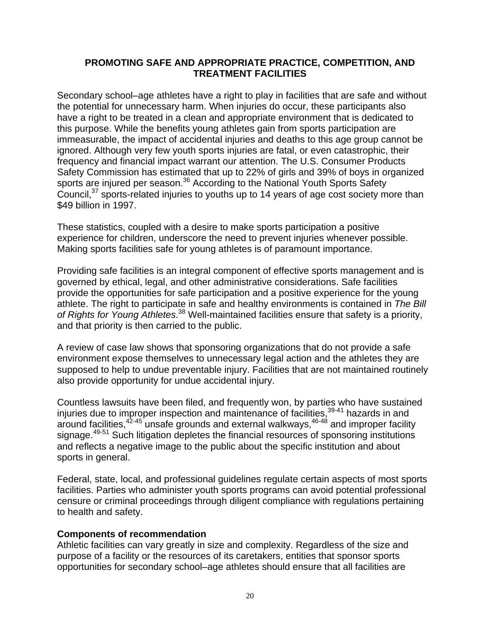#### **PROMOTING SAFE AND APPROPRIATE PRACTICE, COMPETITION, AND TREATMENT FACILITIES**

Secondary school–age athletes have a right to play in facilities that are safe and without the potential for unnecessary harm. When injuries do occur, these participants also have a right to be treated in a clean and appropriate environment that is dedicated to this purpose. While the benefits young athletes gain from sports participation are immeasurable, the impact of accidental injuries and deaths to this age group cannot be ignored. Although very few youth sports injuries are fatal, or even catastrophic, their frequency and financial impact warrant our attention. The U.S. Consumer Products Safety Commission has estimated that up to 22% of girls and 39% of boys in organized sports are injured per season.<sup>36</sup> According to the National Youth Sports Safety Council,<sup>37</sup> sports-related injuries to youths up to 14 years of age cost society more than \$49 billion in 1997.

These statistics, coupled with a desire to make sports participation a positive experience for children, underscore the need to prevent injuries whenever possible. Making sports facilities safe for young athletes is of paramount importance.

Providing safe facilities is an integral component of effective sports management and is governed by ethical, legal, and other administrative considerations. Safe facilities provide the opportunities for safe participation and a positive experience for the young athlete. The right to participate in safe and healthy environments is contained in *The Bill of Rights for Young Athletes*. 38 Well-maintained facilities ensure that safety is a priority, and that priority is then carried to the public.

A review of case law shows that sponsoring organizations that do not provide a safe environment expose themselves to unnecessary legal action and the athletes they are supposed to help to undue preventable injury. Facilities that are not maintained routinely also provide opportunity for undue accidental injury.

Countless lawsuits have been filed, and frequently won, by parties who have sustained injuries due to improper inspection and maintenance of facilities,  $39-41$  hazards in and around facilities, $42-45$  unsafe grounds and external walkways, $46-48$  and improper facility signage.<sup>49-51</sup> Such litigation depletes the financial resources of sponsoring institutions and reflects a negative image to the public about the specific institution and about sports in general.

Federal, state, local, and professional guidelines regulate certain aspects of most sports facilities. Parties who administer youth sports programs can avoid potential professional censure or criminal proceedings through diligent compliance with regulations pertaining to health and safety.

#### **Components of recommendation**

Athletic facilities can vary greatly in size and complexity. Regardless of the size and purpose of a facility or the resources of its caretakers, entities that sponsor sports opportunities for secondary school–age athletes should ensure that all facilities are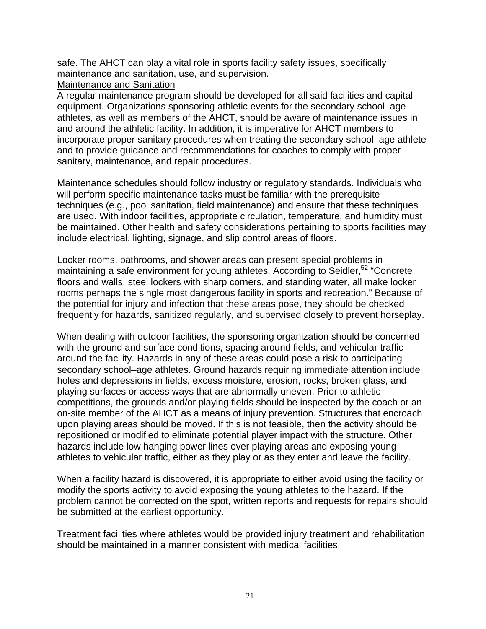safe. The AHCT can play a vital role in sports facility safety issues, specifically maintenance and sanitation, use, and supervision.

#### Maintenance and Sanitation

A regular maintenance program should be developed for all said facilities and capital equipment. Organizations sponsoring athletic events for the secondary school–age athletes, as well as members of the AHCT, should be aware of maintenance issues in and around the athletic facility. In addition, it is imperative for AHCT members to incorporate proper sanitary procedures when treating the secondary school–age athlete and to provide guidance and recommendations for coaches to comply with proper sanitary, maintenance, and repair procedures.

Maintenance schedules should follow industry or regulatory standards. Individuals who will perform specific maintenance tasks must be familiar with the prerequisite techniques (e.g., pool sanitation, field maintenance) and ensure that these techniques are used. With indoor facilities, appropriate circulation, temperature, and humidity must be maintained. Other health and safety considerations pertaining to sports facilities may include electrical, lighting, signage, and slip control areas of floors.

Locker rooms, bathrooms, and shower areas can present special problems in maintaining a safe environment for young athletes. According to Seidler,<sup>52</sup> "Concrete" floors and walls, steel lockers with sharp corners, and standing water, all make locker rooms perhaps the single most dangerous facility in sports and recreation." Because of the potential for injury and infection that these areas pose, they should be checked frequently for hazards, sanitized regularly, and supervised closely to prevent horseplay.

When dealing with outdoor facilities, the sponsoring organization should be concerned with the ground and surface conditions, spacing around fields, and vehicular traffic around the facility. Hazards in any of these areas could pose a risk to participating secondary school–age athletes. Ground hazards requiring immediate attention include holes and depressions in fields, excess moisture, erosion, rocks, broken glass, and playing surfaces or access ways that are abnormally uneven. Prior to athletic competitions, the grounds and/or playing fields should be inspected by the coach or an on-site member of the AHCT as a means of injury prevention. Structures that encroach upon playing areas should be moved. If this is not feasible, then the activity should be repositioned or modified to eliminate potential player impact with the structure. Other hazards include low hanging power lines over playing areas and exposing young athletes to vehicular traffic, either as they play or as they enter and leave the facility.

When a facility hazard is discovered, it is appropriate to either avoid using the facility or modify the sports activity to avoid exposing the young athletes to the hazard. If the problem cannot be corrected on the spot, written reports and requests for repairs should be submitted at the earliest opportunity.

Treatment facilities where athletes would be provided injury treatment and rehabilitation should be maintained in a manner consistent with medical facilities.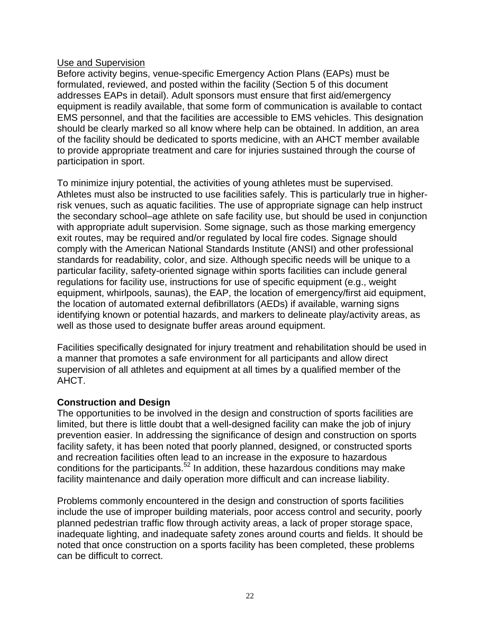#### Use and Supervision

Before activity begins, venue-specific Emergency Action Plans (EAPs) must be formulated, reviewed, and posted within the facility (Section 5 of this document addresses EAPs in detail). Adult sponsors must ensure that first aid/emergency equipment is readily available, that some form of communication is available to contact EMS personnel, and that the facilities are accessible to EMS vehicles. This designation should be clearly marked so all know where help can be obtained. In addition, an area of the facility should be dedicated to sports medicine, with an AHCT member available to provide appropriate treatment and care for injuries sustained through the course of participation in sport.

To minimize injury potential, the activities of young athletes must be supervised. Athletes must also be instructed to use facilities safely. This is particularly true in higherrisk venues, such as aquatic facilities. The use of appropriate signage can help instruct the secondary school–age athlete on safe facility use, but should be used in conjunction with appropriate adult supervision. Some signage, such as those marking emergency exit routes, may be required and/or regulated by local fire codes. Signage should comply with the American National Standards Institute (ANSI) and other professional standards for readability, color, and size. Although specific needs will be unique to a particular facility, safety-oriented signage within sports facilities can include general regulations for facility use, instructions for use of specific equipment (e.g., weight equipment, whirlpools, saunas), the EAP, the location of emergency/first aid equipment, the location of automated external defibrillators (AEDs) if available, warning signs identifying known or potential hazards, and markers to delineate play/activity areas, as well as those used to designate buffer areas around equipment.

Facilities specifically designated for injury treatment and rehabilitation should be used in a manner that promotes a safe environment for all participants and allow direct supervision of all athletes and equipment at all times by a qualified member of the AHCT.

# **Construction and Design**

The opportunities to be involved in the design and construction of sports facilities are limited, but there is little doubt that a well-designed facility can make the job of injury prevention easier. In addressing the significance of design and construction on sports facility safety, it has been noted that poorly planned, designed, or constructed sports and recreation facilities often lead to an increase in the exposure to hazardous conditions for the participants.<sup>52</sup> In addition, these hazardous conditions may make facility maintenance and daily operation more difficult and can increase liability.

Problems commonly encountered in the design and construction of sports facilities include the use of improper building materials, poor access control and security, poorly planned pedestrian traffic flow through activity areas, a lack of proper storage space, inadequate lighting, and inadequate safety zones around courts and fields. It should be noted that once construction on a sports facility has been completed, these problems can be difficult to correct.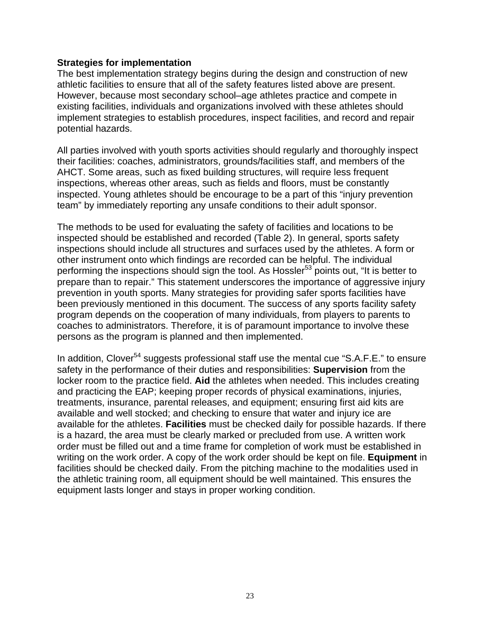#### **Strategies for implementation**

The best implementation strategy begins during the design and construction of new athletic facilities to ensure that all of the safety features listed above are present. However, because most secondary school–age athletes practice and compete in existing facilities, individuals and organizations involved with these athletes should implement strategies to establish procedures, inspect facilities, and record and repair potential hazards.

All parties involved with youth sports activities should regularly and thoroughly inspect their facilities: coaches, administrators, grounds/facilities staff, and members of the AHCT. Some areas, such as fixed building structures, will require less frequent inspections, whereas other areas, such as fields and floors, must be constantly inspected. Young athletes should be encourage to be a part of this "injury prevention team" by immediately reporting any unsafe conditions to their adult sponsor.

The methods to be used for evaluating the safety of facilities and locations to be inspected should be established and recorded (Table 2). In general, sports safety inspections should include all structures and surfaces used by the athletes. A form or other instrument onto which findings are recorded can be helpful. The individual performing the inspections should sign the tool. As Hossler<sup>53</sup> points out, "It is better to prepare than to repair." This statement underscores the importance of aggressive injury prevention in youth sports. Many strategies for providing safer sports facilities have been previously mentioned in this document. The success of any sports facility safety program depends on the cooperation of many individuals, from players to parents to coaches to administrators. Therefore, it is of paramount importance to involve these persons as the program is planned and then implemented.

In addition, Clover<sup>54</sup> suggests professional staff use the mental cue "S.A.F.E." to ensure safety in the performance of their duties and responsibilities: **Supervision** from the locker room to the practice field. **Aid** the athletes when needed. This includes creating and practicing the EAP; keeping proper records of physical examinations, injuries, treatments, insurance, parental releases, and equipment; ensuring first aid kits are available and well stocked; and checking to ensure that water and injury ice are available for the athletes. **Facilities** must be checked daily for possible hazards. If there is a hazard, the area must be clearly marked or precluded from use. A written work order must be filled out and a time frame for completion of work must be established in writing on the work order. A copy of the work order should be kept on file. **Equipment** in facilities should be checked daily. From the pitching machine to the modalities used in the athletic training room, all equipment should be well maintained. This ensures the equipment lasts longer and stays in proper working condition.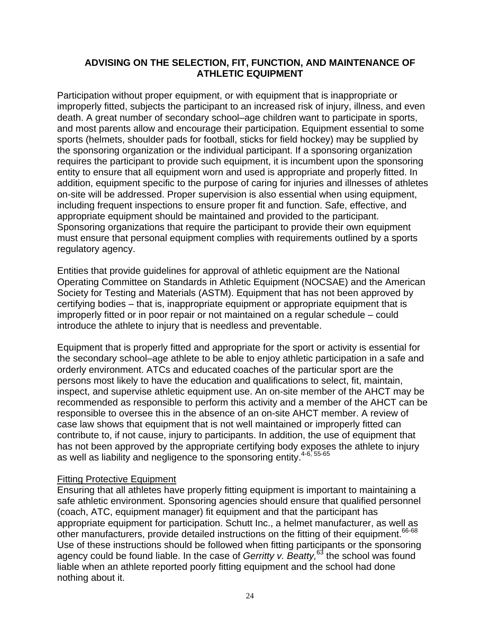#### **ADVISING ON THE SELECTION, FIT, FUNCTION, AND MAINTENANCE OF ATHLETIC EQUIPMENT**

Participation without proper equipment, or with equipment that is inappropriate or improperly fitted, subjects the participant to an increased risk of injury, illness, and even death. A great number of secondary school–age children want to participate in sports, and most parents allow and encourage their participation. Equipment essential to some sports (helmets, shoulder pads for football, sticks for field hockey) may be supplied by the sponsoring organization or the individual participant. If a sponsoring organization requires the participant to provide such equipment, it is incumbent upon the sponsoring entity to ensure that all equipment worn and used is appropriate and properly fitted. In addition, equipment specific to the purpose of caring for injuries and illnesses of athletes on-site will be addressed. Proper supervision is also essential when using equipment, including frequent inspections to ensure proper fit and function. Safe, effective, and appropriate equipment should be maintained and provided to the participant. Sponsoring organizations that require the participant to provide their own equipment must ensure that personal equipment complies with requirements outlined by a sports regulatory agency.

Entities that provide guidelines for approval of athletic equipment are the National Operating Committee on Standards in Athletic Equipment (NOCSAE) and the American Society for Testing and Materials (ASTM). Equipment that has not been approved by certifying bodies – that is, inappropriate equipment or appropriate equipment that is improperly fitted or in poor repair or not maintained on a regular schedule – could introduce the athlete to injury that is needless and preventable.

Equipment that is properly fitted and appropriate for the sport or activity is essential for the secondary school–age athlete to be able to enjoy athletic participation in a safe and orderly environment. ATCs and educated coaches of the particular sport are the persons most likely to have the education and qualifications to select, fit, maintain, inspect, and supervise athletic equipment use. An on-site member of the AHCT may be recommended as responsible to perform this activity and a member of the AHCT can be responsible to oversee this in the absence of an on-site AHCT member. A review of case law shows that equipment that is not well maintained or improperly fitted can contribute to, if not cause, injury to participants. In addition, the use of equipment that has not been approved by the appropriate certifying body exposes the athlete to injury as well as liability and negligence to the sponsoring entity.<sup>4-6, 55-65</sup>

#### Fitting Protective Equipment

Ensuring that all athletes have properly fitting equipment is important to maintaining a safe athletic environment. Sponsoring agencies should ensure that qualified personnel (coach, ATC, equipment manager) fit equipment and that the participant has appropriate equipment for participation. Schutt Inc., a helmet manufacturer, as well as other manufacturers, provide detailed instructions on the fitting of their equipment.<sup>66-68</sup> Use of these instructions should be followed when fitting participants or the sponsoring agency could be found liable. In the case of *Gerritty v. Beatty*,<sup>63</sup> the school was found liable when an athlete reported poorly fitting equipment and the school had done nothing about it.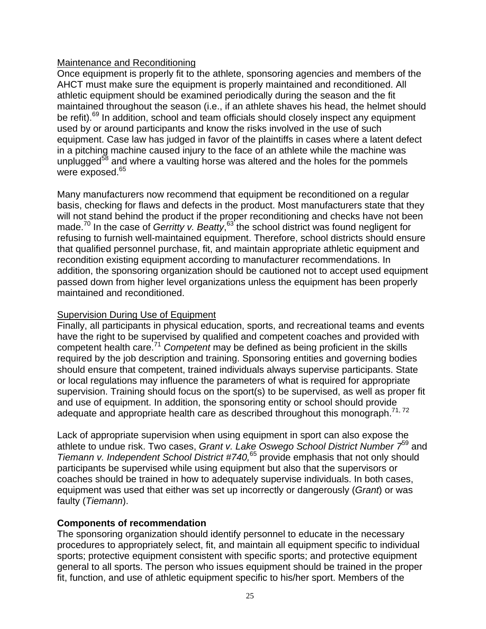# Maintenance and Reconditioning

Once equipment is properly fit to the athlete, sponsoring agencies and members of the AHCT must make sure the equipment is properly maintained and reconditioned. All athletic equipment should be examined periodically during the season and the fit maintained throughout the season (i.e., if an athlete shaves his head, the helmet should be refit).<sup>69</sup> In addition, school and team officials should closely inspect any equipment used by or around participants and know the risks involved in the use of such equipment. Case law has judged in favor of the plaintiffs in cases where a latent defect in a pitching machine caused injury to the face of an athlete while the machine was unplugged<sup>58</sup> and where a vaulting horse was altered and the holes for the pommels were exposed.<sup>65</sup>

Many manufacturers now recommend that equipment be reconditioned on a regular basis, checking for flaws and defects in the product. Most manufacturers state that they will not stand behind the product if the proper reconditioning and checks have not been made.<sup>70</sup> In the case of *Gerritty v. Beatty*,<sup>63</sup> the school district was found negligent for refusing to furnish well-maintained equipment. Therefore, school districts should ensure that qualified personnel purchase, fit, and maintain appropriate athletic equipment and recondition existing equipment according to manufacturer recommendations. In addition, the sponsoring organization should be cautioned not to accept used equipment passed down from higher level organizations unless the equipment has been properly maintained and reconditioned.

#### Supervision During Use of Equipment

Finally, all participants in physical education, sports, and recreational teams and events have the right to be supervised by qualified and competent coaches and provided with competent health care.<sup>71</sup> *Competent* may be defined as being proficient in the skills required by the job description and training. Sponsoring entities and governing bodies should ensure that competent, trained individuals always supervise participants. State or local regulations may influence the parameters of what is required for appropriate supervision. Training should focus on the sport(s) to be supervised, as well as proper fit and use of equipment. In addition, the sponsoring entity or school should provide adequate and appropriate health care as described throughout this monograph.<sup>71, 72</sup>

Lack of appropriate supervision when using equipment in sport can also expose the athlete to undue risk. Two cases, *Grant v. Lake Oswego School District Number 7*59 and *Tiemann v. Independent School District #740,*65 provide emphasis that not only should participants be supervised while using equipment but also that the supervisors or coaches should be trained in how to adequately supervise individuals. In both cases, equipment was used that either was set up incorrectly or dangerously (*Grant*) or was faulty (*Tiemann*).

#### **Components of recommendation**

The sponsoring organization should identify personnel to educate in the necessary procedures to appropriately select, fit, and maintain all equipment specific to individual sports; protective equipment consistent with specific sports; and protective equipment general to all sports. The person who issues equipment should be trained in the proper fit, function, and use of athletic equipment specific to his/her sport. Members of the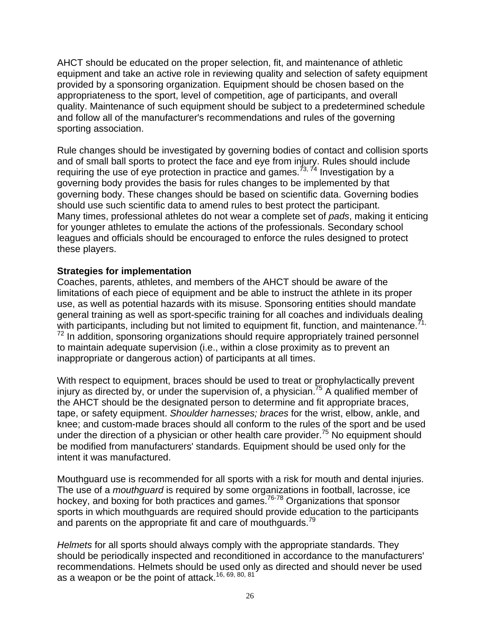AHCT should be educated on the proper selection, fit, and maintenance of athletic equipment and take an active role in reviewing quality and selection of safety equipment provided by a sponsoring organization. Equipment should be chosen based on the appropriateness to the sport, level of competition, age of participants, and overall quality. Maintenance of such equipment should be subject to a predetermined schedule and follow all of the manufacturer's recommendations and rules of the governing sporting association.

Rule changes should be investigated by governing bodies of contact and collision sports and of small ball sports to protect the face and eye from injury. Rules should include requiring the use of eye protection in practice and games.<sup> $73, 74$ </sup> Investigation by a governing body provides the basis for rules changes to be implemented by that governing body. These changes should be based on scientific data. Governing bodies should use such scientific data to amend rules to best protect the participant. Many times, professional athletes do not wear a complete set of *pads*, making it enticing for younger athletes to emulate the actions of the professionals. Secondary school leagues and officials should be encouraged to enforce the rules designed to protect these players.

# **Strategies for implementation**

Coaches, parents, athletes, and members of the AHCT should be aware of the limitations of each piece of equipment and be able to instruct the athlete in its proper use, as well as potential hazards with its misuse. Sponsoring entities should mandate general training as well as sport-specific training for all coaches and individuals dealing with participants, including but not limited to equipment fit, function, and maintenance. $^{\tilde{7}1,1}$  $72$  In addition, sponsoring organizations should require appropriately trained personnel to maintain adequate supervision (i.e., within a close proximity as to prevent an inappropriate or dangerous action) of participants at all times.

With respect to equipment, braces should be used to treat or prophylactically prevent injury as directed by, or under the supervision of, a physician.<sup>75</sup> A qualified member of the AHCT should be the designated person to determine and fit appropriate braces, tape, or safety equipment. *Shoulder harnesses; braces* for the wrist, elbow, ankle, and knee; and custom-made braces should all conform to the rules of the sport and be used under the direction of a physician or other health care provider.<sup>75</sup> No equipment should be modified from manufacturers' standards. Equipment should be used only for the intent it was manufactured.

Mouthguard use is recommended for all sports with a risk for mouth and dental injuries. The use of a *mouthguard* is required by some organizations in football, lacrosse, ice hockey, and boxing for both practices and games.76-78 Organizations that sponsor sports in which mouthguards are required should provide education to the participants and parents on the appropriate fit and care of mouthguards.<sup>79</sup>

*Helmets* for all sports should always comply with the appropriate standards. They should be periodically inspected and reconditioned in accordance to the manufacturers' recommendations. Helmets should be used only as directed and should never be used as a weapon or be the point of attack.16, 69, 80, 81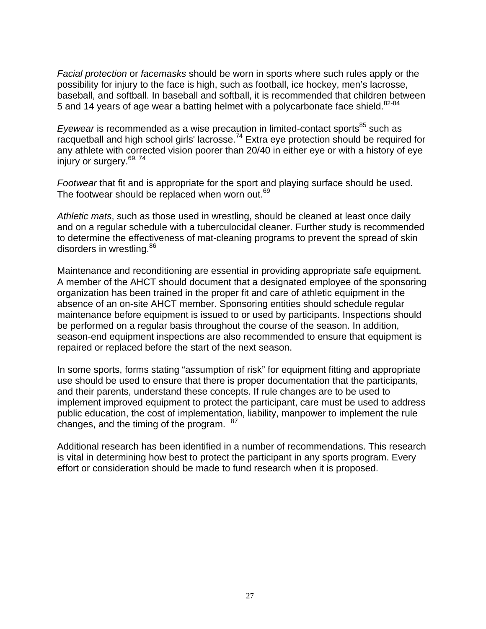*Facial protection* or *facemasks* should be worn in sports where such rules apply or the possibility for injury to the face is high, such as football, ice hockey, men's lacrosse, baseball, and softball. In baseball and softball, it is recommended that children between 5 and 14 years of age wear a batting helmet with a polycarbonate face shield.<sup>82-84</sup>

*Eyewear* is recommended as a wise precaution in limited-contact sports<sup>85</sup> such as racquetball and high school girls' lacrosse.74 Extra eye protection should be required for any athlete with corrected vision poorer than 20/40 in either eye or with a history of eye injury or surgery.<sup>69, 74</sup>

*Footwear* that fit and is appropriate for the sport and playing surface should be used. The footwear should be replaced when worn out.<sup>69</sup>

*Athletic mats*, such as those used in wrestling, should be cleaned at least once daily and on a regular schedule with a tuberculocidal cleaner. Further study is recommended to determine the effectiveness of mat-cleaning programs to prevent the spread of skin disorders in wrestling.<sup>86</sup>

Maintenance and reconditioning are essential in providing appropriate safe equipment. A member of the AHCT should document that a designated employee of the sponsoring organization has been trained in the proper fit and care of athletic equipment in the absence of an on-site AHCT member. Sponsoring entities should schedule regular maintenance before equipment is issued to or used by participants. Inspections should be performed on a regular basis throughout the course of the season. In addition, season-end equipment inspections are also recommended to ensure that equipment is repaired or replaced before the start of the next season.

In some sports, forms stating "assumption of risk" for equipment fitting and appropriate use should be used to ensure that there is proper documentation that the participants, and their parents, understand these concepts. If rule changes are to be used to implement improved equipment to protect the participant, care must be used to address public education, the cost of implementation, liability, manpower to implement the rule changes, and the timing of the program.  $87$ 

Additional research has been identified in a number of recommendations. This research is vital in determining how best to protect the participant in any sports program. Every effort or consideration should be made to fund research when it is proposed.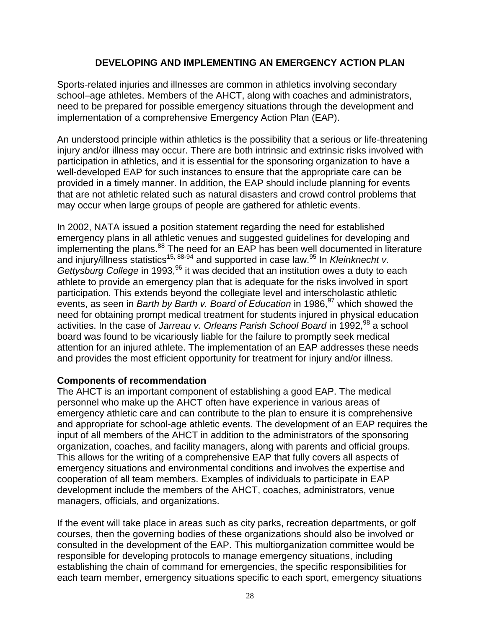# **DEVELOPING AND IMPLEMENTING AN EMERGENCY ACTION PLAN**

Sports-related injuries and illnesses are common in athletics involving secondary school–age athletes. Members of the AHCT, along with coaches and administrators, need to be prepared for possible emergency situations through the development and implementation of a comprehensive Emergency Action Plan (EAP).

An understood principle within athletics is the possibility that a serious or life-threatening injury and/or illness may occur. There are both intrinsic and extrinsic risks involved with participation in athletics, and it is essential for the sponsoring organization to have a well-developed EAP for such instances to ensure that the appropriate care can be provided in a timely manner. In addition, the EAP should include planning for events that are not athletic related such as natural disasters and crowd control problems that may occur when large groups of people are gathered for athletic events.

In 2002, NATA issued a position statement regarding the need for established emergency plans in all athletic venues and suggested guidelines for developing and implementing the plans.<sup>88</sup> The need for an EAP has been well documented in literature and injury/illness statistics<sup>15, 88-94</sup> and supported in case law.<sup>95</sup> In *Kleinknecht v. Gettysburg College* in 1993,<sup>96</sup> it was decided that an institution owes a duty to each athlete to provide an emergency plan that is adequate for the risks involved in sport participation. This extends beyond the collegiate level and interscholastic athletic events, as seen in *Barth by Barth v. Board of Education* in 1986,<sup>97</sup> which showed the need for obtaining prompt medical treatment for students injured in physical education activities. In the case of *Jarreau v. Orleans Parish School Board* in 1992,<sup>98</sup> a school board was found to be vicariously liable for the failure to promptly seek medical attention for an injured athlete. The implementation of an EAP addresses these needs and provides the most efficient opportunity for treatment for injury and/or illness.

#### **Components of recommendation**

The AHCT is an important component of establishing a good EAP. The medical personnel who make up the AHCT often have experience in various areas of emergency athletic care and can contribute to the plan to ensure it is comprehensive and appropriate for school-age athletic events. The development of an EAP requires the input of all members of the AHCT in addition to the administrators of the sponsoring organization, coaches, and facility managers, along with parents and official groups. This allows for the writing of a comprehensive EAP that fully covers all aspects of emergency situations and environmental conditions and involves the expertise and cooperation of all team members. Examples of individuals to participate in EAP development include the members of the AHCT, coaches, administrators, venue managers, officials, and organizations.

If the event will take place in areas such as city parks, recreation departments, or golf courses, then the governing bodies of these organizations should also be involved or consulted in the development of the EAP. This multiorganization committee would be responsible for developing protocols to manage emergency situations, including establishing the chain of command for emergencies, the specific responsibilities for each team member, emergency situations specific to each sport, emergency situations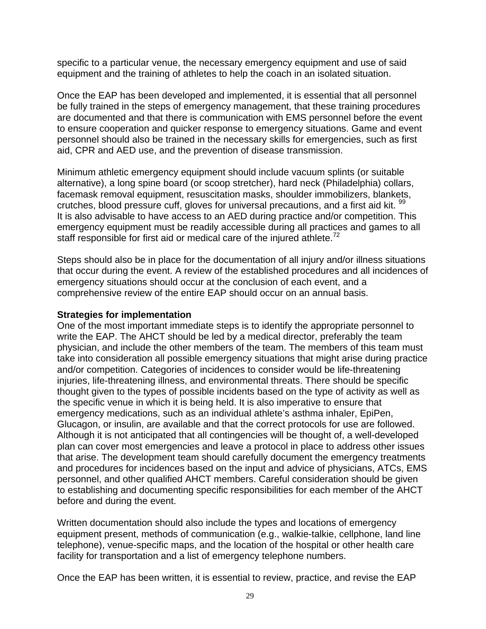specific to a particular venue, the necessary emergency equipment and use of said equipment and the training of athletes to help the coach in an isolated situation.

Once the EAP has been developed and implemented, it is essential that all personnel be fully trained in the steps of emergency management, that these training procedures are documented and that there is communication with EMS personnel before the event to ensure cooperation and quicker response to emergency situations. Game and event personnel should also be trained in the necessary skills for emergencies, such as first aid, CPR and AED use, and the prevention of disease transmission.

Minimum athletic emergency equipment should include vacuum splints (or suitable alternative), a long spine board (or scoop stretcher), hard neck (Philadelphia) collars, facemask removal equipment, resuscitation masks, shoulder immobilizers, blankets, crutches, blood pressure cuff, gloves for universal precautions, and a first aid kit. <sup>99</sup> It is also advisable to have access to an AED during practice and/or competition. This emergency equipment must be readily accessible during all practices and games to all staff responsible for first aid or medical care of the injured athlete.<sup>72</sup>

Steps should also be in place for the documentation of all injury and/or illness situations that occur during the event. A review of the established procedures and all incidences of emergency situations should occur at the conclusion of each event, and a comprehensive review of the entire EAP should occur on an annual basis.

#### **Strategies for implementation**

One of the most important immediate steps is to identify the appropriate personnel to write the EAP. The AHCT should be led by a medical director, preferably the team physician, and include the other members of the team. The members of this team must take into consideration all possible emergency situations that might arise during practice and/or competition. Categories of incidences to consider would be life-threatening injuries, life-threatening illness, and environmental threats. There should be specific thought given to the types of possible incidents based on the type of activity as well as the specific venue in which it is being held. It is also imperative to ensure that emergency medications, such as an individual athlete's asthma inhaler, EpiPen, Glucagon, or insulin, are available and that the correct protocols for use are followed. Although it is not anticipated that all contingencies will be thought of, a well-developed plan can cover most emergencies and leave a protocol in place to address other issues that arise. The development team should carefully document the emergency treatments and procedures for incidences based on the input and advice of physicians, ATCs, EMS personnel, and other qualified AHCT members. Careful consideration should be given to establishing and documenting specific responsibilities for each member of the AHCT before and during the event.

Written documentation should also include the types and locations of emergency equipment present, methods of communication (e.g., walkie-talkie, cellphone, land line telephone), venue-specific maps, and the location of the hospital or other health care facility for transportation and a list of emergency telephone numbers.

Once the EAP has been written, it is essential to review, practice, and revise the EAP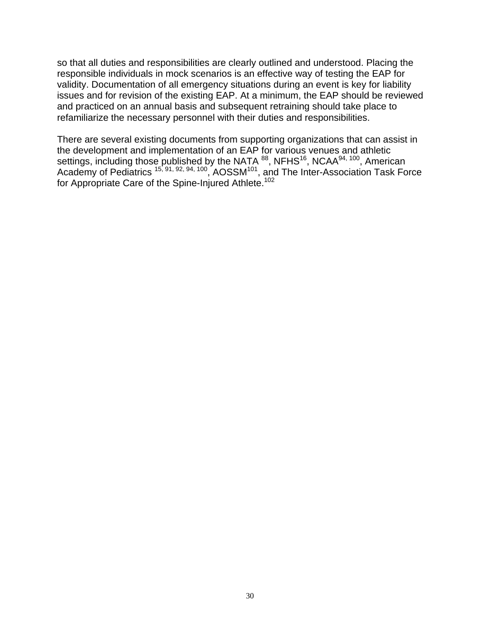so that all duties and responsibilities are clearly outlined and understood. Placing the responsible individuals in mock scenarios is an effective way of testing the EAP for validity. Documentation of all emergency situations during an event is key for liability issues and for revision of the existing EAP. At a minimum, the EAP should be reviewed and practiced on an annual basis and subsequent retraining should take place to refamiliarize the necessary personnel with their duties and responsibilities.

There are several existing documents from supporting organizations that can assist in the development and implementation of an EAP for various venues and athletic settings, including those published by the NATA <sup>88</sup>, NFHS<sup>16</sup>, NCAA<sup>94, 100</sup>, American Academy of Pediatrics<sup> 15, 91, 92, 94, 100</sup>, AOSSM<sup>101</sup>, and The Inter-Association Task Force for Appropriate Care of the Spine-Injured Athlete.<sup>102</sup>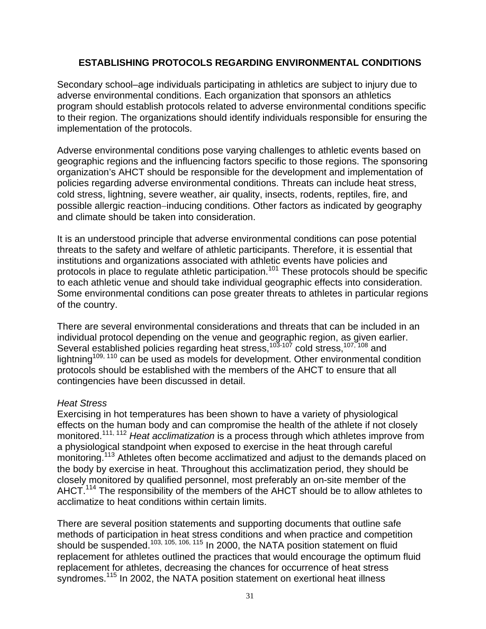# **ESTABLISHING PROTOCOLS REGARDING ENVIRONMENTAL CONDITIONS**

Secondary school–age individuals participating in athletics are subject to injury due to adverse environmental conditions. Each organization that sponsors an athletics program should establish protocols related to adverse environmental conditions specific to their region. The organizations should identify individuals responsible for ensuring the implementation of the protocols.

Adverse environmental conditions pose varying challenges to athletic events based on geographic regions and the influencing factors specific to those regions. The sponsoring organization's AHCT should be responsible for the development and implementation of policies regarding adverse environmental conditions. Threats can include heat stress, cold stress, lightning, severe weather, air quality, insects, rodents, reptiles, fire, and possible allergic reaction−inducing conditions. Other factors as indicated by geography and climate should be taken into consideration.

It is an understood principle that adverse environmental conditions can pose potential threats to the safety and welfare of athletic participants. Therefore, it is essential that institutions and organizations associated with athletic events have policies and protocols in place to regulate athletic participation.<sup>101</sup> These protocols should be specific to each athletic venue and should take individual geographic effects into consideration. Some environmental conditions can pose greater threats to athletes in particular regions of the country.

There are several environmental considerations and threats that can be included in an individual protocol depending on the venue and geographic region, as given earlier. Several established policies regarding heat stress,<sup>103-107</sup> cold stress,<sup>107,108</sup> and lightning<sup>109, 110</sup> can be used as models for development. Other environmental condition protocols should be established with the members of the AHCT to ensure that all contingencies have been discussed in detail.

#### *Heat Stress*

Exercising in hot temperatures has been shown to have a variety of physiological effects on the human body and can compromise the health of the athlete if not closely monitored.111, 112 *Heat acclimatization* is a process through which athletes improve from a physiological standpoint when exposed to exercise in the heat through careful monitoring.<sup>113</sup> Athletes often become acclimatized and adjust to the demands placed on the body by exercise in heat. Throughout this acclimatization period, they should be closely monitored by qualified personnel, most preferably an on-site member of the AHCT.<sup>114</sup> The responsibility of the members of the AHCT should be to allow athletes to acclimatize to heat conditions within certain limits.

There are several position statements and supporting documents that outline safe methods of participation in heat stress conditions and when practice and competition should be suspended.<sup>103, 105, 106, 115</sup> In 2000, the NATA position statement on fluid replacement for athletes outlined the practices that would encourage the optimum fluid replacement for athletes, decreasing the chances for occurrence of heat stress syndromes.<sup>115</sup> In 2002, the NATA position statement on exertional heat illness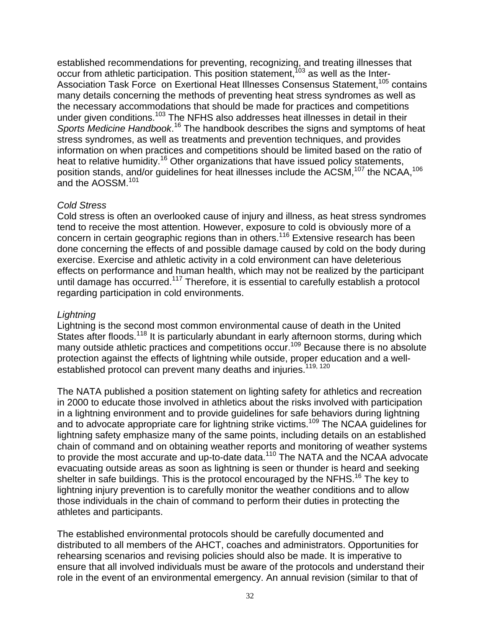established recommendations for preventing, recognizing, and treating illnesses that occur from athletic participation. This position statement,  $103$  as well as the Inter-Association Task Force on Exertional Heat Illnesses Consensus Statement,<sup>105</sup> contains many details concerning the methods of preventing heat stress syndromes as well as the necessary accommodations that should be made for practices and competitions under given conditions.103 The NFHS also addresses heat illnesses in detail in their Sports Medicine Handbook.<sup>16</sup> The handbook describes the signs and symptoms of heat stress syndromes, as well as treatments and prevention techniques, and provides information on when practices and competitions should be limited based on the ratio of heat to relative humidity.<sup>16</sup> Other organizations that have issued policy statements, position stands, and/or guidelines for heat illnesses include the ACSM,107 the NCAA,106 and the AOSSM.101

# *Cold Stress*

Cold stress is often an overlooked cause of injury and illness, as heat stress syndromes tend to receive the most attention. However, exposure to cold is obviously more of a concern in certain geographic regions than in others.<sup>116</sup> Extensive research has been done concerning the effects of and possible damage caused by cold on the body during exercise. Exercise and athletic activity in a cold environment can have deleterious effects on performance and human health, which may not be realized by the participant until damage has occurred.<sup>117</sup> Therefore, it is essential to carefully establish a protocol regarding participation in cold environments.

#### *Lightning*

Lightning is the second most common environmental cause of death in the United States after floods.<sup>118</sup> It is particularly abundant in early afternoon storms, during which many outside athletic practices and competitions occur.<sup>109</sup> Because there is no absolute protection against the effects of lightning while outside, proper education and a wellestablished protocol can prevent many deaths and injuries.<sup>119, 120</sup>

The NATA published a position statement on lighting safety for athletics and recreation in 2000 to educate those involved in athletics about the risks involved with participation in a lightning environment and to provide guidelines for safe behaviors during lightning and to advocate appropriate care for lightning strike victims.109 The NCAA guidelines for lightning safety emphasize many of the same points, including details on an established chain of command and on obtaining weather reports and monitoring of weather systems to provide the most accurate and up-to-date data.<sup>110</sup> The NATA and the NCAA advocate evacuating outside areas as soon as lightning is seen or thunder is heard and seeking shelter in safe buildings. This is the protocol encouraged by the NFHS.<sup>16</sup> The key to lightning injury prevention is to carefully monitor the weather conditions and to allow those individuals in the chain of command to perform their duties in protecting the athletes and participants.

The established environmental protocols should be carefully documented and distributed to all members of the AHCT, coaches and administrators. Opportunities for rehearsing scenarios and revising policies should also be made. It is imperative to ensure that all involved individuals must be aware of the protocols and understand their role in the event of an environmental emergency. An annual revision (similar to that of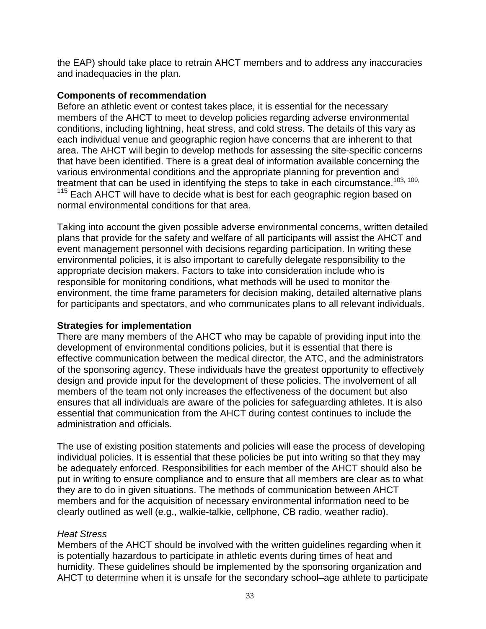the EAP) should take place to retrain AHCT members and to address any inaccuracies and inadequacies in the plan.

#### **Components of recommendation**

Before an athletic event or contest takes place, it is essential for the necessary members of the AHCT to meet to develop policies regarding adverse environmental conditions, including lightning, heat stress, and cold stress. The details of this vary as each individual venue and geographic region have concerns that are inherent to that area. The AHCT will begin to develop methods for assessing the site-specific concerns that have been identified. There is a great deal of information available concerning the various environmental conditions and the appropriate planning for prevention and treatment that can be used in identifying the steps to take in each circumstance.<sup>103, 109,</sup>  $115$  Each AHCT will have to decide what is best for each geographic region based on normal environmental conditions for that area.

Taking into account the given possible adverse environmental concerns, written detailed plans that provide for the safety and welfare of all participants will assist the AHCT and event management personnel with decisions regarding participation. In writing these environmental policies, it is also important to carefully delegate responsibility to the appropriate decision makers. Factors to take into consideration include who is responsible for monitoring conditions, what methods will be used to monitor the environment, the time frame parameters for decision making, detailed alternative plans for participants and spectators, and who communicates plans to all relevant individuals.

#### **Strategies for implementation**

There are many members of the AHCT who may be capable of providing input into the development of environmental conditions policies, but it is essential that there is effective communication between the medical director, the ATC, and the administrators of the sponsoring agency. These individuals have the greatest opportunity to effectively design and provide input for the development of these policies. The involvement of all members of the team not only increases the effectiveness of the document but also ensures that all individuals are aware of the policies for safeguarding athletes. It is also essential that communication from the AHCT during contest continues to include the administration and officials.

The use of existing position statements and policies will ease the process of developing individual policies. It is essential that these policies be put into writing so that they may be adequately enforced. Responsibilities for each member of the AHCT should also be put in writing to ensure compliance and to ensure that all members are clear as to what they are to do in given situations. The methods of communication between AHCT members and for the acquisition of necessary environmental information need to be clearly outlined as well (e.g., walkie-talkie, cellphone, CB radio, weather radio).

#### *Heat Stress*

Members of the AHCT should be involved with the written guidelines regarding when it is potentially hazardous to participate in athletic events during times of heat and humidity. These guidelines should be implemented by the sponsoring organization and AHCT to determine when it is unsafe for the secondary school–age athlete to participate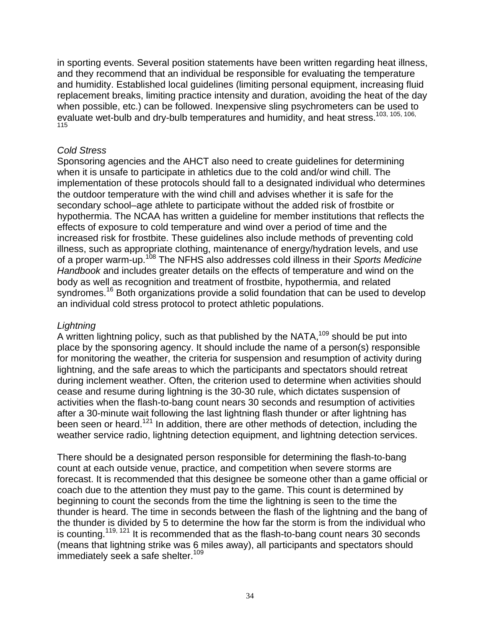in sporting events. Several position statements have been written regarding heat illness, and they recommend that an individual be responsible for evaluating the temperature and humidity. Established local guidelines (limiting personal equipment, increasing fluid replacement breaks, limiting practice intensity and duration, avoiding the heat of the day when possible, etc.) can be followed. Inexpensive sling psychrometers can be used to evaluate wet-bulb and dry-bulb temperatures and humidity, and heat stress.103, 105, 106, 115

#### *Cold Stress*

Sponsoring agencies and the AHCT also need to create guidelines for determining when it is unsafe to participate in athletics due to the cold and/or wind chill. The implementation of these protocols should fall to a designated individual who determines the outdoor temperature with the wind chill and advises whether it is safe for the secondary school–age athlete to participate without the added risk of frostbite or hypothermia. The NCAA has written a guideline for member institutions that reflects the effects of exposure to cold temperature and wind over a period of time and the increased risk for frostbite. These guidelines also include methods of preventing cold illness, such as appropriate clothing, maintenance of energy/hydration levels, and use of a proper warm-up.108 The NFHS also addresses cold illness in their *Sports Medicine Handbook* and includes greater details on the effects of temperature and wind on the body as well as recognition and treatment of frostbite, hypothermia, and related syndromes.<sup>16</sup> Both organizations provide a solid foundation that can be used to develop an individual cold stress protocol to protect athletic populations.

#### *Lightning*

A written lightning policy, such as that published by the NATA,<sup>109</sup> should be put into place by the sponsoring agency. It should include the name of a person(s) responsible for monitoring the weather, the criteria for suspension and resumption of activity during lightning, and the safe areas to which the participants and spectators should retreat during inclement weather. Often, the criterion used to determine when activities should cease and resume during lightning is the 30-30 rule, which dictates suspension of activities when the flash-to-bang count nears 30 seconds and resumption of activities after a 30-minute wait following the last lightning flash thunder or after lightning has been seen or heard.<sup>121</sup> In addition, there are other methods of detection, including the weather service radio, lightning detection equipment, and lightning detection services.

There should be a designated person responsible for determining the flash-to-bang count at each outside venue, practice, and competition when severe storms are forecast. It is recommended that this designee be someone other than a game official or coach due to the attention they must pay to the game. This count is determined by beginning to count the seconds from the time the lightning is seen to the time the thunder is heard. The time in seconds between the flash of the lightning and the bang of the thunder is divided by 5 to determine the how far the storm is from the individual who is counting.<sup>119, 121</sup> It is recommended that as the flash-to-bang count nears 30 seconds (means that lightning strike was 6 miles away), all participants and spectators should immediately seek a safe shelter.<sup>109</sup>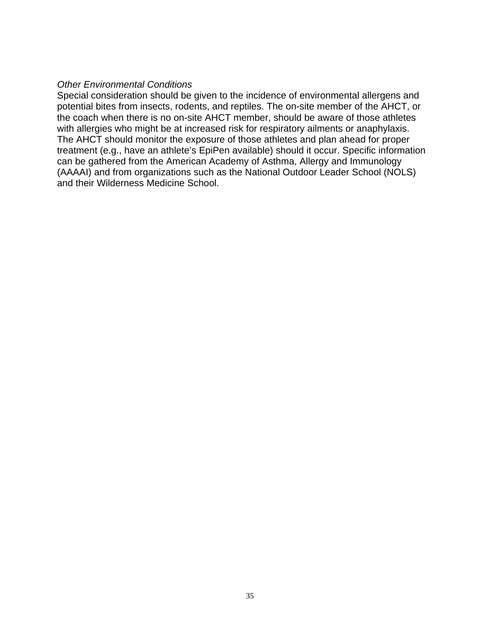#### *Other Environmental Conditions*

Special consideration should be given to the incidence of environmental allergens and potential bites from insects, rodents, and reptiles. The on-site member of the AHCT, or the coach when there is no on-site AHCT member, should be aware of those athletes with allergies who might be at increased risk for respiratory ailments or anaphylaxis. The AHCT should monitor the exposure of those athletes and plan ahead for proper treatment (e.g., have an athlete's EpiPen available) should it occur. Specific information can be gathered from the American Academy of Asthma, Allergy and Immunology (AAAAI) and from organizations such as the National Outdoor Leader School (NOLS) and their Wilderness Medicine School.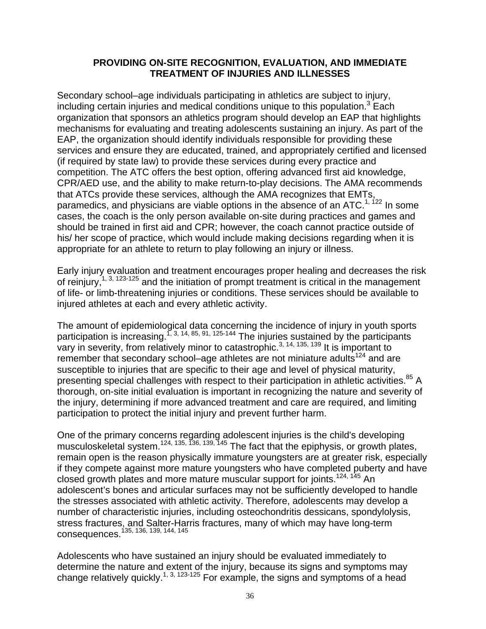#### **PROVIDING ON-SITE RECOGNITION, EVALUATION, AND IMMEDIATE TREATMENT OF INJURIES AND ILLNESSES**

Secondary school–age individuals participating in athletics are subject to injury, including certain injuries and medical conditions unique to this population.<sup>3</sup> Each organization that sponsors an athletics program should develop an EAP that highlights mechanisms for evaluating and treating adolescents sustaining an injury. As part of the EAP, the organization should identify individuals responsible for providing these services and ensure they are educated, trained, and appropriately certified and licensed (if required by state law) to provide these services during every practice and competition. The ATC offers the best option, offering advanced first aid knowledge, CPR/AED use, and the ability to make return-to-play decisions. The AMA recommends that ATCs provide these services, although the AMA recognizes that EMTs, paramedics, and physicians are viable options in the absence of an ATC.<sup>1, 122</sup> In some cases, the coach is the only person available on-site during practices and games and should be trained in first aid and CPR; however, the coach cannot practice outside of his/ her scope of practice, which would include making decisions regarding when it is appropriate for an athlete to return to play following an injury or illness.

Early injury evaluation and treatment encourages proper healing and decreases the risk of reinjury,<sup>1, 3, 123-125</sup> and the initiation of prompt treatment is critical in the management of life- or limb-threatening injuries or conditions. These services should be available to injured athletes at each and every athletic activity.

The amount of epidemiological data concerning the incidence of injury in youth sports participation is increasing.<sup>1, 3, 14, 85, 91, 125-144</sup> The injuries sustained by the participants vary in severity, from relatively minor to catastrophic.<sup>3, 14, 135, 139</sup> It is important to remember that secondary school–age athletes are not miniature adults $124$  and are susceptible to injuries that are specific to their age and level of physical maturity, presenting special challenges with respect to their participation in athletic activities.<sup>85</sup> A thorough, on-site initial evaluation is important in recognizing the nature and severity of the injury, determining if more advanced treatment and care are required, and limiting participation to protect the initial injury and prevent further harm.

One of the primary concerns regarding adolescent injuries is the child's developing musculoskeletal system.<sup>124, 135, 136, 139, 145</sup> The fact that the epiphysis, or growth plates, remain open is the reason physically immature youngsters are at greater risk, especially if they compete against more mature youngsters who have completed puberty and have closed growth plates and more mature muscular support for joints.<sup>124, 145</sup> An adolescent's bones and articular surfaces may not be sufficiently developed to handle the stresses associated with athletic activity. Therefore, adolescents may develop a number of characteristic injuries, including osteochondritis dessicans, spondylolysis, stress fractures, and Salter-Harris fractures, many of which may have long-term consequences. <sup>135, 136, 139, 144, 145</sup>

Adolescents who have sustained an injury should be evaluated immediately to determine the nature and extent of the injury, because its signs and symptoms may change relatively quickly.<sup>1, 3, 123-125</sup> For example, the signs and symptoms of a head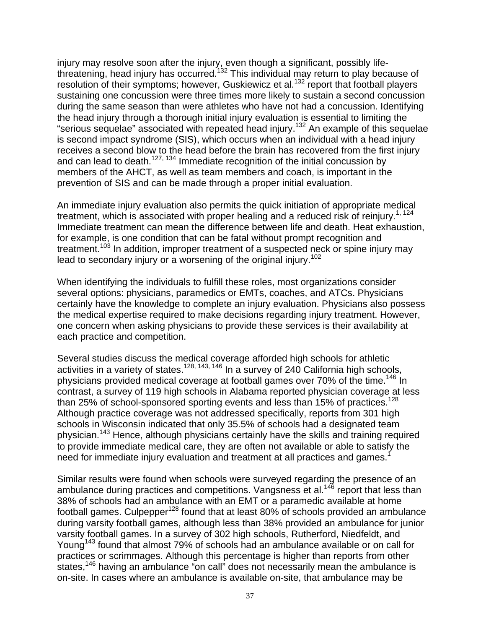injury may resolve soon after the injury, even though a significant, possibly lifethreatening, head injury has occurred.<sup>132</sup> This individual may return to play because of resolution of their symptoms; however, Guskiewicz et al.<sup>132</sup> report that football players sustaining one concussion were three times more likely to sustain a second concussion during the same season than were athletes who have not had a concussion. Identifying the head injury through a thorough initial injury evaluation is essential to limiting the "serious sequelae" associated with repeated head injury.132 An example of this sequelae is second impact syndrome (SIS), which occurs when an individual with a head injury receives a second blow to the head before the brain has recovered from the first injury and can lead to death.<sup>127, 134</sup> Immediate recognition of the initial concussion by members of the AHCT, as well as team members and coach, is important in the prevention of SIS and can be made through a proper initial evaluation.

An immediate injury evaluation also permits the quick initiation of appropriate medical treatment, which is associated with proper healing and a reduced risk of reinjury.<sup>1, 124</sup> Immediate treatment can mean the difference between life and death. Heat exhaustion, for example, is one condition that can be fatal without prompt recognition and treatment.<sup>103</sup> In addition, improper treatment of a suspected neck or spine injury may lead to secondary injury or a worsening of the original injury.<sup>102</sup>

When identifying the individuals to fulfill these roles, most organizations consider several options: physicians, paramedics or EMTs, coaches, and ATCs. Physicians certainly have the knowledge to complete an injury evaluation. Physicians also possess the medical expertise required to make decisions regarding injury treatment. However, one concern when asking physicians to provide these services is their availability at each practice and competition.

Several studies discuss the medical coverage afforded high schools for athletic activities in a variety of states.<sup>128, 143, 146</sup> In a survey of 240 California high schools, physicians provided medical coverage at football games over 70% of the time.<sup>146</sup> In contrast, a survey of 119 high schools in Alabama reported physician coverage at less than 25% of school-sponsored sporting events and less than 15% of practices.<sup>128</sup> Although practice coverage was not addressed specifically, reports from 301 high schools in Wisconsin indicated that only 35.5% of schools had a designated team physician.143 Hence, although physicians certainly have the skills and training required to provide immediate medical care, they are often not available or able to satisfy the need for immediate injury evaluation and treatment at all practices and games.<sup>1</sup>

Similar results were found when schools were surveyed regarding the presence of an ambulance during practices and competitions. Vangsness et al.<sup>146</sup> report that less than 38% of schools had an ambulance with an EMT or a paramedic available at home football games. Culpepper<sup>128</sup> found that at least  $80\%$  of schools provided an ambulance during varsity football games, although less than 38% provided an ambulance for junior varsity football games. In a survey of 302 high schools, Rutherford, Niedfeldt, and Young<sup>143</sup> found that almost 79% of schools had an ambulance available or on call for practices or scrimmages. Although this percentage is higher than reports from other states,<sup>146</sup> having an ambulance "on call" does not necessarily mean the ambulance is on-site. In cases where an ambulance is available on-site, that ambulance may be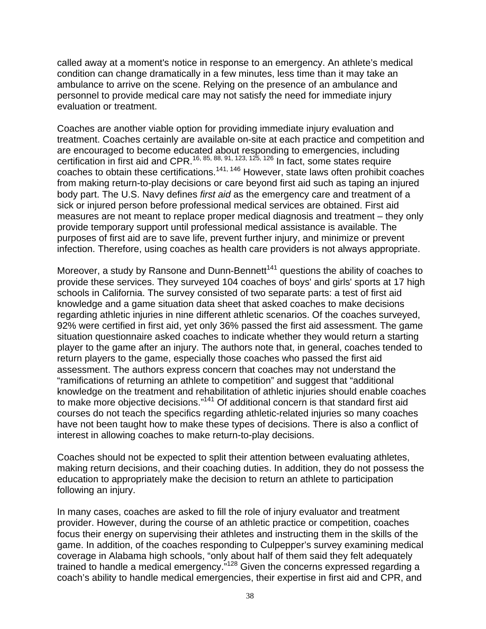called away at a moment's notice in response to an emergency. An athlete's medical condition can change dramatically in a few minutes, less time than it may take an ambulance to arrive on the scene. Relying on the presence of an ambulance and personnel to provide medical care may not satisfy the need for immediate injury evaluation or treatment.

Coaches are another viable option for providing immediate injury evaluation and treatment. Coaches certainly are available on-site at each practice and competition and are encouraged to become educated about responding to emergencies, including certification in first aid and CPR.16, 85, 88, 91, 123, 125, 126 In fact, some states require coaches to obtain these certifications.141, 146 However, state laws often prohibit coaches from making return-to-play decisions or care beyond first aid such as taping an injured body part. The U.S. Navy defines *first aid* as the emergency care and treatment of a sick or injured person before professional medical services are obtained. First aid measures are not meant to replace proper medical diagnosis and treatment – they only provide temporary support until professional medical assistance is available. The purposes of first aid are to save life, prevent further injury, and minimize or prevent infection. Therefore, using coaches as health care providers is not always appropriate.

Moreover, a study by Ransone and Dunn-Bennett<sup>141</sup> questions the ability of coaches to provide these services. They surveyed 104 coaches of boys' and girls' sports at 17 high schools in California. The survey consisted of two separate parts: a test of first aid knowledge and a game situation data sheet that asked coaches to make decisions regarding athletic injuries in nine different athletic scenarios. Of the coaches surveyed, 92% were certified in first aid, yet only 36% passed the first aid assessment. The game situation questionnaire asked coaches to indicate whether they would return a starting player to the game after an injury. The authors note that, in general, coaches tended to return players to the game, especially those coaches who passed the first aid assessment. The authors express concern that coaches may not understand the "ramifications of returning an athlete to competition" and suggest that "additional knowledge on the treatment and rehabilitation of athletic injuries should enable coaches to make more objective decisions."<sup>141</sup> Of additional concern is that standard first aid courses do not teach the specifics regarding athletic-related injuries so many coaches have not been taught how to make these types of decisions. There is also a conflict of interest in allowing coaches to make return-to-play decisions.

Coaches should not be expected to split their attention between evaluating athletes, making return decisions, and their coaching duties. In addition, they do not possess the education to appropriately make the decision to return an athlete to participation following an injury.

In many cases, coaches are asked to fill the role of injury evaluator and treatment provider. However, during the course of an athletic practice or competition, coaches focus their energy on supervising their athletes and instructing them in the skills of the game. In addition, of the coaches responding to Culpepper's survey examining medical coverage in Alabama high schools, "only about half of them said they felt adequately trained to handle a medical emergency."128 Given the concerns expressed regarding a coach's ability to handle medical emergencies, their expertise in first aid and CPR, and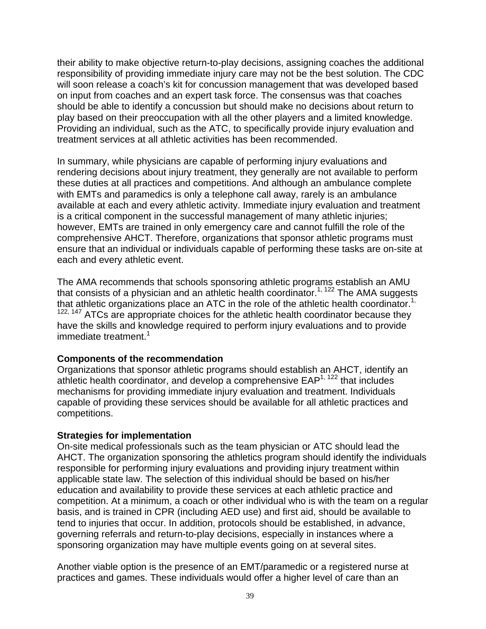their ability to make objective return-to-play decisions, assigning coaches the additional responsibility of providing immediate injury care may not be the best solution. The CDC will soon release a coach's kit for concussion management that was developed based on input from coaches and an expert task force. The consensus was that coaches should be able to identify a concussion but should make no decisions about return to play based on their preoccupation with all the other players and a limited knowledge. Providing an individual, such as the ATC, to specifically provide injury evaluation and treatment services at all athletic activities has been recommended.

In summary, while physicians are capable of performing injury evaluations and rendering decisions about injury treatment, they generally are not available to perform these duties at all practices and competitions. And although an ambulance complete with EMTs and paramedics is only a telephone call away, rarely is an ambulance available at each and every athletic activity. Immediate injury evaluation and treatment is a critical component in the successful management of many athletic injuries; however, EMTs are trained in only emergency care and cannot fulfill the role of the comprehensive AHCT. Therefore, organizations that sponsor athletic programs must ensure that an individual or individuals capable of performing these tasks are on-site at each and every athletic event.

The AMA recommends that schools sponsoring athletic programs establish an AMU that consists of a physician and an athletic health coordinator.<sup>1, 122</sup> The AMA suggests that athletic organizations place an ATC in the role of the athletic health coordinator.<sup>1,</sup>  $122, 147$  ATCs are appropriate choices for the athletic health coordinator because they have the skills and knowledge required to perform injury evaluations and to provide immediate treatment.<sup>1</sup>

### **Components of the recommendation**

Organizations that sponsor athletic programs should establish an AHCT, identify an athletic health coordinator, and develop a comprehensive  $\text{EAP}^{1, 122}$  that includes mechanisms for providing immediate injury evaluation and treatment. Individuals capable of providing these services should be available for all athletic practices and competitions.

### **Strategies for implementation**

On-site medical professionals such as the team physician or ATC should lead the AHCT. The organization sponsoring the athletics program should identify the individuals responsible for performing injury evaluations and providing injury treatment within applicable state law. The selection of this individual should be based on his/her education and availability to provide these services at each athletic practice and competition. At a minimum, a coach or other individual who is with the team on a regular basis, and is trained in CPR (including AED use) and first aid, should be available to tend to injuries that occur. In addition, protocols should be established, in advance, governing referrals and return-to-play decisions, especially in instances where a sponsoring organization may have multiple events going on at several sites.

Another viable option is the presence of an EMT/paramedic or a registered nurse at practices and games. These individuals would offer a higher level of care than an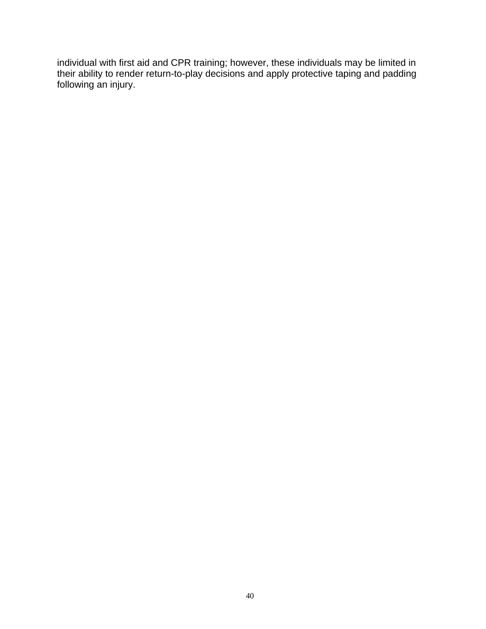individual with first aid and CPR training; however, these individuals may be limited in their ability to render return-to-play decisions and apply protective taping and padding following an injury.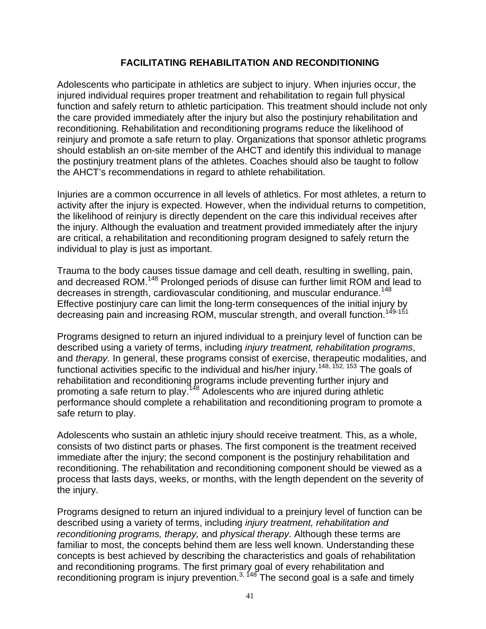# **FACILITATING REHABILITATION AND RECONDITIONING**

Adolescents who participate in athletics are subject to injury. When injuries occur, the injured individual requires proper treatment and rehabilitation to regain full physical function and safely return to athletic participation. This treatment should include not only the care provided immediately after the injury but also the postinjury rehabilitation and reconditioning. Rehabilitation and reconditioning programs reduce the likelihood of reinjury and promote a safe return to play. Organizations that sponsor athletic programs should establish an on-site member of the AHCT and identify this individual to manage the postinjury treatment plans of the athletes. Coaches should also be taught to follow the AHCT's recommendations in regard to athlete rehabilitation.

Injuries are a common occurrence in all levels of athletics. For most athletes, a return to activity after the injury is expected. However, when the individual returns to competition, the likelihood of reinjury is directly dependent on the care this individual receives after the injury. Although the evaluation and treatment provided immediately after the injury are critical, a rehabilitation and reconditioning program designed to safely return the individual to play is just as important.

Trauma to the body causes tissue damage and cell death, resulting in swelling, pain, and decreased ROM.<sup>148</sup> Prolonged periods of disuse can further limit ROM and lead to decreases in strength, cardiovascular conditioning, and muscular endurance.<sup>148</sup> Effective postinjury care can limit the long-term consequences of the initial injury by decreasing pain and increasing ROM, muscular strength, and overall function.<sup>149-151</sup>

Programs designed to return an injured individual to a preinjury level of function can be described using a variety of terms, including *injury treatment, rehabilitation programs*, and *therapy.* In general, these programs consist of exercise, therapeutic modalities, and functional activities specific to the individual and his/her injury.<sup>148, 152, 153</sup> The goals of rehabilitation and reconditioning programs include preventing further injury and promoting a safe return to play.<sup>148</sup> Adolescents who are injured during athletic performance should complete a rehabilitation and reconditioning program to promote a safe return to play.

Adolescents who sustain an athletic injury should receive treatment. This, as a whole, consists of two distinct parts or phases. The first component is the treatment received immediate after the injury; the second component is the postinjury rehabilitation and reconditioning. The rehabilitation and reconditioning component should be viewed as a process that lasts days, weeks, or months, with the length dependent on the severity of the injury.

Programs designed to return an injured individual to a preinjury level of function can be described using a variety of terms, including *injury treatment, rehabilitation and reconditioning programs, therapy,* and *physical therapy*. Although these terms are familiar to most, the concepts behind them are less well known. Understanding these concepts is best achieved by describing the characteristics and goals of rehabilitation and reconditioning programs. The first primary goal of every rehabilitation and reconditioning program is injury prevention.<sup>3, 148</sup> The second goal is a safe and timely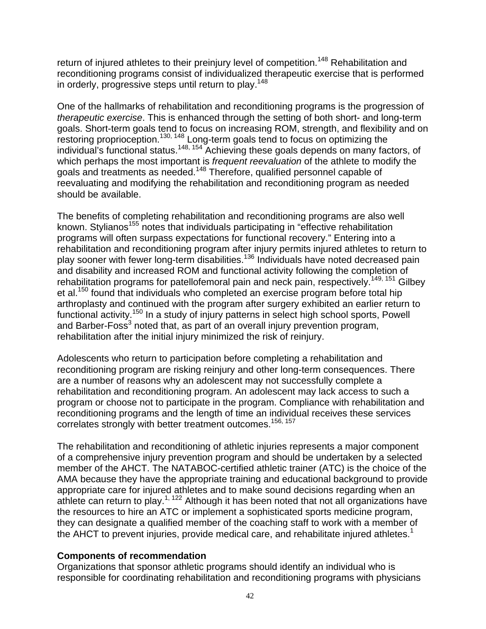return of injured athletes to their preinjury level of competition.<sup>148</sup> Rehabilitation and reconditioning programs consist of individualized therapeutic exercise that is performed in orderly, progressive steps until return to play.<sup>148</sup>

One of the hallmarks of rehabilitation and reconditioning programs is the progression of *therapeutic exercise*. This is enhanced through the setting of both short- and long-term goals. Short-term goals tend to focus on increasing ROM, strength, and flexibility and on restoring proprioception.<sup>130, 148</sup> Long-term goals tend to focus on optimizing the individual's functional status.<sup>148, 154</sup> Achieving these goals depends on many factors, of which perhaps the most important is *frequent reevaluation* of the athlete to modify the goals and treatments as needed.148 Therefore, qualified personnel capable of reevaluating and modifying the rehabilitation and reconditioning program as needed should be available.

The benefits of completing rehabilitation and reconditioning programs are also well known. Stylianos<sup>155</sup> notes that individuals participating in "effective rehabilitation" programs will often surpass expectations for functional recovery." Entering into a rehabilitation and reconditioning program after injury permits injured athletes to return to play sooner with fewer long-term disabilities.136 Individuals have noted decreased pain and disability and increased ROM and functional activity following the completion of rehabilitation programs for patellofemoral pain and neck pain, respectively.<sup>149, 151</sup> Gilbey et al.<sup>150</sup> found that individuals who completed an exercise program before total hip arthroplasty and continued with the program after surgery exhibited an earlier return to functional activity.150 In a study of injury patterns in select high school sports, Powell and Barber-Foss<sup>3</sup> noted that, as part of an overall injury prevention program, rehabilitation after the initial injury minimized the risk of reinjury.

Adolescents who return to participation before completing a rehabilitation and reconditioning program are risking reinjury and other long-term consequences. There are a number of reasons why an adolescent may not successfully complete a rehabilitation and reconditioning program. An adolescent may lack access to such a program or choose not to participate in the program. Compliance with rehabilitation and reconditioning programs and the length of time an individual receives these services correlates strongly with better treatment outcomes.<sup>156, 157</sup>

The rehabilitation and reconditioning of athletic injuries represents a major component of a comprehensive injury prevention program and should be undertaken by a selected member of the AHCT. The NATABOC-certified athletic trainer (ATC) is the choice of the AMA because they have the appropriate training and educational background to provide appropriate care for injured athletes and to make sound decisions regarding when an appropriate can conduct the canter of the canter of the sum of the canter of the canter of the canter of the canter of the canter of the canter of the canter of the canter of the canter of the canter of the canter of the c the resources to hire an ATC or implement a sophisticated sports medicine program, they can designate a qualified member of the coaching staff to work with a member of the AHCT to prevent injuries, provide medical care, and rehabilitate injured athletes.<sup>1</sup>

### **Components of recommendation**

Organizations that sponsor athletic programs should identify an individual who is responsible for coordinating rehabilitation and reconditioning programs with physicians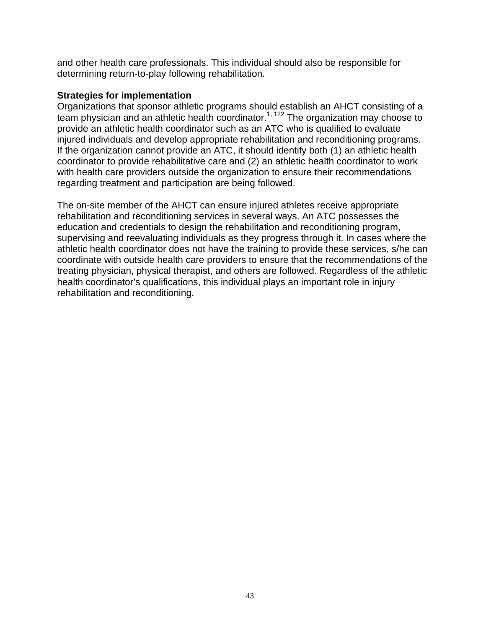and other health care professionals. This individual should also be responsible for determining return-to-play following rehabilitation.

#### **Strategies for implementation**

Organizations that sponsor athletic programs should establish an AHCT consisting of a team physician and an athletic health coordinator.<sup>1, 122</sup> The organization may choose to provide an athletic health coordinator such as an ATC who is qualified to evaluate injured individuals and develop appropriate rehabilitation and reconditioning programs. If the organization cannot provide an ATC, it should identify both (1) an athletic health coordinator to provide rehabilitative care and (2) an athletic health coordinator to work with health care providers outside the organization to ensure their recommendations regarding treatment and participation are being followed.

The on-site member of the AHCT can ensure injured athletes receive appropriate rehabilitation and reconditioning services in several ways. An ATC possesses the education and credentials to design the rehabilitation and reconditioning program, supervising and reevaluating individuals as they progress through it. In cases where the athletic health coordinator does not have the training to provide these services, s/he can coordinate with outside health care providers to ensure that the recommendations of the treating physician, physical therapist, and others are followed. Regardless of the athletic health coordinator's qualifications, this individual plays an important role in injury rehabilitation and reconditioning.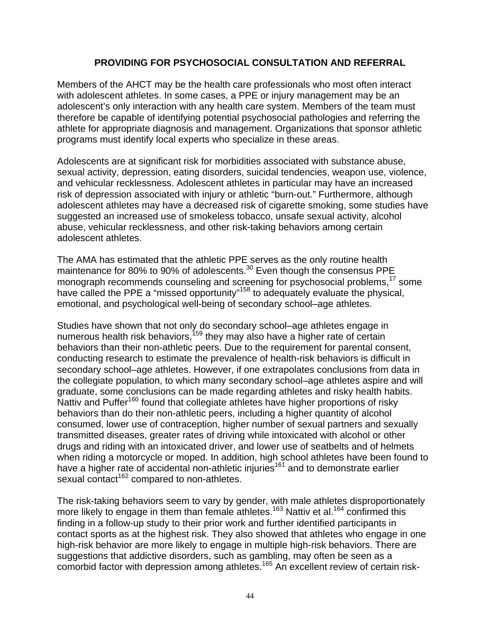# **PROVIDING FOR PSYCHOSOCIAL CONSULTATION AND REFERRAL**

Members of the AHCT may be the health care professionals who most often interact with adolescent athletes. In some cases, a PPE or injury management may be an adolescent's only interaction with any health care system. Members of the team must therefore be capable of identifying potential psychosocial pathologies and referring the athlete for appropriate diagnosis and management. Organizations that sponsor athletic programs must identify local experts who specialize in these areas.

Adolescents are at significant risk for morbidities associated with substance abuse, sexual activity, depression, eating disorders, suicidal tendencies, weapon use, violence, and vehicular recklessness. Adolescent athletes in particular may have an increased risk of depression associated with injury or athletic "burn-out." Furthermore, although adolescent athletes may have a decreased risk of cigarette smoking, some studies have suggested an increased use of smokeless tobacco, unsafe sexual activity, alcohol abuse, vehicular recklessness, and other risk-taking behaviors among certain adolescent athletes.

The AMA has estimated that the athletic PPE serves as the only routine health maintenance for 80% to 90% of adolescents.<sup>30</sup> Even though the consensus PPE monograph recommends counseling and screening for psychosocial problems,<sup>17</sup> some have called the PPE a "missed opportunity"<sup>158</sup> to adequately evaluate the physical, emotional, and psychological well-being of secondary school–age athletes.

Studies have shown that not only do secondary school–age athletes engage in numerous health risk behaviors,<sup>159</sup> they may also have a higher rate of certain behaviors than their non-athletic peers. Due to the requirement for parental consent, conducting research to estimate the prevalence of health-risk behaviors is difficult in secondary school–age athletes. However, if one extrapolates conclusions from data in the collegiate population, to which many secondary school–age athletes aspire and will graduate, some conclusions can be made regarding athletes and risky health habits. Nattiv and Puffer<sup>160</sup> found that collegiate athletes have higher proportions of risky behaviors than do their non-athletic peers, including a higher quantity of alcohol consumed, lower use of contraception, higher number of sexual partners and sexually transmitted diseases, greater rates of driving while intoxicated with alcohol or other drugs and riding with an intoxicated driver, and lower use of seatbelts and of helmets when riding a motorcycle or moped. In addition, high school athletes have been found to have a higher rate of accidental non-athletic injuries<sup>161</sup> and to demonstrate earlier sexual contact<sup>162</sup> compared to non-athletes.

The risk-taking behaviors seem to vary by gender, with male athletes disproportionately more likely to engage in them than female athletes.<sup>163</sup> Nattiv et al.<sup>164</sup> confirmed this finding in a follow-up study to their prior work and further identified participants in contact sports as at the highest risk. They also showed that athletes who engage in one high-risk behavior are more likely to engage in multiple high-risk behaviors. There are suggestions that addictive disorders, such as gambling, may often be seen as a comorbid factor with depression among athletes.<sup>165</sup> An excellent review of certain risk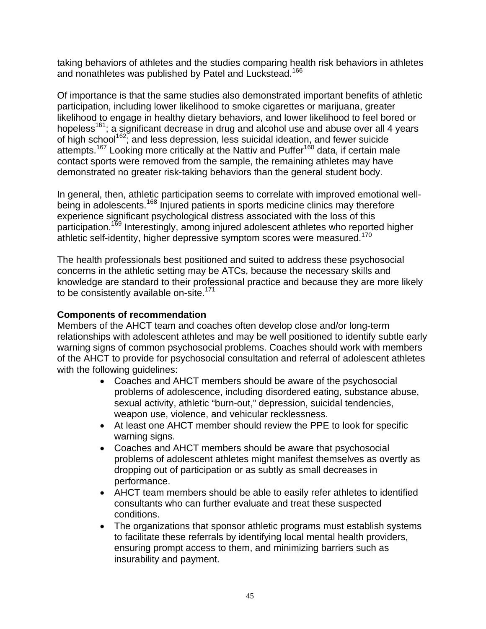taking behaviors of athletes and the studies comparing health risk behaviors in athletes and nonathletes was published by Patel and Luckstead.<sup>166</sup>

Of importance is that the same studies also demonstrated important benefits of athletic participation, including lower likelihood to smoke cigarettes or marijuana, greater likelihood to engage in healthy dietary behaviors, and lower likelihood to feel bored or hopeless<sup>161</sup>; a significant decrease in drug and alcohol use and abuse over all 4 years of high school162; and less depression, less suicidal ideation, and fewer suicide attempts.<sup>167</sup> Looking more critically at the Nattiv and Puffer<sup>160</sup> data, if certain male contact sports were removed from the sample, the remaining athletes may have demonstrated no greater risk-taking behaviors than the general student body.

In general, then, athletic participation seems to correlate with improved emotional wellbeing in adolescents.<sup>168</sup> Injured patients in sports medicine clinics may therefore experience significant psychological distress associated with the loss of this participation.169 Interestingly, among injured adolescent athletes who reported higher athletic self-identity, higher depressive symptom scores were measured.<sup>170</sup>

The health professionals best positioned and suited to address these psychosocial concerns in the athletic setting may be ATCs, because the necessary skills and knowledge are standard to their professional practice and because they are more likely to be consistently available on-site.<sup>171</sup>

# **Components of recommendation**

Members of the AHCT team and coaches often develop close and/or long-term relationships with adolescent athletes and may be well positioned to identify subtle early warning signs of common psychosocial problems. Coaches should work with members of the AHCT to provide for psychosocial consultation and referral of adolescent athletes with the following guidelines:

- Coaches and AHCT members should be aware of the psychosocial problems of adolescence, including disordered eating, substance abuse, sexual activity, athletic "burn-out," depression, suicidal tendencies, weapon use, violence, and vehicular recklessness.
- At least one AHCT member should review the PPE to look for specific warning signs.
- Coaches and AHCT members should be aware that psychosocial problems of adolescent athletes might manifest themselves as overtly as dropping out of participation or as subtly as small decreases in performance.
- AHCT team members should be able to easily refer athletes to identified consultants who can further evaluate and treat these suspected conditions.
- The organizations that sponsor athletic programs must establish systems to facilitate these referrals by identifying local mental health providers, ensuring prompt access to them, and minimizing barriers such as insurability and payment.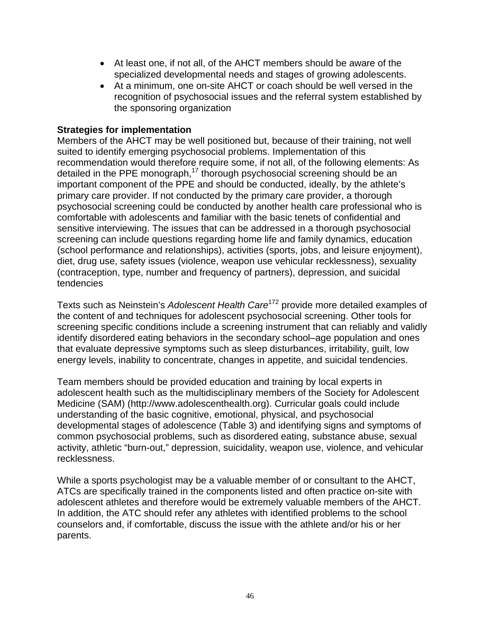- At least one, if not all, of the AHCT members should be aware of the specialized developmental needs and stages of growing adolescents.
- At a minimum, one on-site AHCT or coach should be well versed in the recognition of psychosocial issues and the referral system established by the sponsoring organization

# **Strategies for implementation**

Members of the AHCT may be well positioned but, because of their training, not well suited to identify emerging psychosocial problems. Implementation of this recommendation would therefore require some, if not all, of the following elements: As detailed in the PPE monograph,<sup>17</sup> thorough psychosocial screening should be an important component of the PPE and should be conducted, ideally, by the athlete's primary care provider. If not conducted by the primary care provider, a thorough psychosocial screening could be conducted by another health care professional who is comfortable with adolescents and familiar with the basic tenets of confidential and sensitive interviewing. The issues that can be addressed in a thorough psychosocial screening can include questions regarding home life and family dynamics, education (school performance and relationships), activities (sports, jobs, and leisure enjoyment), diet, drug use, safety issues (violence, weapon use vehicular recklessness), sexuality (contraception, type, number and frequency of partners), depression, and suicidal tendencies

Texts such as Neinstein's *Adolescent Health Care*172 provide more detailed examples of the content of and techniques for adolescent psychosocial screening. Other tools for screening specific conditions include a screening instrument that can reliably and validly identify disordered eating behaviors in the secondary school–age population and ones that evaluate depressive symptoms such as sleep disturbances, irritability, guilt, low energy levels, inability to concentrate, changes in appetite, and suicidal tendencies.

Team members should be provided education and training by local experts in adolescent health such as the multidisciplinary members of the Society for Adolescent Medicine (SAM) (http://www.adolescenthealth.org). Curricular goals could include understanding of the basic cognitive, emotional, physical, and psychosocial developmental stages of adolescence (Table 3) and identifying signs and symptoms of common psychosocial problems, such as disordered eating, substance abuse, sexual activity, athletic "burn-out," depression, suicidality, weapon use, violence, and vehicular recklessness.

While a sports psychologist may be a valuable member of or consultant to the AHCT, ATCs are specifically trained in the components listed and often practice on-site with adolescent athletes and therefore would be extremely valuable members of the AHCT. In addition, the ATC should refer any athletes with identified problems to the school counselors and, if comfortable, discuss the issue with the athlete and/or his or her parents.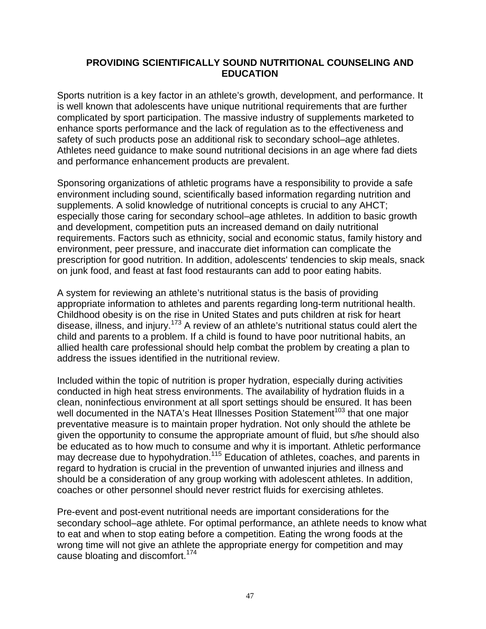### **PROVIDING SCIENTIFICALLY SOUND NUTRITIONAL COUNSELING AND EDUCATION**

Sports nutrition is a key factor in an athlete's growth, development, and performance. It is well known that adolescents have unique nutritional requirements that are further complicated by sport participation. The massive industry of supplements marketed to enhance sports performance and the lack of regulation as to the effectiveness and safety of such products pose an additional risk to secondary school–age athletes. Athletes need guidance to make sound nutritional decisions in an age where fad diets and performance enhancement products are prevalent.

Sponsoring organizations of athletic programs have a responsibility to provide a safe environment including sound, scientifically based information regarding nutrition and supplements. A solid knowledge of nutritional concepts is crucial to any AHCT; especially those caring for secondary school–age athletes. In addition to basic growth and development, competition puts an increased demand on daily nutritional requirements. Factors such as ethnicity, social and economic status, family history and environment, peer pressure, and inaccurate diet information can complicate the prescription for good nutrition. In addition, adolescents' tendencies to skip meals, snack on junk food, and feast at fast food restaurants can add to poor eating habits.

A system for reviewing an athlete's nutritional status is the basis of providing appropriate information to athletes and parents regarding long-term nutritional health. Childhood obesity is on the rise in United States and puts children at risk for heart disease, illness, and injury.<sup>173</sup> A review of an athlete's nutritional status could alert the child and parents to a problem. If a child is found to have poor nutritional habits, an allied health care professional should help combat the problem by creating a plan to address the issues identified in the nutritional review.

Included within the topic of nutrition is proper hydration, especially during activities conducted in high heat stress environments. The availability of hydration fluids in a clean, noninfectious environment at all sport settings should be ensured. It has been well documented in the NATA's Heat Illnesses Position Statement<sup>103</sup> that one major preventative measure is to maintain proper hydration. Not only should the athlete be given the opportunity to consume the appropriate amount of fluid, but s/he should also be educated as to how much to consume and why it is important. Athletic performance may decrease due to hypohydration.<sup>115</sup> Education of athletes, coaches, and parents in regard to hydration is crucial in the prevention of unwanted injuries and illness and should be a consideration of any group working with adolescent athletes. In addition, coaches or other personnel should never restrict fluids for exercising athletes.

Pre-event and post-event nutritional needs are important considerations for the secondary school–age athlete. For optimal performance, an athlete needs to know what to eat and when to stop eating before a competition. Eating the wrong foods at the wrong time will not give an athlete the appropriate energy for competition and may cause bloating and discomfort.174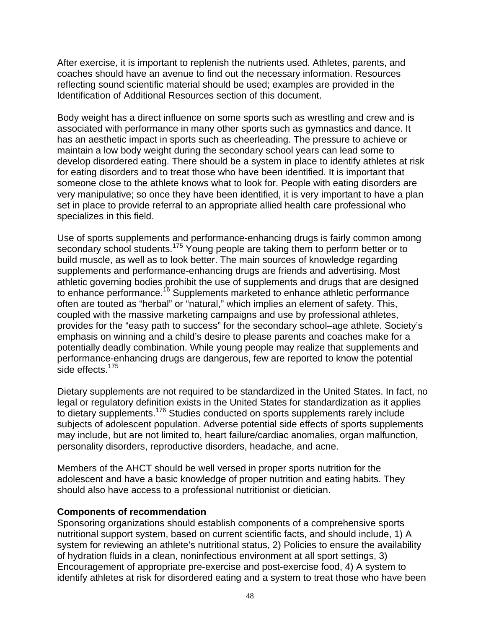After exercise, it is important to replenish the nutrients used. Athletes, parents, and coaches should have an avenue to find out the necessary information. Resources reflecting sound scientific material should be used; examples are provided in the Identification of Additional Resources section of this document.

Body weight has a direct influence on some sports such as wrestling and crew and is associated with performance in many other sports such as gymnastics and dance. It has an aesthetic impact in sports such as cheerleading. The pressure to achieve or maintain a low body weight during the secondary school years can lead some to develop disordered eating. There should be a system in place to identify athletes at risk for eating disorders and to treat those who have been identified. It is important that someone close to the athlete knows what to look for. People with eating disorders are very manipulative; so once they have been identified, it is very important to have a plan set in place to provide referral to an appropriate allied health care professional who specializes in this field.

Use of sports supplements and performance-enhancing drugs is fairly common among secondary school students.<sup>175</sup> Young people are taking them to perform better or to build muscle, as well as to look better. The main sources of knowledge regarding supplements and performance-enhancing drugs are friends and advertising. Most athletic governing bodies prohibit the use of supplements and drugs that are designed to enhance performance.<sup>16</sup> Supplements marketed to enhance athletic performance often are touted as "herbal" or "natural," which implies an element of safety. This, coupled with the massive marketing campaigns and use by professional athletes, provides for the "easy path to success" for the secondary school–age athlete. Society's emphasis on winning and a child's desire to please parents and coaches make for a potentially deadly combination. While young people may realize that supplements and performance-enhancing drugs are dangerous, few are reported to know the potential side effects.<sup>175</sup>

Dietary supplements are not required to be standardized in the United States. In fact, no legal or regulatory definition exists in the United States for standardization as it applies to dietary supplements.<sup>176</sup> Studies conducted on sports supplements rarely include subjects of adolescent population. Adverse potential side effects of sports supplements may include, but are not limited to, heart failure/cardiac anomalies, organ malfunction, personality disorders, reproductive disorders, headache, and acne.

Members of the AHCT should be well versed in proper sports nutrition for the adolescent and have a basic knowledge of proper nutrition and eating habits. They should also have access to a professional nutritionist or dietician.

#### **Components of recommendation**

Sponsoring organizations should establish components of a comprehensive sports nutritional support system, based on current scientific facts, and should include, 1) A system for reviewing an athlete's nutritional status, 2) Policies to ensure the availability of hydration fluids in a clean, noninfectious environment at all sport settings, 3) Encouragement of appropriate pre-exercise and post-exercise food, 4) A system to identify athletes at risk for disordered eating and a system to treat those who have been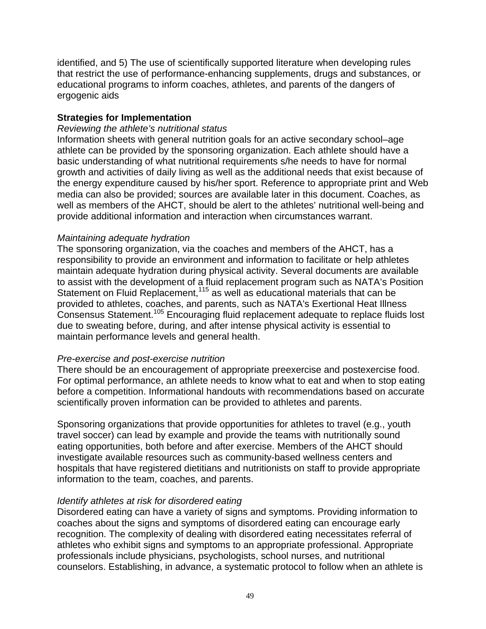identified, and 5) The use of scientifically supported literature when developing rules that restrict the use of performance-enhancing supplements, drugs and substances, or educational programs to inform coaches, athletes, and parents of the dangers of ergogenic aids

### **Strategies for Implementation**

#### *Reviewing the athlete's nutritional status*

Information sheets with general nutrition goals for an active secondary school–age athlete can be provided by the sponsoring organization. Each athlete should have a basic understanding of what nutritional requirements s/he needs to have for normal growth and activities of daily living as well as the additional needs that exist because of the energy expenditure caused by his/her sport. Reference to appropriate print and Web media can also be provided; sources are available later in this document. Coaches, as well as members of the AHCT, should be alert to the athletes' nutritional well-being and provide additional information and interaction when circumstances warrant.

### *Maintaining adequate hydration*

The sponsoring organization, via the coaches and members of the AHCT, has a responsibility to provide an environment and information to facilitate or help athletes maintain adequate hydration during physical activity. Several documents are available to assist with the development of a fluid replacement program such as NATA's Position Statement on Fluid Replacement,<sup>115</sup> as well as educational materials that can be provided to athletes, coaches, and parents, such as NATA's Exertional Heat Illness Consensus Statement.105 Encouraging fluid replacement adequate to replace fluids lost due to sweating before, during, and after intense physical activity is essential to maintain performance levels and general health.

### *Pre-exercise and post-exercise nutrition*

There should be an encouragement of appropriate preexercise and postexercise food. For optimal performance, an athlete needs to know what to eat and when to stop eating before a competition. Informational handouts with recommendations based on accurate scientifically proven information can be provided to athletes and parents.

Sponsoring organizations that provide opportunities for athletes to travel (e.g., youth travel soccer) can lead by example and provide the teams with nutritionally sound eating opportunities, both before and after exercise. Members of the AHCT should investigate available resources such as community-based wellness centers and hospitals that have registered dietitians and nutritionists on staff to provide appropriate information to the team, coaches, and parents.

### *Identify athletes at risk for disordered eating*

Disordered eating can have a variety of signs and symptoms. Providing information to coaches about the signs and symptoms of disordered eating can encourage early recognition. The complexity of dealing with disordered eating necessitates referral of athletes who exhibit signs and symptoms to an appropriate professional. Appropriate professionals include physicians, psychologists, school nurses, and nutritional counselors. Establishing, in advance, a systematic protocol to follow when an athlete is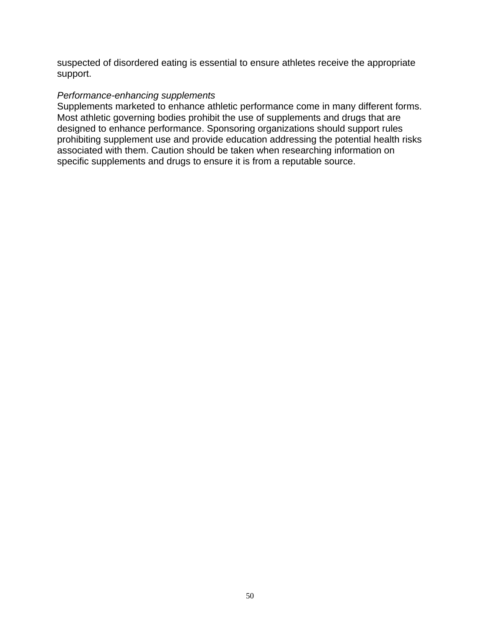suspected of disordered eating is essential to ensure athletes receive the appropriate support.

#### *Performance-enhancing supplements*

Supplements marketed to enhance athletic performance come in many different forms. Most athletic governing bodies prohibit the use of supplements and drugs that are designed to enhance performance. Sponsoring organizations should support rules prohibiting supplement use and provide education addressing the potential health risks associated with them. Caution should be taken when researching information on specific supplements and drugs to ensure it is from a reputable source.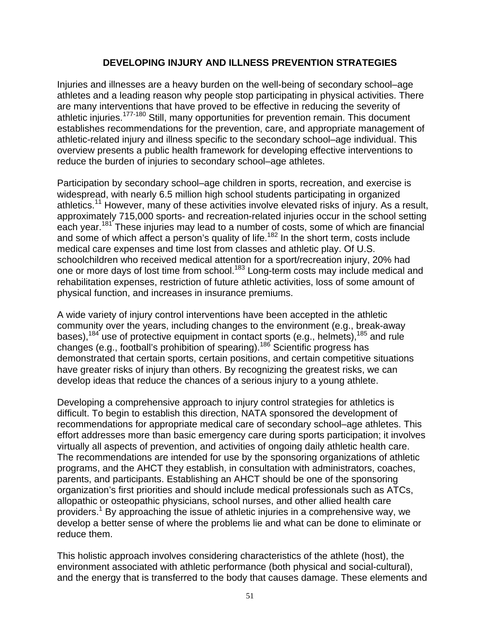# **DEVELOPING INJURY AND ILLNESS PREVENTION STRATEGIES**

Injuries and illnesses are a heavy burden on the well-being of secondary school–age athletes and a leading reason why people stop participating in physical activities. There are many interventions that have proved to be effective in reducing the severity of athletic injuries.177-180 Still, many opportunities for prevention remain. This document establishes recommendations for the prevention, care, and appropriate management of athletic-related injury and illness specific to the secondary school–age individual. This overview presents a public health framework for developing effective interventions to reduce the burden of injuries to secondary school–age athletes.

Participation by secondary school–age children in sports, recreation, and exercise is widespread, with nearly 6.5 million high school students participating in organized athletics.<sup>11</sup> However, many of these activities involve elevated risks of injury. As a result, approximately 715,000 sports- and recreation-related injuries occur in the school setting each year.<sup>181</sup> These injuries may lead to a number of costs, some of which are financial and some of which affect a person's quality of life.<sup>182</sup> In the short term, costs include medical care expenses and time lost from classes and athletic play. Of U.S. schoolchildren who received medical attention for a sport/recreation injury, 20% had one or more days of lost time from school.<sup>183</sup> Long-term costs may include medical and rehabilitation expenses, restriction of future athletic activities, loss of some amount of physical function, and increases in insurance premiums.

A wide variety of injury control interventions have been accepted in the athletic community over the years, including changes to the environment (e.g., break-away bases),  $184$  use of protective equipment in contact sports (e.g., helmets),  $185$  and rule changes (e.g., football's prohibition of spearing).186 Scientific progress has demonstrated that certain sports, certain positions, and certain competitive situations have greater risks of injury than others. By recognizing the greatest risks, we can develop ideas that reduce the chances of a serious injury to a young athlete.

Developing a comprehensive approach to injury control strategies for athletics is difficult. To begin to establish this direction, NATA sponsored the development of recommendations for appropriate medical care of secondary school–age athletes. This effort addresses more than basic emergency care during sports participation; it involves virtually all aspects of prevention, and activities of ongoing daily athletic health care. The recommendations are intended for use by the sponsoring organizations of athletic programs, and the AHCT they establish, in consultation with administrators, coaches, parents, and participants. Establishing an AHCT should be one of the sponsoring organization's first priorities and should include medical professionals such as ATCs, allopathic or osteopathic physicians, school nurses, and other allied health care providers.<sup>1</sup> By approaching the issue of athletic injuries in a comprehensive way, we develop a better sense of where the problems lie and what can be done to eliminate or reduce them.

This holistic approach involves considering characteristics of the athlete (host), the environment associated with athletic performance (both physical and social-cultural), and the energy that is transferred to the body that causes damage. These elements and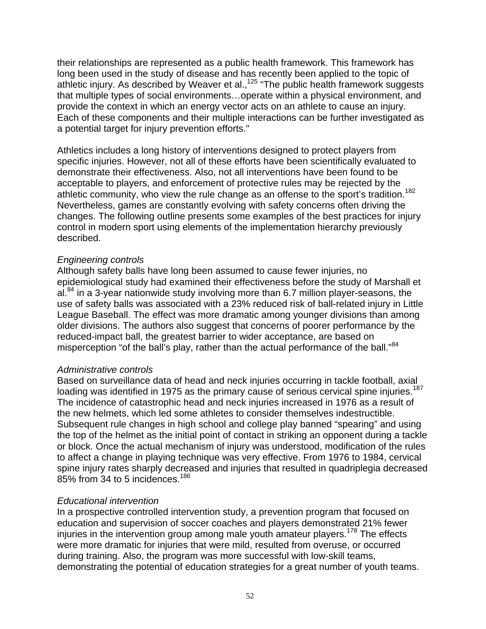their relationships are represented as a public health framework. This framework has long been used in the study of disease and has recently been applied to the topic of athletic injury. As described by Weaver et al.,<sup>125</sup> "The public health framework suggests that multiple types of social environments…operate within a physical environment, and provide the context in which an energy vector acts on an athlete to cause an injury. Each of these components and their multiple interactions can be further investigated as a potential target for injury prevention efforts."

Athletics includes a long history of interventions designed to protect players from specific injuries. However, not all of these efforts have been scientifically evaluated to demonstrate their effectiveness. Also, not all interventions have been found to be acceptable to players, and enforcement of protective rules may be rejected by the athletic community, who view the rule change as an offense to the sport's tradition.<sup>182</sup> Nevertheless, games are constantly evolving with safety concerns often driving the changes. The following outline presents some examples of the best practices for injury control in modern sport using elements of the implementation hierarchy previously described.

#### *Engineering controls*

Although safety balls have long been assumed to cause fewer injuries, no epidemiological study had examined their effectiveness before the study of Marshall et al. $84$  in a 3-year nationwide study involving more than 6.7 million player-seasons, the use of safety balls was associated with a 23% reduced risk of ball-related injury in Little League Baseball. The effect was more dramatic among younger divisions than among older divisions. The authors also suggest that concerns of poorer performance by the reduced-impact ball, the greatest barrier to wider acceptance, are based on misperception "of the ball's play, rather than the actual performance of the ball."<sup>84</sup>

#### *Administrative controls*

Based on surveillance data of head and neck injuries occurring in tackle football, axial loading was identified in 1975 as the primary cause of serious cervical spine injuries.<sup>187</sup> The incidence of catastrophic head and neck injuries increased in 1976 as a result of the new helmets, which led some athletes to consider themselves indestructible. Subsequent rule changes in high school and college play banned "spearing" and using the top of the helmet as the initial point of contact in striking an opponent during a tackle or block. Once the actual mechanism of injury was understood, modification of the rules to affect a change in playing technique was very effective. From 1976 to 1984, cervical spine injury rates sharply decreased and injuries that resulted in quadriplegia decreased 85% from 34 to 5 incidences.<sup>186</sup>

#### *Educational intervention*

In a prospective controlled intervention study, a prevention program that focused on education and supervision of soccer coaches and players demonstrated 21% fewer injuries in the intervention group among male youth amateur players.<sup>178</sup> The effects were more dramatic for injuries that were mild, resulted from overuse, or occurred during training. Also, the program was more successful with low-skill teams, demonstrating the potential of education strategies for a great number of youth teams.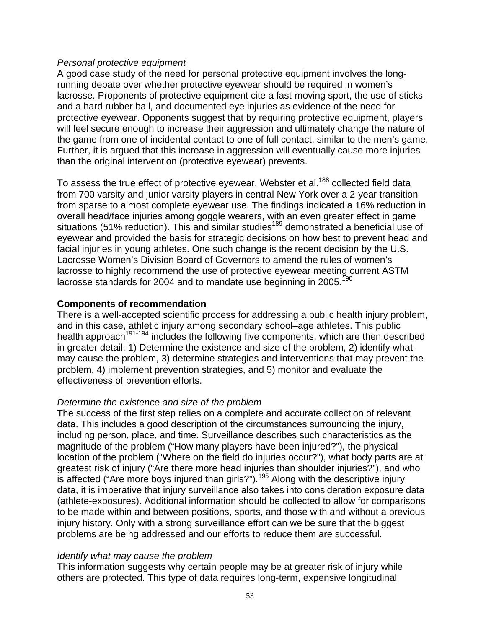#### *Personal protective equipment*

A good case study of the need for personal protective equipment involves the longrunning debate over whether protective eyewear should be required in women's lacrosse. Proponents of protective equipment cite a fast-moving sport, the use of sticks and a hard rubber ball, and documented eye injuries as evidence of the need for protective eyewear. Opponents suggest that by requiring protective equipment, players will feel secure enough to increase their aggression and ultimately change the nature of the game from one of incidental contact to one of full contact, similar to the men's game. Further, it is argued that this increase in aggression will eventually cause more injuries than the original intervention (protective eyewear) prevents.

To assess the true effect of protective eyewear, Webster et al.<sup>188</sup> collected field data from 700 varsity and junior varsity players in central New York over a 2-year transition from sparse to almost complete eyewear use. The findings indicated a 16% reduction in overall head/face injuries among goggle wearers, with an even greater effect in game situations (51% reduction). This and similar studies<sup>189</sup> demonstrated a beneficial use of eyewear and provided the basis for strategic decisions on how best to prevent head and facial injuries in young athletes. One such change is the recent decision by the U.S. Lacrosse Women's Division Board of Governors to amend the rules of women's lacrosse to highly recommend the use of protective eyewear meeting current ASTM lacrosse standards for 2004 and to mandate use beginning in 2005.<sup>190</sup>

### **Components of recommendation**

There is a well-accepted scientific process for addressing a public health injury problem, and in this case, athletic injury among secondary school–age athletes. This public health approach<sup>191-194</sup> includes the following five components, which are then described in greater detail: 1) Determine the existence and size of the problem, 2) identify what may cause the problem, 3) determine strategies and interventions that may prevent the problem, 4) implement prevention strategies, and 5) monitor and evaluate the effectiveness of prevention efforts.

### *Determine the existence and size of the problem*

The success of the first step relies on a complete and accurate collection of relevant data. This includes a good description of the circumstances surrounding the injury, including person, place, and time. Surveillance describes such characteristics as the magnitude of the problem ("How many players have been injured?"), the physical location of the problem ("Where on the field do injuries occur?"), what body parts are at greatest risk of injury ("Are there more head injuries than shoulder injuries?"), and who is affected ("Are more boys injured than girls?").<sup>195</sup> Along with the descriptive injury data, it is imperative that injury surveillance also takes into consideration exposure data (athlete-exposures). Additional information should be collected to allow for comparisons to be made within and between positions, sports, and those with and without a previous injury history. Only with a strong surveillance effort can we be sure that the biggest problems are being addressed and our efforts to reduce them are successful.

#### *Identify what may cause the problem*

This information suggests why certain people may be at greater risk of injury while others are protected. This type of data requires long-term, expensive longitudinal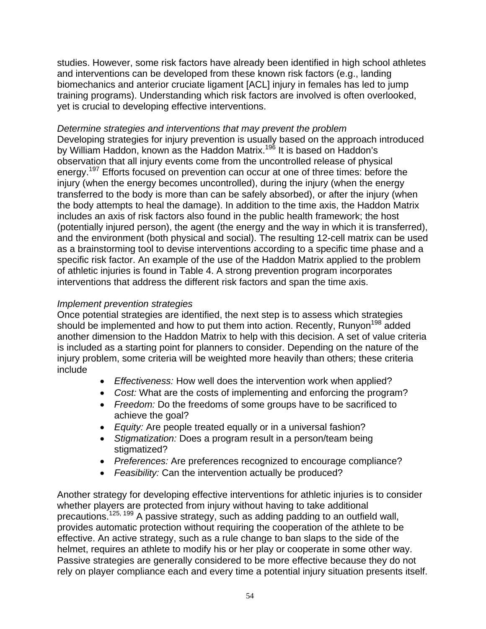studies. However, some risk factors have already been identified in high school athletes and interventions can be developed from these known risk factors (e.g., landing biomechanics and anterior cruciate ligament [ACL] injury in females has led to jump training programs). Understanding which risk factors are involved is often overlooked, yet is crucial to developing effective interventions.

# *Determine strategies and interventions that may prevent the problem*

Developing strategies for injury prevention is usually based on the approach introduced by William Haddon, known as the Haddon Matrix.<sup>196</sup> It is based on Haddon's observation that all injury events come from the uncontrolled release of physical energy.<sup>197</sup> Efforts focused on prevention can occur at one of three times: before the injury (when the energy becomes uncontrolled), during the injury (when the energy transferred to the body is more than can be safely absorbed), or after the injury (when the body attempts to heal the damage). In addition to the time axis, the Haddon Matrix includes an axis of risk factors also found in the public health framework; the host (potentially injured person), the agent (the energy and the way in which it is transferred), and the environment (both physical and social). The resulting 12-cell matrix can be used as a brainstorming tool to devise interventions according to a specific time phase and a specific risk factor. An example of the use of the Haddon Matrix applied to the problem of athletic injuries is found in Table 4. A strong prevention program incorporates interventions that address the different risk factors and span the time axis.

# *Implement prevention strategies*

Once potential strategies are identified, the next step is to assess which strategies should be implemented and how to put them into action. Recently, Runyon<sup>198</sup> added another dimension to the Haddon Matrix to help with this decision. A set of value criteria is included as a starting point for planners to consider. Depending on the nature of the injury problem, some criteria will be weighted more heavily than others; these criteria include

- *Effectiveness:* How well does the intervention work when applied?
- *Cost:* What are the costs of implementing and enforcing the program?
- *Freedom:* Do the freedoms of some groups have to be sacrificed to achieve the goal?
- *Equity:* Are people treated equally or in a universal fashion?
- *Stigmatization:* Does a program result in a person/team being stigmatized?
- *Preferences:* Are preferences recognized to encourage compliance?
- *Feasibility:* Can the intervention actually be produced?

Another strategy for developing effective interventions for athletic injuries is to consider whether players are protected from injury without having to take additional precautions.125, 199 A passive strategy, such as adding padding to an outfield wall, provides automatic protection without requiring the cooperation of the athlete to be effective. An active strategy, such as a rule change to ban slaps to the side of the helmet, requires an athlete to modify his or her play or cooperate in some other way. Passive strategies are generally considered to be more effective because they do not rely on player compliance each and every time a potential injury situation presents itself.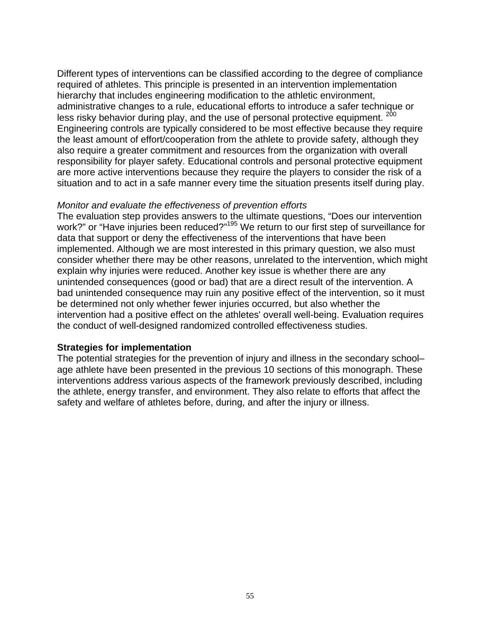Different types of interventions can be classified according to the degree of compliance required of athletes. This principle is presented in an intervention implementation hierarchy that includes engineering modification to the athletic environment, administrative changes to a rule, educational efforts to introduce a safer technique or less risky behavior during play, and the use of personal protective equipment. <sup>200</sup> Engineering controls are typically considered to be most effective because they require the least amount of effort/cooperation from the athlete to provide safety, although they also require a greater commitment and resources from the organization with overall responsibility for player safety. Educational controls and personal protective equipment are more active interventions because they require the players to consider the risk of a situation and to act in a safe manner every time the situation presents itself during play.

#### *Monitor and evaluate the effectiveness of prevention efforts*

The evaluation step provides answers to the ultimate questions, "Does our intervention work?" or "Have injuries been reduced?"<sup>195</sup> We return to our first step of surveillance for data that support or deny the effectiveness of the interventions that have been implemented. Although we are most interested in this primary question, we also must consider whether there may be other reasons, unrelated to the intervention, which might explain why injuries were reduced. Another key issue is whether there are any unintended consequences (good or bad) that are a direct result of the intervention. A bad unintended consequence may ruin any positive effect of the intervention, so it must be determined not only whether fewer injuries occurred, but also whether the intervention had a positive effect on the athletes' overall well-being. Evaluation requires the conduct of well-designed randomized controlled effectiveness studies.

### **Strategies for implementation**

The potential strategies for the prevention of injury and illness in the secondary school– age athlete have been presented in the previous 10 sections of this monograph. These interventions address various aspects of the framework previously described, including the athlete, energy transfer, and environment. They also relate to efforts that affect the safety and welfare of athletes before, during, and after the injury or illness.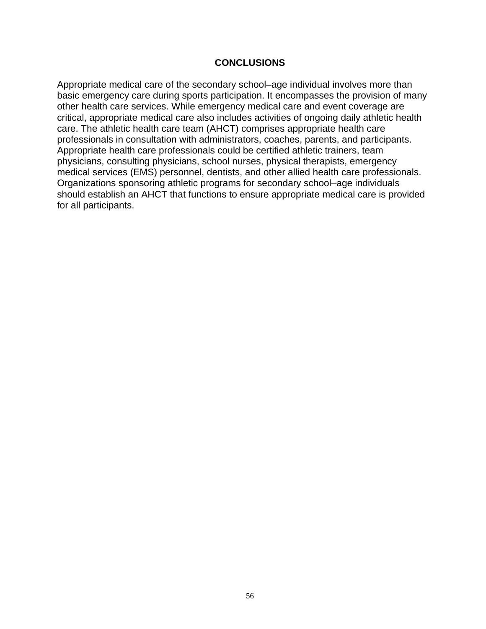### **CONCLUSIONS**

Appropriate medical care of the secondary school–age individual involves more than basic emergency care during sports participation. It encompasses the provision of many other health care services. While emergency medical care and event coverage are critical, appropriate medical care also includes activities of ongoing daily athletic health care. The athletic health care team (AHCT) comprises appropriate health care professionals in consultation with administrators, coaches, parents, and participants. Appropriate health care professionals could be certified athletic trainers, team physicians, consulting physicians, school nurses, physical therapists, emergency medical services (EMS) personnel, dentists, and other allied health care professionals. Organizations sponsoring athletic programs for secondary school–age individuals should establish an AHCT that functions to ensure appropriate medical care is provided for all participants.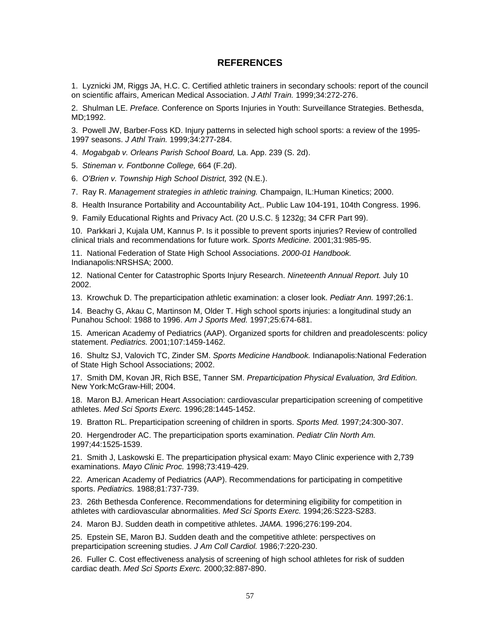#### **REFERENCES**

1. Lyznicki JM, Riggs JA, H.C. C. Certified athletic trainers in secondary schools: report of the council on scientific affairs, American Medical Association. *J Athl Train.* 1999;34:272-276.

2. Shulman LE. *Preface.* Conference on Sports Injuries in Youth: Surveillance Strategies. Bethesda, MD;1992.

3. Powell JW, Barber-Foss KD. Injury patterns in selected high school sports: a review of the 1995- 1997 seasons. *J Athl Train.* 1999;34:277-284.

- 4. *Mogabgab v. Orleans Parish School Board,* La. App. 239 (S. 2d).
- 5. *Stineman v. Fontbonne College,* 664 (F.2d).
- 6. *O'Brien v. Township High School District,* 392 (N.E.).
- 7. Ray R. *Management strategies in athletic training.* Champaign, IL:Human Kinetics; 2000.
- 8. Health Insurance Portability and Accountability Act,. Public Law 104-191, 104th Congress. 1996.
- 9. Family Educational Rights and Privacy Act. (20 U.S.C. § 1232g; 34 CFR Part 99).

10. Parkkari J, Kujala UM, Kannus P. Is it possible to prevent sports injuries? Review of controlled clinical trials and recommendations for future work. *Sports Medicine.* 2001;31:985-95.

11. National Federation of State High School Associations. *2000-01 Handbook.* Indianapolis:NRSHSA; 2000.

12. National Center for Catastrophic Sports Injury Research. *Nineteenth Annual Report.* July 10 2002.

13. Krowchuk D. The preparticipation athletic examination: a closer look. *Pediatr Ann.* 1997;26:1.

14. Beachy G, Akau C, Martinson M, Older T. High school sports injuries: a longitudinal study an Punahou School: 1988 to 1996. *Am J Sports Med.* 1997;25:674-681.

15. American Academy of Pediatrics (AAP). Organized sports for children and preadolescents: policy statement. *Pediatrics.* 2001;107:1459-1462.

16. Shultz SJ, Valovich TC, Zinder SM. *Sports Medicine Handbook.* Indianapolis:National Federation of State High School Associations; 2002.

17. Smith DM, Kovan JR, Rich BSE, Tanner SM. *Preparticipation Physical Evaluation, 3rd Edition.* New York:McGraw-Hill; 2004.

18. Maron BJ. American Heart Association: cardiovascular preparticipation screening of competitive athletes. *Med Sci Sports Exerc.* 1996;28:1445-1452.

19. Bratton RL. Preparticipation screening of children in sports. *Sports Med.* 1997;24:300-307.

20. Hergendroder AC. The preparticipation sports examination. *Pediatr Clin North Am.*  1997;44:1525-1539.

21. Smith J, Laskowski E. The preparticipation physical exam: Mayo Clinic experience with 2,739 examinations. *Mayo Clinic Proc.* 1998;73:419-429.

22. American Academy of Pediatrics (AAP). Recommendations for participating in competitive sports. *Pediatrics.* 1988;81:737-739.

23. 26th Bethesda Conference. Recommendations for determining eligibility for competition in athletes with cardiovascular abnormalities. *Med Sci Sports Exerc.* 1994;26:S223-S283.

24. Maron BJ. Sudden death in competitive athletes. *JAMA.* 1996;276:199-204.

25. Epstein SE, Maron BJ. Sudden death and the competitive athlete: perspectives on preparticipation screening studies. *J Am Coll Cardiol.* 1986;7:220-230.

26. Fuller C. Cost effectiveness analysis of screening of high school athletes for risk of sudden cardiac death. *Med Sci Sports Exerc.* 2000;32:887-890.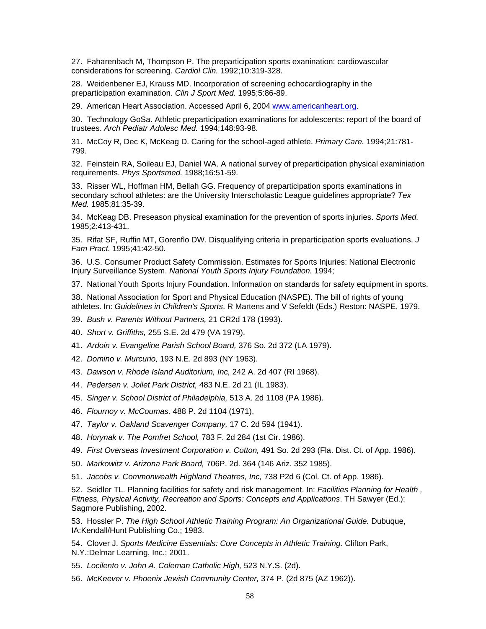27. Faharenbach M, Thompson P. The preparticipation sports exanination: cardiovascular considerations for screening. *Cardiol Clin.* 1992;10:319-328.

28. Weidenbener EJ, Krauss MD. Incorporation of screening echocardiography in the preparticipation examination. *Clin J Sport Med.* 1995;5:86-89.

29. American Heart Association. Accessed April 6, 2004 www.americanheart.org.

30. Technology GoSa. Athletic preparticipation examinations for adolescents: report of the board of trustees. *Arch Pediatr Adolesc Med.* 1994;148:93-98.

31. McCoy R, Dec K, McKeag D. Caring for the school-aged athlete. *Primary Care.* 1994;21:781- 799.

32. Feinstein RA, Soileau EJ, Daniel WA. A national survey of preparticipation physical examiniation requirements. *Phys Sportsmed.* 1988;16:51-59.

33. Risser WL, Hoffman HM, Bellah GG. Frequency of preparticipation sports examinations in secondary school athletes: are the University Interscholastic League guidelines appropriate? *Tex Med.* 1985;81:35-39.

34. McKeag DB. Preseason physical examination for the prevention of sports injuries. *Sports Med.*  1985;2:413-431.

35. Rifat SF, Ruffin MT, Gorenflo DW. Disqualifying criteria in preparticipation sports evaluations. *J Fam Pract.* 1995;41:42-50.

36. U.S. Consumer Product Safety Commission. Estimates for Sports Injuries: National Electronic Injury Surveillance System. *National Youth Sports Injury Foundation.* 1994;

37. National Youth Sports Injury Foundation. Information on standards for safety equipment in sports.

38. National Association for Sport and Physical Education (NASPE). The bill of rights of young athletes. In: *Guidelines in Children's Sports*. R Martens and V Sefeldt (Eds.) Reston: NASPE, 1979.

- 39. *Bush v. Parents Without Partners,* 21 CR2d 178 (1993).
- 40. *Short v. Griffiths,* 255 S.E. 2d 479 (VA 1979).
- 41. *Ardoin v. Evangeline Parish School Board,* 376 So. 2d 372 (LA 1979).
- 42. *Domino v. Murcurio,* 193 N.E. 2d 893 (NY 1963).
- 43. *Dawson v. Rhode Island Auditorium, Inc,* 242 A. 2d 407 (RI 1968).
- 44. *Pedersen v. Joilet Park District,* 483 N.E. 2d 21 (IL 1983).
- 45. *Singer v. School District of Philadelphia,* 513 A. 2d 1108 (PA 1986).
- 46. *Flournoy v. McCoumas,* 488 P. 2d 1104 (1971).
- 47. *Taylor v. Oakland Scavenger Company,* 17 C. 2d 594 (1941).
- 48. *Horynak v. The Pomfret School,* 783 F. 2d 284 (1st Cir. 1986).
- 49. *First Overseas Investment Corporation v. Cotton,* 491 So. 2d 293 (Fla. Dist. Ct. of App. 1986).
- 50. *Markowitz v. Arizona Park Board,* 706P. 2d. 364 (146 Ariz. 352 1985).
- 51. *Jacobs v. Commonwealth Highland Theatres, Inc,* 738 P2d 6 (Col. Ct. of App. 1986).

52. Seidler TL. Planning facilities for safety and risk management. In: *Facilities Planning for Health , Fitness, Physical Activity, Recreation and Sports: Concepts and Applications*. TH Sawyer (Ed.): Sagmore Publishing, 2002.

53. Hossler P. *The High School Athletic Training Program: An Organizational Guide.* Dubuque, IA:Kendall/Hunt Publishing Co.; 1983.

54. Clover J. *Sports Medicine Essentials: Core Concepts in Athletic Training.* Clifton Park, N.Y.:Delmar Learning, Inc.; 2001.

- 55. *Locilento v. John A. Coleman Catholic High,* 523 N.Y.S. (2d).
- 56. *McKeever v. Phoenix Jewish Community Center,* 374 P. (2d 875 (AZ 1962)).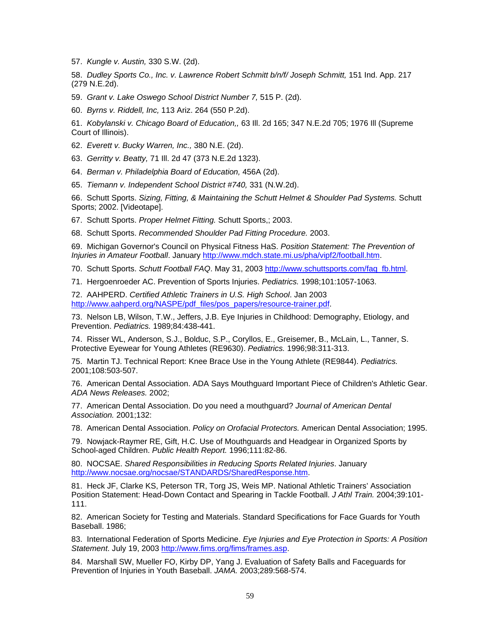57. *Kungle v. Austin,* 330 S.W. (2d).

58. *Dudley Sports Co., Inc. v. Lawrence Robert Schmitt b/n/f/ Joseph Schmitt,* 151 Ind. App. 217 (279 N.E.2d).

59. *Grant v. Lake Oswego School District Number 7,* 515 P. (2d).

60. *Byrns v. Riddell, Inc,* 113 Ariz. 264 (550 P.2d).

61. *Kobylanski v. Chicago Board of Education,,* 63 Ill. 2d 165; 347 N.E.2d 705; 1976 Ill (Supreme Court of Illinois).

62. *Everett v. Bucky Warren, Inc.,* 380 N.E. (2d).

63. *Gerritty v. Beatty,* 71 Ill. 2d 47 (373 N.E.2d 1323).

64. *Berman v. Philadelphia Board of Education,* 456A (2d).

65. *Tiemann v. Independent School District #740,* 331 (N.W.2d).

66. Schutt Sports. *Sizing, Fitting, & Maintaining the Schutt Helmet & Shoulder Pad Systems.* Schutt Sports; 2002. [Videotape].

67. Schutt Sports. *Proper Helmet Fitting.* Schutt Sports,; 2003.

68. Schutt Sports. *Recommended Shoulder Pad Fitting Procedure.* 2003.

69. Michigan Governor's Council on Physical Fitness HaS. *Position Statement: The Prevention of Injuries in Amateur Football*. January http://www.mdch.state.mi.us/pha/vipf2/football.htm.

70. Schutt Sports. *Schutt Football FAQ*. May 31, 2003 http://www.schuttsports.com/faq\_fb.html.

71. Hergoenroeder AC. Prevention of Sports Injuries. *Pediatrics.* 1998;101:1057-1063.

72. AAHPERD. *Certified Athletic Trainers in U.S. High School*. Jan 2003 http://www.aahperd.org/NASPE/pdf\_files/pos\_papers/resource-trainer.pdf.

73. Nelson LB, Wilson, T.W., Jeffers, J.B. Eye Injuries in Childhood: Demography, Etiology, and Prevention. *Pediatrics.* 1989;84:438-441.

74. Risser WL, Anderson, S.J., Bolduc, S.P., Coryllos, E., Greisemer, B., McLain, L., Tanner, S. Protective Eyewear for Young Athletes (RE9630). *Pediatrics.* 1996;98:311-313.

75. Martin TJ. Technical Report: Knee Brace Use in the Young Athlete (RE9844). *Pediatrics.*  2001;108:503-507.

76. American Dental Association. ADA Says Mouthguard Important Piece of Children's Athletic Gear. *ADA News Releases.* 2002;

77. American Dental Association. Do you need a mouthguard? *Journal of American Dental Association.* 2001;132:

78. American Dental Association. *Policy on Orofacial Protectors.* American Dental Association; 1995.

79. Nowjack-Raymer RE, Gift, H.C. Use of Mouthguards and Headgear in Organized Sports by School-aged Children. *Public Health Report.* 1996;111:82-86.

80. NOCSAE. *Shared Responsibilities in Reducing Sports Related Injuries*. January http://www.nocsae.org/nocsae/STANDARDS/SharedResponse.htm.

81. Heck JF, Clarke KS, Peterson TR, Torg JS, Weis MP. National Athletic Trainers' Association Position Statement: Head-Down Contact and Spearing in Tackle Football. *J Athl Train.* 2004;39:101- 111.

82. American Society for Testing and Materials. Standard Specifications for Face Guards for Youth Baseball. 1986;

83. International Federation of Sports Medicine. *Eye Injuries and Eye Protection in Sports: A Position Statement*. July 19, 2003 http://www.fims.org/fims/frames.asp.

84. Marshall SW, Mueller FO, Kirby DP, Yang J. Evaluation of Safety Balls and Faceguards for Prevention of Injuries in Youth Baseball. *JAMA.* 2003;289:568-574.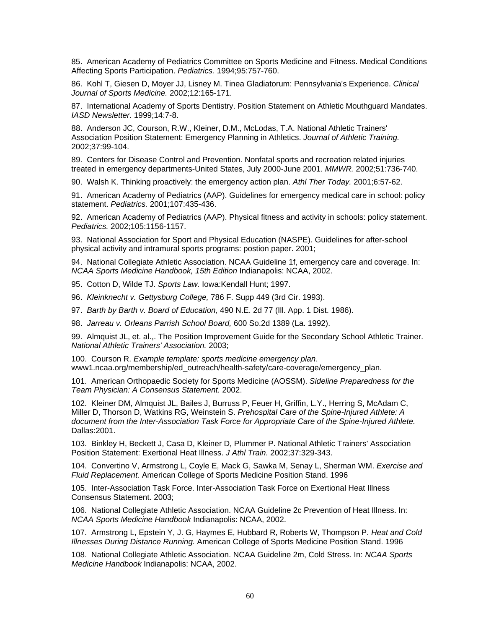85. American Academy of Pediatrics Committee on Sports Medicine and Fitness. Medical Conditions Affecting Sports Participation. *Pediatrics.* 1994;95:757-760.

86. Kohl T, Giesen D, Moyer JJ, Lisney M. Tinea Gladiatorum: Pennsylvania's Experience. *Clinical Journal of Sports Medicine.* 2002;12:165-171.

87. International Academy of Sports Dentistry. Position Statement on Athletic Mouthguard Mandates. *IASD Newsletter.* 1999;14:7-8.

88. Anderson JC, Courson, R.W., Kleiner, D.M., McLodas, T.A. National Athletic Trainers' Association Position Statement: Emergency Planning in Athletics. *Journal of Athletic Training.*  2002;37:99-104.

89. Centers for Disease Control and Prevention. Nonfatal sports and recreation related injuries treated in emergency departments-United States, July 2000-June 2001. *MMWR.* 2002;51:736-740.

90. Walsh K. Thinking proactively: the emergency action plan. *Athl Ther Today.* 2001;6:57-62.

91. American Academy of Pediatrics (AAP). Guidelines for emergency medical care in school: policy statement. *Pediatrics.* 2001;107:435-436.

92. American Academy of Pediatrics (AAP). Physical fitness and activity in schools: policy statement. *Pediatrics.* 2002;105:1156-1157.

93. National Association for Sport and Physical Education (NASPE). Guidelines for after-school physical activity and intramural sports programs: postion paper. 2001;

94. National Collegiate Athletic Association. NCAA Guideline 1f, emergency care and coverage. In: *NCAA Sports Medicine Handbook, 15th Edition* Indianapolis: NCAA, 2002.

95. Cotton D, Wilde TJ. *Sports Law.* Iowa:Kendall Hunt; 1997.

96. *Kleinknecht v. Gettysburg College,* 786 F. Supp 449 (3rd Cir. 1993).

97. *Barth by Barth v. Board of Education,* 490 N.E. 2d 77 (Ill. App. 1 Dist. 1986).

98. *Jarreau v. Orleans Parrish School Board,* 600 So.2d 1389 (La. 1992).

99. Almquist JL, et. al.,. The Position Improvement Guide for the Secondary School Athletic Trainer. *National Athletic Trainers' Association.* 2003;

100. Courson R. *Example template: sports medicine emergency plan*. www1.ncaa.org/membership/ed\_outreach/health-safety/care-coverage/emergency\_plan.

101. American Orthopaedic Society for Sports Medicine (AOSSM). *Sideline Preparedness for the Team Physician: A Consensus Statement.* 2002.

102. Kleiner DM, Almquist JL, Bailes J, Burruss P, Feuer H, Griffin, L.Y., Herring S, McAdam C, Miller D, Thorson D, Watkins RG, Weinstein S. *Prehospital Care of the Spine-Injured Athlete: A document from the Inter-Association Task Force for Appropriate Care of the Spine-Injured Athlete.* Dallas:2001.

103. Binkley H, Beckett J, Casa D, Kleiner D, Plummer P. National Athletic Trainers' Association Position Statement: Exertional Heat Illness. *J Athl Train.* 2002;37:329-343.

104. Convertino V, Armstrong L, Coyle E, Mack G, Sawka M, Senay L, Sherman WM. *Exercise and Fluid Replacement.* American College of Sports Medicine Position Stand. 1996

105. Inter-Association Task Force. Inter-Association Task Force on Exertional Heat Illness Consensus Statement. 2003;

106. National Collegiate Athletic Association. NCAA Guideline 2c Prevention of Heat Illness. In: *NCAA Sports Medicine Handbook* Indianapolis: NCAA, 2002.

107. Armstrong L, Epstein Y, J. G, Haymes E, Hubbard R, Roberts W, Thompson P. *Heat and Cold Illnesses During Distance Running.* American College of Sports Medicine Position Stand. 1996

108. National Collegiate Athletic Association. NCAA Guideline 2m, Cold Stress. In: *NCAA Sports Medicine Handbook* Indianapolis: NCAA, 2002.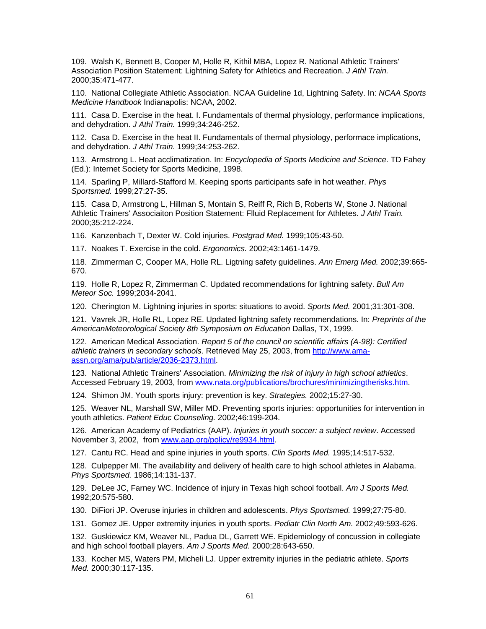109. Walsh K, Bennett B, Cooper M, Holle R, Kithil MBA, Lopez R. National Athletic Trainers' Association Position Statement: Lightning Safety for Athletics and Recreation. *J Athl Train.*  2000;35:471-477.

110. National Collegiate Athletic Association. NCAA Guideline 1d, Lightning Safety. In: *NCAA Sports Medicine Handbook* Indianapolis: NCAA, 2002.

111. Casa D. Exercise in the heat. I. Fundamentals of thermal physiology, performance implications, and dehydration. *J Athl Train.* 1999;34:246-252.

112. Casa D. Exercise in the heat II. Fundamentals of thermal physiology, performace implications, and dehydration. *J Athl Train.* 1999;34:253-262.

113. Armstrong L. Heat acclimatization. In: *Encyclopedia of Sports Medicine and Science*. TD Fahey (Ed.): Internet Society for Sports Medicine, 1998.

114. Sparling P, Millard-Stafford M. Keeping sports participants safe in hot weather. *Phys Sportsmed.* 1999;27:27-35.

115. Casa D, Armstrong L, Hillman S, Montain S, Reiff R, Rich B, Roberts W, Stone J. National Athletic Trainers' Associaiton Position Statement: Flluid Replacement for Athletes. *J Athl Train.*  2000;35:212-224.

116. Kanzenbach T, Dexter W. Cold injuries. *Postgrad Med.* 1999;105:43-50.

117. Noakes T. Exercise in the cold. *Ergonomics.* 2002;43:1461-1479.

118. Zimmerman C, Cooper MA, Holle RL. Ligtning safety guidelines. *Ann Emerg Med.* 2002;39:665- 670.

119. Holle R, Lopez R, Zimmerman C. Updated recommendations for lightning safety. *Bull Am Meteor Soc.* 1999;2034-2041.

120. Cherington M. Lightning injuries in sports: situations to avoid. *Sports Med.* 2001;31:301-308.

121. Vavrek JR, Holle RL, Lopez RE. Updated lightning safety recommendations. In: *Preprints of the AmericanMeteorological Society 8th Symposium on Education* Dallas, TX, 1999.

122. American Medical Association. *Report 5 of the council on scientific affairs (A-98): Certified athletic trainers in secondary schools*. Retrieved May 25, 2003, from http://www.amaassn.org/ama/pub/article/2036-2373.html.

123. National Athletic Trainers' Association. *Minimizing the risk of injury in high school athletics*. Accessed February 19, 2003, from www.nata.org/publications/brochures/minimizingtherisks.htm.

124. Shimon JM. Youth sports injury: prevention is key. *Strategies.* 2002;15:27-30.

125. Weaver NL, Marshall SW, Miller MD. Preventing sports injuries: opportunities for intervention in youth athletics. *Patient Educ Counseling.* 2002;46:199-204.

126. American Academy of Pediatrics (AAP). *Injuries in youth soccer: a subject review*. Accessed November 3, 2002, from www.aap.org/policy/re9934.html.

127. Cantu RC. Head and spine injuries in youth sports. *Clin Sports Med.* 1995;14:517-532.

128. Culpepper MI. The availability and delivery of health care to high school athletes in Alabama. *Phys Sportsmed.* 1986;14:131-137.

129. DeLee JC, Farney WC. Incidence of injury in Texas high school football. *Am J Sports Med.*  1992;20:575-580.

130. DiFiori JP. Overuse injuries in children and adolescents. *Phys Sportsmed.* 1999;27:75-80.

131. Gomez JE. Upper extremity injuries in youth sports. *Pediatr Clin North Am.* 2002;49:593-626.

132. Guskiewicz KM, Weaver NL, Padua DL, Garrett WE. Epidemiology of concussion in collegiate and high school football players. *Am J Sports Med.* 2000;28:643-650.

133. Kocher MS, Waters PM, Micheli LJ. Upper extremity injuries in the pediatric athlete. *Sports Med.* 2000;30:117-135.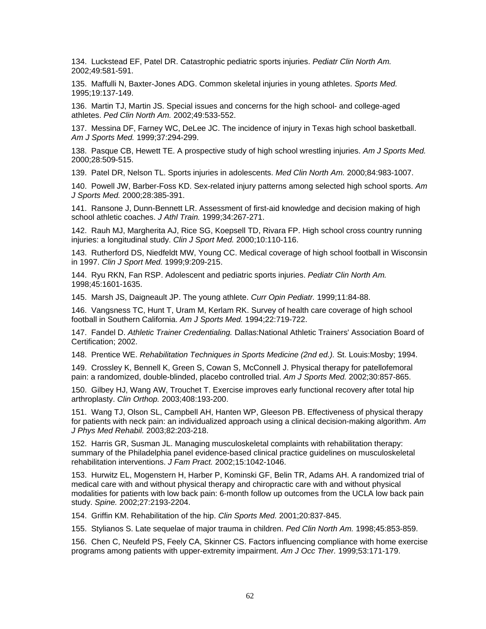134. Luckstead EF, Patel DR. Catastrophic pediatric sports injuries. *Pediatr Clin North Am.*  2002;49:581-591.

135. Maffulli N, Baxter-Jones ADG. Common skeletal injuries in young athletes. *Sports Med.*  1995;19:137-149.

136. Martin TJ, Martin JS. Special issues and concerns for the high school- and college-aged athletes. *Ped Clin North Am.* 2002;49:533-552.

137. Messina DF, Farney WC, DeLee JC. The incidence of injury in Texas high school basketball. *Am J Sports Med.* 1999;37:294-299.

138. Pasque CB, Hewett TE. A prospective study of high school wrestling injuries. *Am J Sports Med.*  2000;28:509-515.

139. Patel DR, Nelson TL. Sports injuries in adolescents. *Med Clin North Am.* 2000;84:983-1007.

140. Powell JW, Barber-Foss KD. Sex-related injury patterns among selected high school sports. *Am J Sports Med.* 2000;28:385-391.

141. Ransone J, Dunn-Bennett LR. Assessment of first-aid knowledge and decision making of high school athletic coaches. *J Athl Train.* 1999;34:267-271.

142. Rauh MJ, Margherita AJ, Rice SG, Koepsell TD, Rivara FP. High school cross country running injuries: a longitudinal study. *Clin J Sport Med.* 2000;10:110-116.

143. Rutherford DS, Niedfeldt MW, Young CC. Medical coverage of high school football in Wisconsin in 1997. *Clin J Sport Med.* 1999;9:209-215.

144. Ryu RKN, Fan RSP. Adolescent and pediatric sports injuries. *Pediatr Clin North Am.*  1998;45:1601-1635.

145. Marsh JS, Daigneault JP. The young athlete. *Curr Opin Pediatr.* 1999;11:84-88.

146. Vangsness TC, Hunt T, Uram M, Kerlam RK. Survey of health care coverage of high school football in Southern California. *Am J Sports Med.* 1994;22:719-722.

147. Fandel D. *Athletic Trainer Credentialing.* Dallas:National Athletic Trainers' Association Board of Certification; 2002.

148. Prentice WE. *Rehabilitation Techniques in Sports Medicine (2nd ed.).* St. Louis:Mosby; 1994.

149. Crossley K, Bennell K, Green S, Cowan S, McConnell J. Physical therapy for patellofemoral pain: a randomized, double-blinded, placebo controlled trial. *Am J Sports Med.* 2002;30:857-865.

150. Gilbey HJ, Wang AW, Trouchet T. Exercise improves early functional recovery after total hip arthroplasty. *Clin Orthop.* 2003;408:193-200.

151. Wang TJ, Olson SL, Campbell AH, Hanten WP, Gleeson PB. Effectiveness of physical therapy for patients with neck pain: an individualized approach using a clinical decision-making algorithm. *Am J Phys Med Rehabil.* 2003;82:203-218.

152. Harris GR, Susman JL. Managing musculoskeletal complaints with rehabilitation therapy: summary of the Philadelphia panel evidence-based clinical practice guidelines on musculoskeletal rehabilitation interventions. *J Fam Pract.* 2002;15:1042-1046.

153. Hurwitz EL, Mogenstern H, Harber P, Kominski GF, Belin TR, Adams AH. A randomized trial of medical care with and without physical therapy and chiropractic care with and without physical modalities for patients with low back pain: 6-month follow up outcomes from the UCLA low back pain study. *Spine.* 2002;27:2193-2204.

154. Griffin KM. Rehabilitation of the hip. *Clin Sports Med.* 2001;20:837-845.

155. Stylianos S. Late sequelae of major trauma in children. *Ped Clin North Am.* 1998;45:853-859.

156. Chen C, Neufeld PS, Feely CA, Skinner CS. Factors influencing compliance with home exercise programs among patients with upper-extremity impairment. *Am J Occ Ther.* 1999;53:171-179.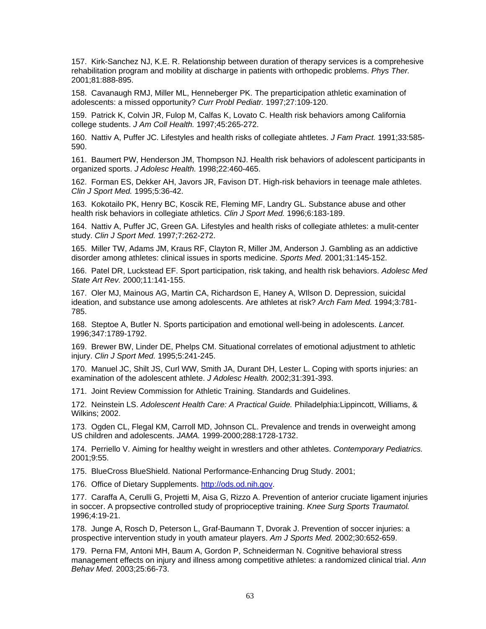157. Kirk-Sanchez NJ, K.E. R. Relationship between duration of therapy services is a comprehesive rehabilitation program and mobility at discharge in patients with orthopedic problems. *Phys Ther.*  2001;81:888-895.

158. Cavanaugh RMJ, Miller ML, Henneberger PK. The preparticipation athletic examination of adolescents: a missed opportunity? *Curr Probl Pediatr.* 1997;27:109-120.

159. Patrick K, Colvin JR, Fulop M, Calfas K, Lovato C. Health risk behaviors among California college students. *J Am Coll Health.* 1997;45:265-272.

160. Nattiv A, Puffer JC. Lifestyles and health risks of collegiate ahtletes. *J Fam Pract.* 1991;33:585- 590.

161. Baumert PW, Henderson JM, Thompson NJ. Health risk behaviors of adolescent participants in organized sports. *J Adolesc Health.* 1998;22:460-465.

162. Forman ES, Dekker AH, Javors JR, Favison DT. High-risk behaviors in teenage male athletes. *Clin J Sport Med.* 1995;5:36-42.

163. Kokotailo PK, Henry BC, Koscik RE, Fleming MF, Landry GL. Substance abuse and other health risk behaviors in collegiate athletics. *Clin J Sport Med.* 1996;6:183-189.

164. Nattiv A, Puffer JC, Green GA. Lifestyles and health risks of collegiate athletes: a mulit-center study. *Clin J Sport Med.* 1997;7:262-272.

165. Miller TW, Adams JM, Kraus RF, Clayton R, Miller JM, Anderson J. Gambling as an addictive disorder among athletes: clinical issues in sports medicine. *Sports Med.* 2001;31:145-152.

166. Patel DR, Luckstead EF. Sport participation, risk taking, and health risk behaviors. *Adolesc Med State Art Rev.* 2000;11:141-155.

167. Oler MJ, Mainous AG, Martin CA, Richardson E, Haney A, WIlson D. Depression, suicidal ideation, and substance use among adolescents. Are athletes at risk? *Arch Fam Med.* 1994;3:781- 785.

168. Steptoe A, Butler N. Sports participation and emotional well-being in adolescents. *Lancet.*  1996;347:1789-1792.

169. Brewer BW, Linder DE, Phelps CM. Situational correlates of emotional adjustment to athletic injury. *Clin J Sport Med.* 1995;5:241-245.

170. Manuel JC, Shilt JS, Curl WW, Smith JA, Durant DH, Lester L. Coping with sports injuries: an examination of the adolescent athlete. *J Adolesc Health.* 2002;31:391-393.

171. Joint Review Commission for Athletic Training. Standards and Guidelines.

172. Neinstein LS. *Adolescent Health Care: A Practical Guide.* Philadelphia:Lippincott, Williams, & Wilkins; 2002.

173. Ogden CL, Flegal KM, Carroll MD, Johnson CL. Prevalence and trends in overweight among US children and adolescents. *JAMA.* 1999-2000;288:1728-1732.

174. Perriello V. Aiming for healthy weight in wrestlers and other athletes. *Contemporary Pediatrics.*  2001;9:55.

175. BlueCross BlueShield. National Performance-Enhancing Drug Study. 2001;

176. Office of Dietary Supplements. http://ods.od.nih.gov.

177. Caraffa A, Cerulli G, Projetti M, Aisa G, Rizzo A. Prevention of anterior cruciate ligament injuries in soccer. A propsective controlled study of proprioceptive training. *Knee Surg Sports Traumatol.*  1996;4:19-21.

178. Junge A, Rosch D, Peterson L, Graf-Baumann T, Dvorak J. Prevention of soccer injuries: a prospective intervention study in youth amateur players. *Am J Sports Med.* 2002;30:652-659.

179. Perna FM, Antoni MH, Baum A, Gordon P, Schneiderman N. Cognitive behavioral stress management effects on injury and illness among competitive athletes: a randomized clinical trial. *Ann Behav Med.* 2003;25:66-73.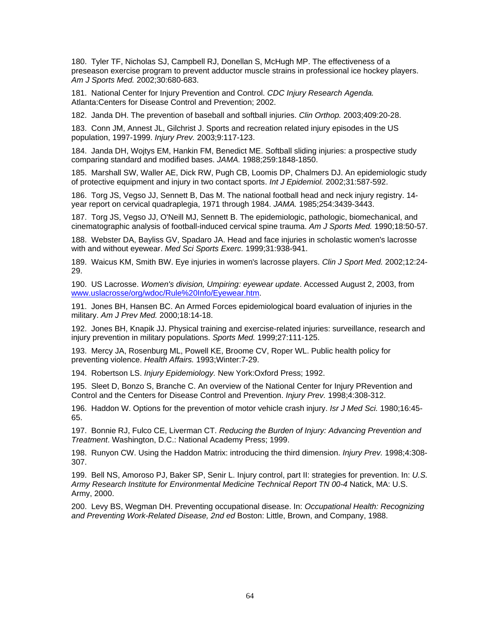180. Tyler TF, Nicholas SJ, Campbell RJ, Donellan S, McHugh MP. The effectiveness of a preseason exercise program to prevent adductor muscle strains in professional ice hockey players. *Am J Sports Med.* 2002;30:680-683.

181. National Center for Injury Prevention and Control. *CDC Injury Research Agenda.* Atlanta:Centers for Disease Control and Prevention; 2002.

182. Janda DH. The prevention of baseball and softball injuries. *Clin Orthop.* 2003;409:20-28.

183. Conn JM, Annest JL, Gilchrist J. Sports and recreation related injury episodes in the US population, 1997-1999. *Injury Prev.* 2003;9:117-123.

184. Janda DH, Wojtys EM, Hankin FM, Benedict ME. Softball sliding injuries: a prospective study comparing standard and modified bases. *JAMA.* 1988;259:1848-1850.

185. Marshall SW, Waller AE, Dick RW, Pugh CB, Loomis DP, Chalmers DJ. An epidemiologic study of protective equipment and injury in two contact sports. *Int J Epidemiol.* 2002;31:587-592.

186. Torg JS, Vegso JJ, Sennett B, Das M. The national football head and neck injury registry. 14 year report on cervical quadraplegia, 1971 through 1984. *JAMA.* 1985;254:3439-3443.

187. Torg JS, Vegso JJ, O'Neill MJ, Sennett B. The epidemiologic, pathologic, biomechanical, and cinematographic analysis of football-induced cervical spine trauma. *Am J Sports Med.* 1990;18:50-57.

188. Webster DA, Bayliss GV, Spadaro JA. Head and face injuries in scholastic women's lacrosse with and without eyewear. *Med Sci Sports Exerc.* 1999;31:938-941.

189. Waicus KM, Smith BW. Eye injuries in women's lacrosse players. *Clin J Sport Med.* 2002;12:24- 29.

190. US Lacrosse. *Women's division, Umpiring: eyewear update*. Accessed August 2, 2003, from www.uslacrosse/org/wdoc/Rule%20Info/Eyewear.htm.

191. Jones BH, Hansen BC. An Armed Forces epidemiological board evaluation of injuries in the military. *Am J Prev Med.* 2000;18:14-18.

192. Jones BH, Knapik JJ. Physical training and exercise-related injuries: surveillance, research and injury prevention in military populations. *Sports Med.* 1999;27:111-125.

193. Mercy JA, Rosenburg ML, Powell KE, Broome CV, Roper WL. Public health policy for preventing violence. *Health Affairs.* 1993;Winter:7-29.

194. Robertson LS. *Injury Epidemiology.* New York:Oxford Press; 1992.

195. Sleet D, Bonzo S, Branche C. An overview of the National Center for Injury PRevention and Control and the Centers for Disease Control and Prevention. *Injury Prev.* 1998;4:308-312.

196. Haddon W. Options for the prevention of motor vehicle crash injury. *Isr J Med Sci.* 1980;16:45- 65.

197. Bonnie RJ, Fulco CE, Liverman CT. *Reducing the Burden of Injury: Advancing Prevention and Treatment*. Washington, D.C.: National Academy Press; 1999.

198. Runyon CW. Using the Haddon Matrix: introducing the third dimension. *Injury Prev.* 1998;4:308- 307.

199. Bell NS, Amoroso PJ, Baker SP, Senir L. Injury control, part II: strategies for prevention. In: *U.S. Army Research Institute for Environmental Medicine Technical Report TN 00-4* Natick, MA: U.S. Army, 2000.

200. Levy BS, Wegman DH. Preventing occupational disease. In: *Occupational Health: Recognizing and Preventing Work-Related Disease, 2nd ed* Boston: Little, Brown, and Company, 1988.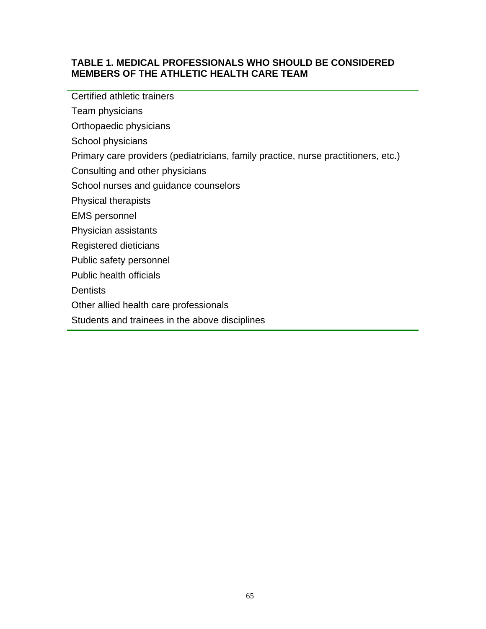# **TABLE 1. MEDICAL PROFESSIONALS WHO SHOULD BE CONSIDERED MEMBERS OF THE ATHLETIC HEALTH CARE TEAM**

Certified athletic trainers

Team physicians

Orthopaedic physicians

School physicians

Primary care providers (pediatricians, family practice, nurse practitioners, etc.)

Consulting and other physicians

School nurses and guidance counselors

Physical therapists

EMS personnel

Physician assistants

Registered dieticians

Public safety personnel

Public health officials

**Dentists** 

Other allied health care professionals

Students and trainees in the above disciplines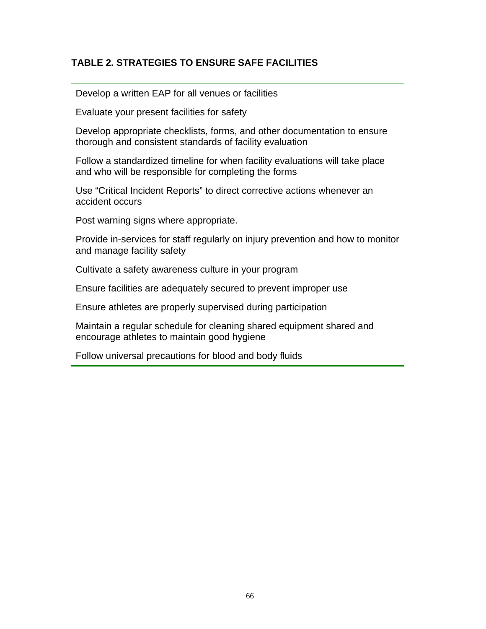# **TABLE 2. STRATEGIES TO ENSURE SAFE FACILITIES**

Develop a written EAP for all venues or facilities

Evaluate your present facilities for safety

Develop appropriate checklists, forms, and other documentation to ensure thorough and consistent standards of facility evaluation

Follow a standardized timeline for when facility evaluations will take place and who will be responsible for completing the forms

Use "Critical Incident Reports" to direct corrective actions whenever an accident occurs

Post warning signs where appropriate.

Provide in-services for staff regularly on injury prevention and how to monitor and manage facility safety

Cultivate a safety awareness culture in your program

Ensure facilities are adequately secured to prevent improper use

Ensure athletes are properly supervised during participation

Maintain a regular schedule for cleaning shared equipment shared and encourage athletes to maintain good hygiene

Follow universal precautions for blood and body fluids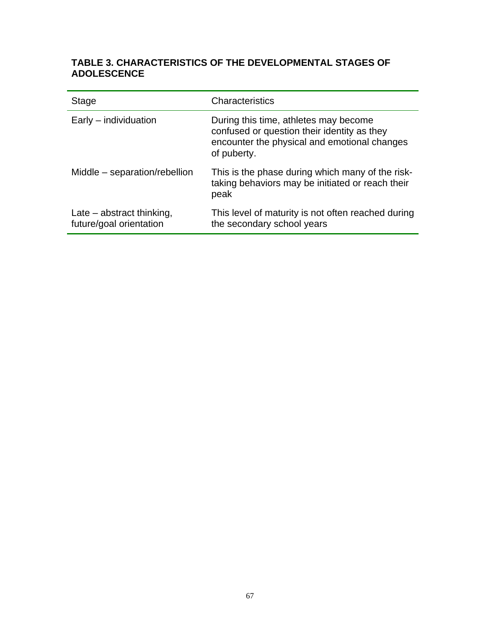# **TABLE 3. CHARACTERISTICS OF THE DEVELOPMENTAL STAGES OF ADOLESCENCE**

| Stage                                                  | Characteristics                                                                                                                                     |
|--------------------------------------------------------|-----------------------------------------------------------------------------------------------------------------------------------------------------|
| Early – individuation                                  | During this time, athletes may become<br>confused or question their identity as they<br>encounter the physical and emotional changes<br>of puberty. |
| Middle - separation/rebellion                          | This is the phase during which many of the risk-<br>taking behaviors may be initiated or reach their<br>peak                                        |
| Late $-$ abstract thinking,<br>future/goal orientation | This level of maturity is not often reached during<br>the secondary school years                                                                    |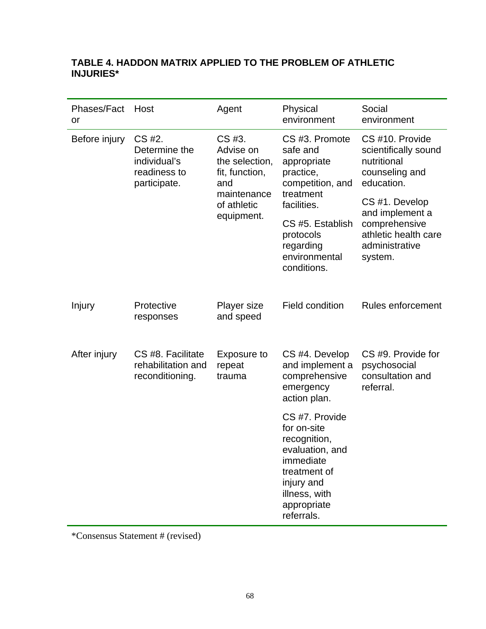# **TABLE 4. HADDON MATRIX APPLIED TO THE PROBLEM OF ATHLETIC INJURIES\***

| Phases/Fact<br>or | Host                                                                    | Agent                                                                                                      | Physical<br>environment                                                                                                                                                              | Social<br>environment                                                                                                                                                                             |
|-------------------|-------------------------------------------------------------------------|------------------------------------------------------------------------------------------------------------|--------------------------------------------------------------------------------------------------------------------------------------------------------------------------------------|---------------------------------------------------------------------------------------------------------------------------------------------------------------------------------------------------|
| Before injury     | CS #2.<br>Determine the<br>individual's<br>readiness to<br>participate. | CS #3.<br>Advise on<br>the selection,<br>fit, function,<br>and<br>maintenance<br>of athletic<br>equipment. | CS #3. Promote<br>safe and<br>appropriate<br>practice,<br>competition, and<br>treatment<br>facilities.<br>CS #5. Establish<br>protocols<br>regarding<br>environmental<br>conditions. | CS #10. Provide<br>scientifically sound<br>nutritional<br>counseling and<br>education.<br>CS #1. Develop<br>and implement a<br>comprehensive<br>athletic health care<br>administrative<br>system. |
| Injury            | Protective<br>responses                                                 | Player size<br>and speed                                                                                   | <b>Field condition</b>                                                                                                                                                               | Rules enforcement                                                                                                                                                                                 |
| After injury      | CS #8. Facilitate<br>rehabilitation and<br>reconditioning.              | Exposure to<br>repeat<br>trauma                                                                            | CS #4. Develop<br>and implement a<br>comprehensive<br>emergency<br>action plan.                                                                                                      | CS #9. Provide for<br>psychosocial<br>consultation and<br>referral.                                                                                                                               |
|                   |                                                                         |                                                                                                            | CS #7. Provide<br>for on-site<br>recognition,<br>evaluation, and<br>immediate<br>treatment of<br>injury and<br>illness, with<br>appropriate<br>referrals.                            |                                                                                                                                                                                                   |

\*Consensus Statement # (revised)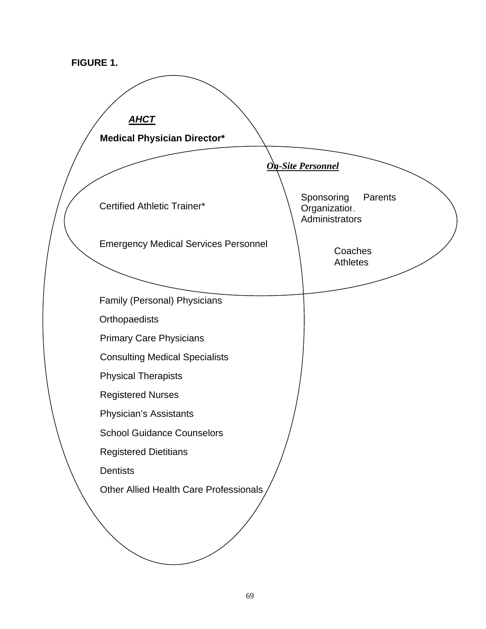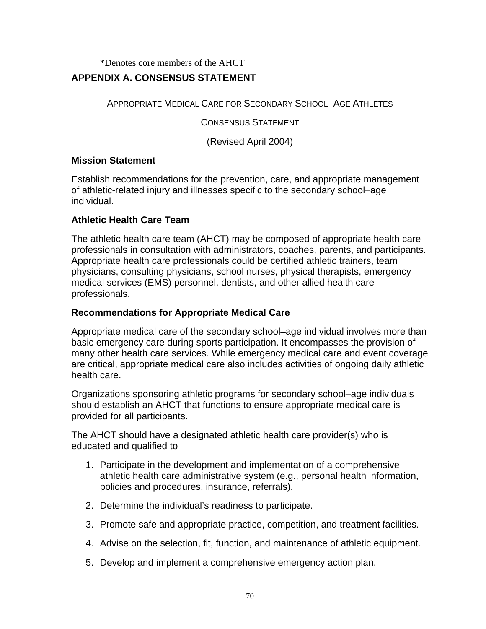\*Denotes core members of the AHCT

# **APPENDIX A. CONSENSUS STATEMENT**

APPROPRIATE MEDICAL CARE FOR SECONDARY SCHOOL–AGE ATHLETES

CONSENSUS STATEMENT

(Revised April 2004)

# **Mission Statement**

Establish recommendations for the prevention, care, and appropriate management of athletic-related injury and illnesses specific to the secondary school–age individual.

# **Athletic Health Care Team**

The athletic health care team (AHCT) may be composed of appropriate health care professionals in consultation with administrators, coaches, parents, and participants. Appropriate health care professionals could be certified athletic trainers, team physicians, consulting physicians, school nurses, physical therapists, emergency medical services (EMS) personnel, dentists, and other allied health care professionals.

# **Recommendations for Appropriate Medical Care**

Appropriate medical care of the secondary school–age individual involves more than basic emergency care during sports participation. It encompasses the provision of many other health care services. While emergency medical care and event coverage are critical, appropriate medical care also includes activities of ongoing daily athletic health care.

Organizations sponsoring athletic programs for secondary school–age individuals should establish an AHCT that functions to ensure appropriate medical care is provided for all participants.

The AHCT should have a designated athletic health care provider(s) who is educated and qualified to

- 1. Participate in the development and implementation of a comprehensive athletic health care administrative system (e.g., personal health information, policies and procedures, insurance, referrals).
- 2. Determine the individual's readiness to participate.
- 3. Promote safe and appropriate practice, competition, and treatment facilities.
- 4. Advise on the selection, fit, function, and maintenance of athletic equipment.
- 5. Develop and implement a comprehensive emergency action plan.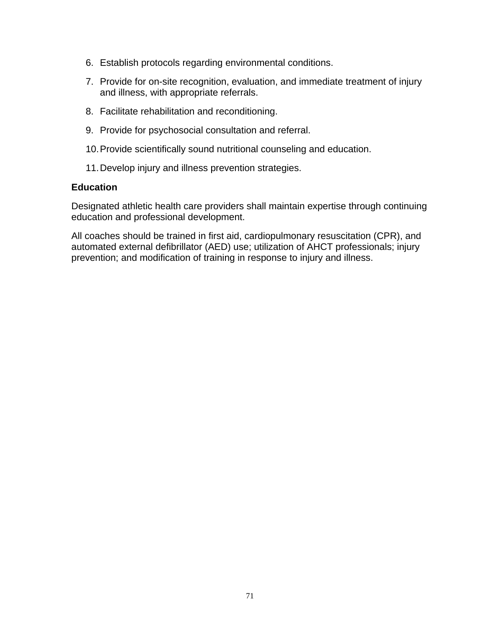- 6. Establish protocols regarding environmental conditions.
- 7. Provide for on-site recognition, evaluation, and immediate treatment of injury and illness, with appropriate referrals.
- 8. Facilitate rehabilitation and reconditioning.
- 9. Provide for psychosocial consultation and referral.
- 10. Provide scientifically sound nutritional counseling and education.
- 11. Develop injury and illness prevention strategies.

#### **Education**

Designated athletic health care providers shall maintain expertise through continuing education and professional development.

All coaches should be trained in first aid, cardiopulmonary resuscitation (CPR), and automated external defibrillator (AED) use; utilization of AHCT professionals; injury prevention; and modification of training in response to injury and illness.